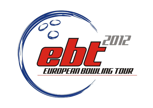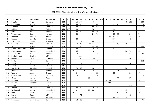| P                       | Last name         | <b>First name</b> | Federation  | $\mathsf{T}$ | 01  | 02 | 03  | 04  | 05 | 06  | 07  | 08  | 09 | 10 <sup>1</sup> | 11  | 12  | 13  | 14 | 15 | 16  | 17 | 18 | 19  |
|-------------------------|-------------------|-------------------|-------------|--------------|-----|----|-----|-----|----|-----|-----|-----|----|-----------------|-----|-----|-----|----|----|-----|----|----|-----|
| $\mathbf{1}$            | Pöppler           | <b>Birgit</b>     | Germany     | 820          | 63  |    | 16  | 200 |    |     | 46  |     |    |                 |     |     | 100 |    | 40 | 105 |    |    | 250 |
| $\overline{2}$          | Andersson         | Sandra            | Sweden      | 648          | 120 |    | 100 | 15  |    |     |     | 80  | 30 |                 |     | 90  | 70  |    |    | 33  |    |    | 110 |
| 3                       | Bröndsted         | <b>Britt</b>      | Denmark     | 514          | 75  |    | 24  | 65  |    |     | 80  | 100 |    |                 |     |     |     |    |    |     | 50 |    | 120 |
| 4                       | Pöllänen          | Krista            | Finland     | 420          | 150 |    | 80  |     |    |     | 70  |     |    |                 |     | 120 |     |    |    |     |    |    |     |
| 5                       | Flack             | Nina              | Sweden      | 391          | 45  |    | 48  | 10  |    |     | 48  | 50  |    | 100             |     | 69  |     |    |    |     | 21 |    |     |
| 6                       | Thorstensen       | Heidi             | Norway      | 358          |     |    | 50  |     |    |     | 24  | 70  |    |                 |     | 36  | 80  |    |    | 24  | 24 | 50 |     |
| $\overline{\mathbf{z}}$ | Linderoth         | Josefine          | Sweden      | 348          |     |    |     |     |    |     |     |     | 40 |                 | 105 | 105 | 40  |    |    | 18  |    | 40 |     |
| 8                       | Larsen            | Rebecka           | Sweden      | 336          |     |    | 24  |     |    |     | 44  | 46  |    |                 |     | 150 |     |    |    | 42  | 30 |    |     |
| 9                       | Staudinger        | Cassie            | Australia   | 326          | 90  |    |     | 110 |    |     | 60  |     |    |                 |     | 66  |     |    |    |     |    |    |     |
| 10                      | Sanders           | Nicole            | Netherlands | 297          |     |    | 60  | 40  |    | 100 | 24  |     |    |                 |     |     | 48  |    | 25 |     |    |    |     |
| 11                      | Wedel             | Sascha            | Denmark     | 294          |     |    | 22  | 10  |    |     | 22  | 40  |    |                 |     |     |     |    |    |     |    |    | 200 |
| 12                      | Persson-Planefors | Joline            | Sweden      | 291          |     |    | 44  |     |    |     | 30  | 30  |    |                 |     | 75  |     |    |    | 72  | 40 |    |     |
| 13                      | Breeschoten       | Lisanne           | Netherlands | 266          |     |    | 46  |     |    |     | 40  |     | 50 |                 |     |     |     |    | 30 | 75  |    | 25 |     |
| 14                      | Andersson         | Ida               | Sweden      | 255          |     |    | 16  |     |    |     |     | 24  |    |                 |     |     |     |    |    | 42  |    | 23 | 150 |
| 15                      | Dorin-Ballard     | Carolyn           | <b>USA</b>  | 250          |     |    |     | 250 |    |     |     |     |    |                 |     |     |     |    |    |     |    |    |     |
| 16                      | Guerrero          | Clara             | Colombia    | 250          |     |    |     | 30  |    |     | 100 |     |    |                 |     |     |     |    |    | 120 |    |    |     |
| 17                      | <b>Burkal</b>     | Pia               | Denmark     | 246          |     |    |     |     |    |     |     | 48  | 23 |                 |     |     |     |    |    |     |    |    | 175 |
| 18                      | Johnson           | Liz               | <b>USA</b>  | 240          |     |    |     | 150 |    |     |     |     |    |                 |     |     |     |    |    | 90  |    |    |     |
| 19                      | Aziela            | Zandra            | Malaysia    | 217          |     |    |     | 175 |    |     | 42  |     |    |                 |     |     |     |    |    |     |    |    |     |
| 20                      | van der Tol       | Ghislaine         | Netherlands | 190          |     |    | 70  | 40  |    |     | 30  |     |    |                 |     |     |     |    | 50 |     |    |    |     |
| 21                      | Debenec           | Maja              | Slovenia    | 179          |     | 50 |     |     | 50 |     | 28  |     |    |                 |     |     | 26  |    |    | 12  |    | 13 |     |
| 22                      | Wegner            | Jenny             | Sweden      | 172          |     |    | 8   |     |    |     |     | 22  | 35 |                 |     | 36  |     |    |    | 36  |    | 35 |     |
| 23                      | Christensen       | Randi B.          | Denmark     | 165          |     |    | 16  |     |    |     |     | 24  |    |                 |     |     |     |    |    |     |    |    | 125 |
| 24                      | Gross             | Ivonne            | Austria     | 163          |     |    |     |     |    | 80  |     |     |    |                 |     |     | 44  |    |    | 39  |    |    |     |
| 25                      | <b>Balzano</b>    | Annalisa          | Italy       | 154          |     |    |     |     |    |     |     |     |    | 70              | 69  |     |     |    |    |     |    | 15 |     |
| 26                      | Gaillard          | Laurence          | France      | 150          |     |    |     |     |    |     |     |     |    |                 | 150 |     |     |    |    |     |    |    |     |
| 27                      | Kulick            | Kelly             | <b>USA</b>  | 150          |     |    |     |     |    |     |     |     |    |                 |     |     |     |    |    | 150 |    |    |     |
| 28                      | Jensen            | Mai Ginge         | Denmark     | 150          |     |    | 28  | 70  |    |     | 26  | 26  |    |                 |     |     |     |    |    |     |    |    |     |
| 29                      | Wiekeraad         | <b>Bianca</b>     | Netherlands | 140          |     |    | 6   |     |    | 70  | 28  |     |    |                 |     |     |     |    | 15 |     |    | 21 |     |
| 30                      | Lund              | Bettina           | Denmark     | 134          |     | 30 |     |     |    |     |     |     |    |                 |     |     | 50  |    | 24 |     |    | 30 |     |
| 31                      | Parkin            | Missy             | <b>USA</b>  | 133          |     |    |     | 70  |    |     |     |     |    |                 |     |     |     |    |    | 63  |    |    |     |
| 32                      | Tomas             | Cheska            | Netherlands | 133          |     |    |     |     |    |     |     |     |    |                 |     | 45  | 46  |    | 20 |     |    | 22 |     |
| 33                      | Pedersen          | Randi Kryger      | Denmark     | 132          |     |    | 12  | 15  |    |     |     | 30  |    |                 |     |     |     |    |    |     |    |    | 75  |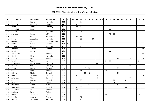| P  | Last name  | First name        | Federation     | T   | 01  | 02 | 03             | 04              | 05 <sub>1</sub> | 06 | 07 | 08 | 09 | 10 <sup>1</sup> | 11  | 12              | 13 | 14 | 15 <sup>1</sup> | 16 | 17 | 18 | 19  |
|----|------------|-------------------|----------------|-----|-----|----|----------------|-----------------|-----------------|----|----|----|----|-----------------|-----|-----------------|----|----|-----------------|----|----|----|-----|
| 34 | Sin        | Li Jane           | Malaysia       | 125 |     |    |                | 125             |                 |    |    |    |    |                 |     |                 |    |    |                 |    |    |    |     |
| 35 | Jacques    | Amandine          | France         | 121 |     |    | 6              | 115             |                 |    |    |    |    |                 |     |                 |    |    |                 |    |    |    |     |
| 36 | Luoto      | Patricia          | Germany        | 121 | 24  |    | 22             | 30              |                 |    |    |    |    |                 |     |                 |    |    |                 | 45 |    |    |     |
| 37 | Bagnolini  | Monica            | Italy          | 120 |     |    |                |                 |                 |    |    |    |    |                 | 120 |                 |    |    |                 |    |    |    |     |
| 38 | Safiyah    | Siti              | Malaysia       | 120 |     |    |                | 120             |                 |    |    |    |    |                 |     |                 |    |    |                 |    |    |    |     |
| 39 | Signaigo   | Suzana            | <b>USA</b>     | 120 |     |    |                |                 |                 |    |    |    |    |                 | 75  | 45              |    |    |                 |    |    |    |     |
| 40 | Kok        | Wendy             | Netherlands    | 117 |     |    | 40             | 55              |                 |    | 22 |    |    |                 |     |                 |    |    |                 |    |    |    |     |
| 41 | Sijore     | Jacqueline        | Malaysia       | 115 |     |    |                | 65              |                 |    | 50 |    |    |                 |     |                 |    |    |                 |    |    |    |     |
| 42 | Guerra     | Aumi              | Dominican Rep. | 115 |     |    |                |                 |                 |    |    |    |    |                 |     |                 |    |    |                 |    |    |    | 115 |
| 43 | Lantto     | Veronica          | Sweden         | 105 | 105 |    |                |                 |                 |    |    |    |    |                 |     |                 |    |    |                 |    |    |    |     |
| 44 | Zulkifli   | Shalin            | Malaysia       | 105 |     |    |                | 105             |                 |    |    |    |    |                 |     |                 |    |    |                 |    |    |    |     |
| 45 | Jonsson    | Caroline          | Sweden         | 105 |     |    |                |                 |                 |    |    |    |    |                 |     |                 |    |    |                 |    |    |    | 105 |
| 46 | Frioni     | Pamela            | Italy          | 104 |     |    |                |                 |                 |    |    |    |    |                 | 90  |                 |    |    |                 |    |    | 14 |     |
| 47 | Johansson  | Victoria          | Sweden         | 102 |     |    | $\overline{2}$ |                 |                 |    |    |    |    |                 |     |                 |    |    |                 |    |    |    | 100 |
| 48 | Cheah      | Esther            | Malaysia       | 100 |     |    |                | 100             |                 |    |    |    |    |                 |     |                 |    |    |                 |    |    |    |     |
| 49 | Keituri    | Margit            | Finland        | 100 | 12  |    |                |                 |                 |    |    |    |    |                 |     |                 | 12 |    |                 | 6  |    |    | 70  |
| 50 | Rossi      | Melania           | Italy          | 98  |     |    |                |                 |                 |    |    |    |    | 24              | 66  |                 |    |    |                 |    |    | 8  |     |
| 51 | Rasmussen  | Pernille Welleius | Denmark        | 97  |     |    |                |                 |                 |    |    | 44 | 14 |                 |     |                 |    |    |                 | 39 |    |    |     |
| 52 | Heberle    | Nicole            | Germany        | 96  |     |    |                | 30              |                 |    |    |    |    |                 |     |                 |    |    |                 | 66 |    |    |     |
| 53 | Kerovec    | Mateja            | Slovenia       | 96  |     |    |                |                 | 40              | 30 |    |    |    |                 |     |                 | 26 |    |                 |    |    |    |     |
| 54 | Glendert   | Malin             | Sweden         | 95  |     |    |                | 15              |                 |    |    |    |    | 80              |     |                 |    |    |                 |    |    |    |     |
| 55 | Križman    | Mihela            | Slovenia       | 95  |     |    |                |                 | 25              | 46 |    |    |    |                 |     |                 | 24 |    |                 |    |    |    |     |
| 56 | Madsen     | Charlotte         | Denmark        | 95  |     |    | 4              |                 |                 |    |    | 16 |    |                 |     |                 |    |    |                 |    |    |    | 75  |
| 57 | Johansen   | Stine             | Denmark        | 94  |     |    |                |                 |                 |    |    | 12 | 22 |                 |     |                 |    |    |                 | 60 |    |    |     |
| 58 | de Rooij   | Maxime            | Netherlands    | 94  |     |    | $\overline{4}$ | $\overline{30}$ |                 |    |    |    |    |                 |     | $\overline{39}$ |    |    | $\overline{21}$ |    |    |    |     |
| 59 | Pasanen    | Sanna             | Finland        | 84  | 60  |    |                |                 |                 |    |    |    |    |                 |     | 24              |    |    |                 |    |    |    |     |
| 60 | Oberkersch | Teresa            | Austria        | 84  |     |    |                |                 |                 | 60 |    |    |    |                 |     |                 | 12 |    |                 | 12 |    |    |     |
| 61 | Maaswinkel | Priscilla         | Netherlands    | 84  |     |    | 42             | 20              |                 |    |    |    |    |                 |     |                 |    |    | 22              |    |    |    |     |
| 62 | Adolfsson  | Elin              | Sweden         | 81  |     |    | 30             |                 |                 |    |    | 28 |    |                 |     |                 |    |    |                 |    | 23 |    |     |
| 63 | Pöntinen   | Mario             | Finland        | 80  | 66  |    |                |                 |                 |    |    |    |    |                 |     |                 |    |    |                 |    |    | 14 |     |
| 64 | Morra      | Alessandra        | Italy          | 80  |     |    |                |                 |                 |    |    |    |    | 60              |     |                 |    |    |                 |    |    | 20 |     |
| 65 | Bouillier  | Laurene           | France         | 75  |     |    |                | 75              |                 |    |    |    |    |                 |     |                 |    |    |                 |    |    |    |     |
| 66 | Dayang     | Khairuniza        | Malaysia       | 75  |     |    |                | 75              |                 |    |    |    |    |                 |     |                 |    |    |                 |    |    |    |     |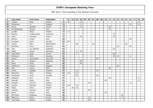| P  | Last name      | First name    | Federation      | $\mathsf{T}$ | 01 | 02 | 03             | 04 | 05 | 06 | 07 | 08 | 09 | 10 <sup>1</sup> | 11 | 12 | 13 | 14 | 15 | 16 | 17 | 18 | 19 |
|----|----------------|---------------|-----------------|--------------|----|----|----------------|----|----|----|----|----|----|-----------------|----|----|----|----|----|----|----|----|----|
| 67 | Lundén         | Rosa          | Finland         | 75           | 45 |    |                | 15 |    |    |    |    |    |                 |    |    |    |    |    |    |    | 15 |    |
| 68 | Allsebrook     | Jo            | England         | 74           |    |    |                | 5  |    |    |    |    |    |                 |    |    |    |    |    | 45 |    | 24 |    |
| 69 | Sacco          | Isabelle      | France          | 73           |    |    |                | 10 |    |    |    |    |    |                 | 63 |    |    |    |    |    |    |    |    |
| 70 | Di Paolantonio | Monica        | Italy           | 72           |    |    |                |    |    |    |    |    |    |                 | 72 |    |    |    |    |    |    |    |    |
| 71 | Lundén         | Reija         | Finland         | 72           | 72 |    |                |    |    |    |    |    |    |                 |    |    |    |    |    |    |    |    |    |
| 72 | Moreno         | Cristina Sanz | Catalonia       | 72           |    |    |                |    |    |    |    |    |    |                 |    | 72 |    |    |    |    |    |    |    |
| 73 | Célié          | Lauriane      | France          | 72           |    |    |                | 30 |    |    |    |    |    |                 |    | 42 |    |    |    |    |    |    |    |
| 74 | <b>Barnes</b>  | Lynda         | <b>USA</b>      | 69           |    |    |                |    |    |    |    |    |    |                 |    |    |    |    |    | 69 |    |    |    |
| 75 | Kovalova       | Daria         | Ukraine         | 69           | 69 |    |                |    |    |    |    |    |    |                 |    |    |    |    |    |    |    |    |    |
| 76 | Jansen         | Ellen         | Netherlands     | 67           |    |    | 28             |    |    |    | 16 |    |    |                 |    |    |    |    | 23 |    |    |    |    |
| 77 | Beuthner       | Laura         | Germany         | 66           |    |    |                |    |    |    |    |    |    |                 |    |    | 30 |    |    | 36 |    |    |    |
| 78 | Leal           | Luz Adriana   | Catalonia       | 63           |    |    |                |    |    |    |    |    |    |                 |    | 63 |    |    |    |    |    |    |    |
| 79 | Gabel          | Janine        | Germany         | 63           |    |    | 8              | 55 |    |    |    |    |    |                 |    |    |    |    |    |    |    |    |    |
| 80 | Saint Marc     | Aude          | France          | 62           |    |    | $\overline{2}$ |    |    |    |    |    |    |                 |    | 60 |    |    |    |    |    |    |    |
| 81 | Stankova       | Petra         | Slovakia        | 61           |    |    |                |    |    |    |    |    |    |                 |    | 39 | 16 |    |    | 6  |    |    |    |
| 82 | Jensen         | Anja Ginge    | Denmark         | 60           |    |    |                |    |    |    |    | 60 |    |                 |    |    |    |    |    |    |    |    |    |
| 83 | Koh            | Sharon        | Malaysia        | 60           |    |    |                | 60 |    |    |    |    |    |                 |    |    |    |    |    |    |    |    |    |
| 84 | Maier          | Emily         | <b>USA</b>      | 60           |    |    |                | 60 |    |    |    |    |    |                 |    |    |    |    |    |    |    |    |    |
| 85 | Stefanova      | Marina        | <b>Bulgaria</b> | 60           |    |    |                |    |    |    |    |    |    |                 |    |    | 60 |    |    |    |    |    |    |
| 86 | Vani           | Luana         | Italy           | 60           |    |    |                |    |    |    |    |    |    |                 | 60 |    |    |    |    |    |    |    |    |
| 87 | Hultin         | Isabelle      | Sweden          | 58           |    |    | 16             |    |    |    |    | 42 |    |                 |    |    |    |    |    |    |    |    |    |
| 88 | Manninen       | Nina          | Finland         | 54           | 42 |    | 12             |    |    |    |    |    |    |                 |    |    |    |    |    |    |    |    |    |
| 89 | Johansson      | Jenny         | Sweden          | 54           |    |    | 26             |    |    |    |    | 28 |    |                 |    |    |    |    |    |    |    |    |    |
| 90 | Cattaneo       | Susi          | Italy           | 53           |    |    |                |    |    |    |    |    |    |                 | 42 |    |    |    |    |    |    | 11 |    |
| 91 | Andrello       | Paola         | Italy           | 53           |    |    |                |    |    |    |    |    |    | 40              |    |    |    |    |    |    |    | 13 |    |
| 92 | Gutsjahr       | Carmen        | Austria         | 52           |    |    |                |    |    | 40 |    |    |    |                 |    |    |    |    |    | 12 |    |    |    |
| 93 | Impola         | Hannele       | Finland         | 51           | 39 |    | 12             |    |    |    |    |    |    |                 |    |    |    |    |    |    |    |    |    |
| 94 | Pająk          | Daria         | Poland          | 51           |    | 35 | 16             |    |    |    |    |    |    |                 |    |    |    |    |    |    |    |    |    |
| 95 | Crowder        | Danielle      | <b>USA</b>      | 50           |    |    |                |    |    | 50 |    |    |    |                 |    |    |    |    |    |    |    |    |    |
| 96 | Elena          | Grazia        | Italy           | 50           |    |    |                |    |    |    |    |    |    | 50              |    |    |    |    |    |    |    |    |    |
| 97 | Smirnova       | Evgeniya      | Russia          | 50           |    |    |                |    |    |    |    |    |    |                 |    |    |    | 50 |    |    |    |    |    |
| 98 | Milkovich      | Elena         | Russia          | 50           |    |    |                |    |    | 42 |    |    |    |                 |    |    |    | 8  |    |    |    |    |    |
| 99 | Csernicsek     | Bettina       | Austria         | 48           |    |    |                |    |    | 48 |    |    |    |                 |    |    |    |    |    |    |    |    |    |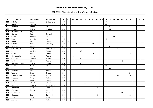| P   | Last name      | First name | Federation  | $\mathbf{T}$ | 01 | 02 | 03             | 04 | 05 | 06 | 07 | 08 | 09 | 10 <sup>1</sup> | 11 | 12 | 13 | 14 |    | $15$ 16 | 17 | 18 | 19 |
|-----|----------------|------------|-------------|--------------|----|----|----------------|----|----|----|----|----|----|-----------------|----|----|----|----|----|---------|----|----|----|
| 100 | Schutz         | Jenny      | Switzerland | 48           |    |    |                |    |    |    |    |    |    | 48              |    |    |    |    |    |         |    |    |    |
| 101 | Ferina         | Roberta    | Italy       | 46           |    |    |                |    |    |    |    |    |    | 46              |    |    |    |    |    |         |    |    |    |
| 102 | Mattalini      | Monica     | Italy       | 45           |    |    |                |    |    |    |    |    |    |                 | 45 |    |    |    |    |         |    |    |    |
| 103 | Vallons        | Melissa    | Belgium     | 45           |    |    |                |    |    |    |    |    |    |                 | 45 |    |    |    |    |         |    |    |    |
| 104 | Di Benedetto   | Helga      | Italy       | 44           |    |    |                |    |    |    |    |    |    | 44              |    |    |    |    |    |         |    |    |    |
| 105 | Grmek          | Maja       | Slovenia    | 44           |    |    |                |    |    | 44 |    |    |    |                 |    |    |    |    |    |         |    |    |    |
| 106 | Cullen         | Hannah     | Ireland     | 42           |    |    |                |    |    |    |    |    |    |                 |    | 42 |    |    |    |         |    |    |    |
| 107 | Fasulo         | Roberta    | Italy       | 42           |    |    |                |    |    |    |    |    |    | 42              |    |    |    |    |    |         |    |    |    |
| 108 | Lukkari        | Mari       | Finland     | 42           | 42 |    |                |    |    |    |    |    |    |                 |    |    |    |    |    |         |    |    |    |
| 109 | Schütz         | Martina    | Germany     | 42           |    |    | 26             |    |    |    | 16 |    |    |                 |    |    |    |    |    |         |    |    |    |
| 110 | Taschini       | Antonella  | Italy       | 42           |    |    |                |    |    |    |    |    |    |                 | 42 |    |    |    |    |         |    |    |    |
| 111 | van Hemert     | Paula      | Netherlands | 42           |    |    |                |    |    |    |    |    |    |                 |    |    | 42 |    |    |         |    |    |    |
| 112 | <b>Boiteux</b> | Charline   | France      | 40           |    |    |                | 40 |    |    |    |    |    |                 |    |    |    |    |    |         |    |    |    |
| 113 | Celiseva       | Jelena     | Latvia      | 40           |    |    |                |    |    |    | 16 |    |    |                 |    |    |    |    |    | 24      |    |    |    |
| 114 | Charęzińska    | Lucyna     | Poland      | 40           |    | 40 |                |    |    |    |    |    |    |                 |    |    |    |    |    |         |    |    |    |
| 115 | Combes         | Alexandra  | France      | 40           |    |    |                | 40 |    |    |    |    |    |                 |    |    |    |    |    |         |    |    |    |
| 116 | Kryl           | Kristina   | Russia      | 40           |    |    |                |    |    |    |    |    |    |                 |    |    |    | 40 |    |         |    |    |    |
| 117 | Murat-Mourgues | Valérie    | France      | 40           |    |    |                | 40 |    |    |    |    |    |                 |    |    |    |    |    |         |    |    |    |
| 118 | Buzzelli       | Daniela    | Italy       | 40           |    |    |                |    |    |    |    |    |    | 28              |    |    |    |    |    |         |    | 12 |    |
| 119 | Bambi          | Laura      | Italy       | 39           |    |    |                |    |    |    |    |    |    |                 | 39 |    |    |    |    |         |    |    |    |
| 120 | Nurmila        | Mari       | Finland     | 39           | 39 |    |                |    |    |    |    |    |    |                 |    |    |    |    |    |         |    |    |    |
| 121 | Wegner         | Cajsa      | Sweden      | 39           |    |    |                |    |    |    |    |    | 15 |                 |    |    |    |    |    | 24      |    |    |    |
| 122 | Farkas-Bucin   | Luminita   | Hungary     | 36           |    |    |                |    |    |    |    |    |    |                 |    |    | 12 |    |    | 24      |    |    |    |
| 123 | Forslund       | Sonja      | Finland     | 36           | 36 |    |                |    |    |    |    |    |    |                 |    |    |    |    |    |         |    |    |    |
| 124 | Jokinen        | Jonna      | Finland     | 36           | 36 |    |                |    |    |    |    |    |    |                 |    |    |    |    |    |         |    |    |    |
| 125 | Barić          | Slavica    | Croatia     | 35           |    |    |                |    | 35 |    |    |    |    |                 |    |    |    |    |    |         |    |    |    |
| 126 | Haandrikman    | Carmen     | Netherlands | 35           |    |    |                |    |    |    |    |    |    |                 |    |    |    |    | 35 |         |    |    |    |
| 127 | Johansen       | Rikke      | Denmark     | 35           |    |    |                |    |    |    |    | 26 |    |                 |    |    |    |    |    | 9       |    |    |    |
| 128 | Kjeldsen       | Kamilla    | Denmark     | 35           |    |    |                |    |    |    |    |    |    |                 |    |    |    |    |    |         | 35 |    |    |
| 129 | Korobkova      | Alena      | Russia      | 35           |    |    |                |    |    |    |    |    |    |                 |    |    |    | 35 |    |         |    |    |    |
| 130 | Guldbaek       | Heidi      | Denmark     | 34           |    |    | $\overline{4}$ |    |    |    |    | 12 |    |                 |    |    |    |    |    | 18      |    |    |    |
| 131 | Adler          | Tamara     | Austria     | 33           |    |    |                |    |    |    |    |    |    |                 |    |    |    |    |    | 33      |    |    |    |
| 132 | Alanko         | Nora       | Finland     | 33           | 33 |    |                |    |    |    |    |    |    |                 |    |    |    |    |    |         |    |    |    |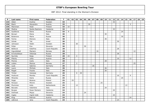| P   | Last name     | First name      | Federation     | $\mathsf{T}$ | 01 | 02 | 03             | 04 | 05 | 06 | 07 | 08 | 09 | 10 l | 11 | 12 | 13 | 14 | 15 | 16 | 17 | 18 | 19 |
|-----|---------------|-----------------|----------------|--------------|----|----|----------------|----|----|----|----|----|----|------|----|----|----|----|----|----|----|----|----|
| 133 | Alden         | Evelina         | Sweden         | 33           |    |    |                |    |    |    |    |    |    |      |    | 33 |    |    |    |    |    |    |    |
| 134 | Biach         | Alexandra       | Austria        | 33           |    |    |                |    |    | 30 |    |    |    |      |    |    |    |    |    | 3  |    |    |    |
| 135 | Manninen      | Heidi           | Finland        | 33           | 33 |    |                |    |    |    |    |    |    |      |    |    |    |    |    |    |    |    |    |
| 136 | Medina        | Noelia Rastrero | Catalonia      | 33           |    |    |                |    |    |    |    |    |    |      |    | 33 |    |    |    |    |    |    |    |
| 137 | Suslikova     | Elena           | Russia         | 33           | 9  |    |                |    |    |    |    |    |    |      |    |    |    | 24 |    |    |    |    |    |
| 138 | Borsari       | Elena           | Italy          | 30           |    |    |                |    |    |    |    |    |    | 30   |    |    |    |    |    |    |    |    |    |
| 139 | Bulanova      | Maria           | Russia         | 30           |    |    |                |    |    |    |    |    |    |      |    |    |    | 30 |    |    |    |    |    |
| 140 | Farina        | Elenora         | Italy          | 30           |    |    |                |    |    |    |    |    |    | 30   |    |    |    |    |    |    |    |    |    |
| 141 | Itzhak        | Tali            | Israel         | 30           |    |    |                |    |    |    |    |    |    |      |    |    | 30 |    |    |    |    |    |    |
| 142 | Johnsson      | Helén           | Sweden         | 30           |    |    | 30             |    |    |    |    |    |    |      |    |    |    |    |    |    |    |    |    |
| 143 | Požar         | Eva             | Slovenia       | 30           |    |    |                |    | 30 |    |    |    |    |      |    |    |    |    |    |    |    |    |    |
| 144 | Beštová       | Kateřina        | Czech Republic | 28           |    |    |                |    |    |    |    |    |    |      |    |    | 28 |    |    |    |    |    |    |
| 145 | Ingvoldstad   | Mariann         | Norway         | 28           |    |    |                |    |    |    |    | 16 |    |      |    |    |    |    |    |    | 12 |    |    |
| 146 | Krivolutskaya | Viktorija       | Russia         | 28           |    |    |                |    |    |    |    |    |    |      |    |    | 28 |    |    |    |    |    |    |
| 147 | Nurmila       | Reija           | Finland        | 28           | 24 |    | $\overline{4}$ |    |    |    |    |    |    |      |    |    |    |    |    |    |    |    |    |
| 148 | Pilecky       | Jutta           | Austria        | 28           |    |    |                |    |    |    |    |    |    |      |    |    | 16 |    |    | 12 |    |    |    |
| 149 | Pionna        | Carla           | Italy          | 28           |    |    |                |    |    |    |    |    |    | 28   |    |    |    |    |    |    |    |    |    |
| 150 | Lislien       | Monica          | Norway         | 27           |    |    | $\overline{2}$ |    |    |    |    |    |    |      |    |    |    |    |    |    | 25 |    |    |
| 151 | Laub          | Sabrina         | Germany        | 26           |    |    |                |    |    |    | 26 |    |    |      |    |    |    |    |    |    |    |    |    |
| 152 | Lauro         | Michela         | Italy          | 26           |    |    |                |    |    |    |    |    |    | 26   |    |    |    |    |    |    |    |    |    |
| 153 | Regali        | Fausta          | Italy          | 26           |    |    |                |    |    |    |    |    |    | 26   |    |    |    |    |    |    |    |    |    |
| 154 | Timter        | Vanessa         | Germany        | 26           |    |    | 6              | 20 |    |    |    |    |    |      |    |    |    |    |    |    |    |    |    |
| 155 | Hudcová       | Monika          | Czech Republic | 25           |    |    |                |    |    |    |    |    |    |      |    |    | 16 |    |    | 9  |    |    |    |
| 156 | Minenko       | Daria           | Russia         | 25           |    |    |                |    |    |    |    |    |    |      |    |    |    | 25 |    |    |    |    |    |
| 157 | Pająk         | Bożena          | Poland         | 25           |    | 25 |                |    |    |    |    |    |    |      |    |    |    |    |    |    |    |    |    |
| 158 | Persson       | Mimmi           | Sweden         | 25           |    |    |                |    |    |    |    |    | 25 |      |    |    |    |    |    |    |    |    |    |
| 159 | Plummen       | Kelly           | Netherlands    | 25           |    |    | 12             |    |    |    |    |    |    |      |    |    |    |    | 13 |    |    |    |    |
| 160 | Boccato       | Valentine       | Italy          | 24           |    |    |                |    |    |    |    |    |    | 24   |    |    |    |    |    |    |    |    |    |
| 161 | <b>Burgos</b> | Roser Romero    | Catalonia      | 24           |    |    |                |    |    |    |    |    |    |      |    | 24 |    |    |    |    |    |    |    |
| 162 | Dolinsek      | Mojca           | Slovenia       | 24           |    |    |                |    | 24 |    |    |    |    |      |    |    |    |    |    |    |    |    |    |
| 163 | Ingles        | Ingrid Julià    | Catalonia      | 24           |    |    |                |    |    |    |    |    |    |      |    | 24 |    |    |    |    |    |    |    |
| 164 | Klug          | Patricia        | Austria        | 24           |    |    |                |    |    |    |    |    |    |      |    |    |    |    |    | 24 |    |    |    |
| 165 | Lébrová       | Jana            | Czech Republic | 24           |    |    |                |    |    |    |    |    |    |      |    |    | 24 |    |    |    |    |    |    |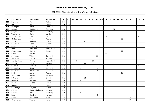| P   | Last name    | <b>First name</b> | Federation  | $\mathsf{T}$ | 01 | 02 | 03 | 04 | $05 \mid$ | 06 | 07 | 08 | 09 | 10 <sup>1</sup> | 11 | 12 | 13 | 14 | 15 | 16 | 17 | 18 | 19 |
|-----|--------------|-------------------|-------------|--------------|----|----|----|----|-----------|----|----|----|----|-----------------|----|----|----|----|----|----|----|----|----|
| 166 | Leskinen     | Suvi              | Finland     | 24           | 24 |    |    |    |           |    |    |    |    |                 |    |    |    |    |    |    |    |    |    |
| 167 | Mäkelä       | Sonja             | Finland     | 24           | 24 |    |    |    |           |    |    |    |    |                 |    |    |    |    |    |    |    |    |    |
| 168 | Nørregaard   | Marie             | Denmark     | 24           |    |    |    |    |           |    |    | 12 | 12 |                 |    |    |    |    |    |    |    |    |    |
| 169 | Postigo      | Lia Mojarro       | Catalonia   | 24           |    |    |    |    |           |    |    |    |    |                 |    | 24 |    |    |    |    |    |    |    |
| 170 | Rieger       | Juliane           | Germany     | 24           |    |    |    |    |           |    |    |    | 24 |                 |    |    |    |    |    |    |    |    |    |
| 171 | Tkachenko    | Marija            | Latvia      | 24           | 24 |    |    |    |           |    |    |    |    |                 |    |    |    |    |    |    |    |    |    |
| 172 | Santamaria   | Lara              | Italy       | 24           |    |    |    |    |           |    |    |    |    | 16              |    |    |    |    |    |    |    | 8  |    |
| 173 | Gorbacheva   | Yulia             | Russia      | 23           |    |    |    |    |           |    |    |    |    |                 |    |    |    | 23 |    |    |    |    |    |
| 174 | Vicković     | Danijela          | Croatia     | 23           |    |    |    |    | 23        |    |    |    |    |                 |    |    |    |    |    |    |    |    |    |
| 175 | Balúchová    | Alena             | Slovakia    | 22           |    |    |    |    |           |    |    |    |    |                 |    |    | 22 |    |    |    |    |    |    |
| 176 | Corelli      | Elisabetta        | Italy       | 22           |    |    |    |    |           |    |    |    |    | 22              |    |    |    |    |    |    |    |    |    |
| 177 | <b>Dirks</b> | Margreet          | Netherlands | 22           |    |    |    |    |           |    |    |    |    |                 |    |    | 22 |    |    |    |    |    |    |
| 178 | Kravchenko   | Marina            | Russia      | 22           |    |    |    |    |           |    |    |    |    |                 |    |    |    | 22 |    |    |    |    |    |
| 179 | Rizzo        | Marzia            | Italy       | 22           |    |    |    |    |           |    |    |    |    | 22              |    |    |    |    |    |    |    |    |    |
| 180 | Simonsen     | Trine             | Denmark     | 22           |    |    |    |    |           |    |    | 22 |    |                 |    |    |    |    |    |    |    |    |    |
| 181 | Torgersen    | Patcharin         | Norway      | 22           |    |    |    |    |           |    |    |    |    |                 |    |    |    |    |    |    | 22 |    |    |
| 182 | van der Meer | Sophie            | Netherlands | 22           |    |    | 6  |    |           |    | 16 |    |    |                 |    |    |    |    |    |    |    |    |    |
| 183 | Zalokar      | Tanja             | Slovenia    | 22           |    |    |    |    | 22        |    |    |    |    |                 |    |    |    |    |    |    |    |    |    |
| 184 | Valentini    | Stefania          | Italy       | 22           |    |    |    |    |           |    |    |    |    | 16              |    |    |    |    |    |    |    | 6  |    |
| 185 | Boegeskov    | Nickie            | Denmark     | 21           |    |    |    | 5  |           |    |    | 16 |    |                 |    |    |    |    |    |    |    |    |    |
| 186 | de Lisser    | Natalia Ann       | Denmark     | 21           |    |    |    |    |           |    |    | 8  | 13 |                 |    |    |    |    |    |    |    |    |    |
| 187 | Egel         | Alena             | Russia      | 21           |    |    |    |    |           |    |    |    |    |                 |    |    |    | 21 |    |    |    |    |    |
| 188 | Janorschek   | Natalie           | Germany     | 21           |    |    |    |    |           |    |    |    | 21 |                 |    |    |    |    |    |    |    |    |    |
| 189 | Petković     | Jelena            | Croatia     | 21           |    |    |    |    | 21        |    |    |    |    |                 |    |    |    |    |    |    |    |    |    |
| 190 | Derynck      | Isabelle          | France      | 20           |    |    |    | 20 |           |    |    |    |    |                 |    |    |    |    |    |    |    |    |    |
| 191 | Goron        | Solène            | France      | 20           |    |    |    | 20 |           |    |    |    |    |                 |    |    |    |    |    |    |    |    |    |
| 192 | Larsson      | Liz               | Sweden      | 20           |    |    |    |    |           |    |    |    | 20 |                 |    |    |    |    |    |    |    |    |    |
| 193 | Sheshenya    | Tatyana           | Russia      | 20           |    |    |    |    |           |    |    |    |    |                 |    |    |    | 20 |    |    |    |    |    |
| 194 | Stivang      | Miriam Lindgaard  | Norway      | 20           |    |    |    |    |           |    |    |    |    |                 |    |    |    |    |    |    | 20 |    |    |
| 195 | Stolting     | Julia             | Germany     | 20           |    |    |    | 20 |           |    |    |    |    |                 |    |    |    |    |    |    |    |    |    |
| 196 | Riise        | Lisa Iren         | Norway      | 19           |    |    |    |    |           |    |    | 8  |    |                 |    |    |    |    |    |    | 11 |    |    |
| 197 | Broinger     | Jacqueline        | Austria     | 18           |    |    |    |    |           |    |    |    |    |                 |    |    |    |    |    | 18 |    |    |    |
| 198 | Carannante   | Tiziana           | Malta       | 18           |    |    |    |    |           |    |    |    |    |                 |    |    |    |    |    | 18 |    |    |    |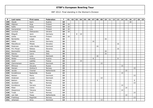| P   | Last name   | First name  | Federation  | $\mathsf{T}$ | 01 | 02 | 03 | 04 | 05 | 06 | 07 | 08 | 09 | 10 <sup>1</sup> | 11 | 12 | 13 | 14 | 15 | 16 | 17 | 18 | 19 |
|-----|-------------|-------------|-------------|--------------|----|----|----|----|----|----|----|----|----|-----------------|----|----|----|----|----|----|----|----|----|
| 199 | Heyde       | Karin       | Austria     | 18           |    |    |    |    |    |    |    |    |    |                 |    |    |    |    |    | 18 |    |    |    |
| 200 | Hilpinen    | Anja        | Finland     | 18           | 18 |    |    |    |    |    |    |    |    |                 |    |    |    |    |    |    |    |    |    |
| 201 | Kallio      | Kaisa       | Finland     | 18           | 18 |    |    |    |    |    |    |    |    |                 |    |    |    |    |    |    |    |    |    |
| 202 | Kamarainen  | Lina        | Finland     | 18           | 18 |    |    |    |    |    |    |    |    |                 |    |    |    |    |    |    |    |    |    |
| 203 | Levchuk     | Oleksandra  | Ukraine     | 18           | 18 |    |    |    |    |    |    |    |    |                 |    |    |    |    |    |    |    |    |    |
| 204 | Ribguth     | Janin       | Germany     | 18           |    |    | 8  | 10 |    |    |    |    |    |                 |    |    |    |    |    |    |    |    |    |
| 205 | Uotila      | Hannele     | Finland     | 18           | 18 |    |    |    |    |    |    |    |    |                 |    |    |    |    |    |    |    |    |    |
| 206 | Bartalotta  | Luigia      | Italy       | 16           |    |    |    |    |    |    |    |    |    | 16              |    |    |    |    |    |    |    |    |    |
| 207 | Gäbel       | Janine      | Germany     | 16           |    |    |    |    |    |    | 16 |    |    |                 |    |    |    |    |    |    |    |    |    |
| 208 | Matušíková  | Milada      | Slovakia    | 16           |    |    |    |    |    |    |    |    |    |                 |    |    | 16 |    |    |    |    |    |    |
| 209 | Pedersen    | Lotte Houbo | Denmark     | 16           |    |    |    |    |    |    |    | 16 |    |                 |    |    |    |    |    |    |    |    |    |
| 210 | Pirc-Musar  | Natasa      | Slovenia    | 16           |    |    |    |    |    |    |    |    |    |                 |    |    | 16 |    |    |    |    |    |    |
| 211 | Rommellini  | Daniela     | Italy       | 16           |    |    |    |    |    |    |    |    |    | 16              |    |    |    |    |    |    |    |    |    |
| 212 | Sascau      | Laura       | Italy       | 16           |    |    |    |    |    |    |    |    |    | 16              |    |    |    |    |    |    |    |    |    |
| 213 | Thomsen     | Lone        | Denmark     | 16           |    |    |    |    |    |    |    | 16 |    |                 |    |    |    |    |    |    |    |    |    |
| 214 | Weber       | Andrea      | Austria     | 16           |    |    |    |    |    |    | 8  |    |    |                 |    |    | 8  |    |    |    |    |    |    |
| 215 | Cardi       | Laetitia    | France      | 15           |    |    |    | 15 |    |    |    |    |    |                 |    |    |    |    |    |    |    |    |    |
| 216 | Clemmensen  | Hanne       | Denmark     | 15           |    |    |    |    |    |    |    |    | 15 |                 |    |    |    |    |    |    |    |    |    |
| 217 | Efimova     | Zaryana     | Russia      | 15           |    |    |    |    |    |    |    |    |    |                 |    |    |    | 15 |    |    |    |    |    |
| 218 | Hansen      | Andrea E.   | Norway      | 15           |    |    |    |    |    |    |    |    |    |                 |    |    |    |    |    |    | 15 |    |    |
| 219 | Jacobs      | Chantal     | Netherlands | 15           |    |    |    |    |    |    |    |    |    |                 |    |    |    |    | 15 |    |    |    |    |
| 220 | Korablinova | Nadezhda    | Russia      | 15           |    |    |    |    |    |    |    |    |    |                 |    |    |    | 15 |    |    |    |    |    |
| 221 | Nielsen     | Maria       | Denmark     | 15           |    |    |    |    |    |    |    |    |    |                 |    |    |    |    |    |    | 15 |    |    |
| 222 | Andersen    | Louise      | Denmark     | 14           |    |    |    |    |    |    |    |    | 14 |                 |    |    |    |    |    |    |    |    |    |
| 223 | Bakken      | Sandra      | Norway      | 14           |    |    |    |    |    |    |    | 8  |    |                 |    |    |    |    |    |    | 6  |    |    |
| 224 | Jacobsen    | Åse         | Norway      | 14           |    |    |    |    |    |    |    |    |    |                 |    |    |    |    |    |    | 14 |    |    |
| 225 | Korobkova   | Varvara     | Russia      | 14           |    |    |    |    |    |    |    |    |    |                 |    |    |    | 14 |    |    |    |    |    |
| 226 | Ribet       | Celine      | France      | 14           |    |    |    |    |    |    |    |    |    |                 |    |    |    |    | 14 |    |    |    |    |
| 227 | Stepanova   | Tatyana     | Russia      | 14           |    |    |    |    |    |    |    |    |    |                 |    |    |    | 14 |    |    |    |    |    |
| 228 | Tvedt       | Torill      | Norway      | 14           |    |    |    |    |    |    |    |    |    |                 |    |    |    |    |    |    | 14 |    |    |
| 229 | van Ojik    | Tessa       | Netherlands | 14           |    |    |    |    |    |    |    |    |    |                 |    |    |    |    | 14 |    |    |    |    |
| 230 | Frøshaug    | Ragnhild    | Norway      | 13           |    |    |    |    |    |    |    |    |    |                 |    |    |    |    |    |    | 13 |    |    |
| 231 | Johansen    | Anny        | Denmark     | 13           |    |    |    |    |    |    |    |    | 13 |                 |    |    |    |    |    |    |    |    |    |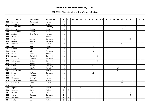| P   | Last name   | First name                         | Federation | $\mathbf{T}$ | 01             | 02 | 03 | 04 | 05 | 06 | 07 | 08 | 09 | 10 <sup>1</sup> | 11 | 12 | 13 | 14 |    | $15$ 16 | 17 | 18 | 19 |
|-----|-------------|------------------------------------|------------|--------------|----------------|----|----|----|----|----|----|----|----|-----------------|----|----|----|----|----|---------|----|----|----|
| 232 | Knudsen     | Marianne Ø                         | Norway     | 13           |                |    |    |    |    |    |    |    |    |                 |    |    |    |    |    |         | 13 |    |    |
| 233 | Kosyakova   | Polina                             | Russia     | 13           |                |    |    |    |    |    |    |    |    |                 |    |    |    | 13 |    |         |    |    |    |
| 234 | Reitmeister | Anka                               | Germany    | 13           |                |    |    |    |    |    |    |    |    |                 |    |    |    |    | 13 |         |    |    |    |
| 235 | Smotrova    | Ksenia                             | Russia     | 13           |                |    |    |    |    |    |    |    |    |                 |    |    |    | 13 |    |         |    |    |    |
| 236 | Apanyakina  | Ksenia                             | Russia     | 12           |                |    |    |    |    |    |    |    |    |                 |    |    |    | 12 |    |         |    |    |    |
| 237 | Arntzen     | Kine Mariel                        | Norway     | 12           |                |    |    |    |    |    |    |    |    |                 |    |    |    |    |    |         | 12 |    |    |
| 238 | Dillström   | Pirjo                              | Finland    | 12           | 12             |    |    |    |    |    |    |    |    |                 |    |    |    |    |    |         |    |    |    |
| 239 | Ehlers      | Andrea                             | Germany    | 12           |                |    |    |    |    |    |    |    |    |                 |    |    |    |    |    | 12      |    |    |    |
| 240 | Geissler    | Nadine                             | Germany    | 12           |                |    | 12 |    |    |    |    |    |    |                 |    |    |    |    |    |         |    |    |    |
| 241 | Glazkova    | Liana                              | Russia     | 12           |                |    |    |    |    |    |    |    |    |                 |    |    |    | 12 |    |         |    |    |    |
| 242 | Guigon      | Daniele                            | France     | 12           |                |    |    |    |    |    | 12 |    |    |                 |    |    |    |    |    |         |    |    |    |
| 243 | Gylden      | Lida                               | Finland    | 12           | 12             |    |    |    |    |    |    |    |    |                 |    |    |    |    |    |         |    |    |    |
| 244 | Hertz       | Julia                              | Germany    | 12           |                |    |    |    |    |    | 12 |    |    |                 |    |    |    |    |    |         |    |    |    |
| 245 | Hiltunen    | Eliisa                             | Finland    | 12           | 12             |    |    |    |    |    |    |    |    |                 |    |    |    |    |    |         |    |    |    |
| 246 | Jensen      | Maria Bak                          | Denmark    | 12           |                |    |    |    |    |    |    | 12 |    |                 |    |    |    |    |    |         |    |    |    |
| 247 | Kammerer    | Alexandra                          | Germany    | $12$         |                |    |    |    |    |    | 12 |    |    |                 |    |    |    |    |    |         |    |    |    |
| 248 | Kristensen  | Karina                             | Denmark    | 12           |                |    |    |    |    |    |    | 12 |    |                 |    |    |    |    |    |         |    |    |    |
| 249 | Rantala     | Henna                              | Finland    | 12           | 12             |    |    |    |    |    |    |    |    |                 |    |    |    |    |    |         |    |    |    |
| 250 | Schiller    | Marett                             | Germany    | 12           |                |    |    |    |    |    | 12 |    |    |                 |    |    |    |    |    |         |    |    |    |
| 251 | Šramková    | Kristína                           | Slovakia   | 12           |                |    |    |    |    |    |    |    |    |                 |    |    | 12 |    |    |         |    |    |    |
| 252 | Stowaserová | Vanda                              | Slovakia   | 12           |                |    |    |    |    |    |    |    |    |                 |    |    | 12 |    |    |         |    |    |    |
| 253 | Zölgert     | Stefanie                           | Germany    | 12           |                |    |    |    |    |    | 12 |    |    |                 |    |    |    |    |    |         |    |    |    |
| 254 | Baraldi     | Fabiana                            | Italy      | 12           |                |    |    |    |    |    |    |    |    |                 |    |    |    |    |    |         |    | 12 |    |
| 255 | Helgesen    | <b>Karoline</b><br>C <sub>mt</sub> | Norway     | 11           |                |    |    |    |    |    |    |    |    |                 |    |    |    |    |    |         | 11 |    |    |
| 256 | Rostovtseva | Nadezhda                           | Russia     | 11           |                |    |    |    |    |    |    |    |    |                 |    |    |    | 11 |    |         |    |    |    |
| 257 | Sazonova    | Elena                              | Russia     | 11           |                |    |    |    |    |    |    |    |    |                 |    |    |    | 11 |    |         |    |    |    |
| 258 | Ciattoni    | Simona                             | Italy      | 11           |                |    |    |    |    |    |    |    |    |                 |    |    |    |    |    |         |    | 11 |    |
| 259 | Laplanche   | Gaëlle                             | France     | 10           |                |    |    | 10 |    |    |    |    |    |                 |    |    |    |    |    |         |    |    |    |
| 260 | Hongisto    | Marja                              | Finland    | 9            | 9              |    |    |    |    |    |    |    |    |                 |    |    |    |    |    |         |    |    |    |
| 261 | Mizrahi     | Sarit                              | Israel     | 9            |                |    |    |    |    |    |    |    |    |                 |    |    |    |    |    | 9       |    |    |    |
| 262 | Oeing       | Manuela                            | Germany    | 9            |                |    |    |    |    |    |    |    |    |                 |    |    |    |    |    | 9       |    |    |    |
| 263 | Poikonen    | Heidi                              | Finland    | 9            | 9              |    |    |    |    |    |    |    |    |                 |    |    |    |    |    |         |    |    |    |
| 264 | Puska       | Jasmin                             | Finland    | 9            | $\overline{9}$ |    |    |    |    |    |    |    |    |                 |    |    |    |    |    |         |    |    |    |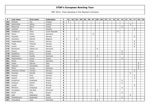| P   | Last name       | First name | Federation     | $\mathbf{T}$ | 01 | 02 | 03      | 04 | 05 | 06 | 07 | 08 | 09 | 10 <sub>1</sub> | 11 | 12 | 13 | 14 | 15 <sup>1</sup> | 16 | 17 | 18 | 19 |
|-----|-----------------|------------|----------------|--------------|----|----|---------|----|----|----|----|----|----|-----------------|----|----|----|----|-----------------|----|----|----|----|
| 265 | Puthisto        | Tija       | Finland        | 9            | 9  |    |         |    |    |    |    |    |    |                 |    |    |    |    |                 |    |    |    |    |
| 266 | Spitzmüller     | Wilma      | Austria        | 9            |    |    |         |    |    |    |    |    |    |                 |    |    |    |    |                 | 9  |    |    |    |
| 267 | Belyanina       | Maria      | Russia         | 8            |    |    |         |    |    |    |    |    |    |                 |    |    |    | 8  |                 |    |    |    |    |
| 268 | Carlsson        | Åsa        | Sweden         | 8            |    |    |         |    |    |    |    |    |    |                 |    |    |    |    |                 |    | 8  |    |    |
| 269 | Chládková       | Hana       | Czech Republic | 8            |    |    |         |    |    |    |    |    |    |                 |    |    | 8  |    |                 |    |    |    |    |
| 270 | Facius          | Monic      | Germany        | 8            |    |    |         |    |    |    | 8  |    |    |                 |    |    |    |    |                 |    |    |    |    |
| 271 | Fosseide        | Grethe     | Norway         | 8            |    |    |         |    |    |    |    |    |    |                 |    |    |    |    |                 |    | 8  |    |    |
| 272 | Goossens        | Katrien    | Belgium        | 8            |    |    | $\,8\,$ |    |    |    |    |    |    |                 |    |    |    |    |                 |    |    |    |    |
| 273 | Ingebrigtsen    | Sylvia     | Norway         | 8            |    |    |         |    |    |    |    |    |    |                 |    |    |    |    |                 |    | 8  |    |    |
| 274 | Krogh           | Therese    | Norway         | 8            |    |    |         |    |    |    |    |    |    |                 |    |    |    |    |                 |    | 8  |    |    |
| 275 | Larsen          | Celine     | Norway         | 8            |    |    |         |    |    |    |    |    |    |                 |    |    |    |    |                 |    | 8  |    |    |
| 276 | Mortensen       | Vibeke Lie | Denmark        | 8            |    |    |         |    |    |    |    | 8  |    |                 |    |    |    |    |                 |    |    |    |    |
| 277 | Orlova          | Anna       | Russia         | 8            |    |    |         |    |    |    |    |    |    |                 |    |    |    | 8  |                 |    |    |    |    |
| 278 | Shatalova       | Elvira     | Russia         | 8            |    |    |         |    |    |    |    |    |    |                 |    |    |    | 8  |                 |    |    |    |    |
| 279 | Sidelmann       | Dorthe     | Denmark        | 8            |    |    |         |    |    |    |    | 8  |    |                 |    |    |    |    |                 |    |    |    |    |
| 280 | Stashchenko     | Larisa     | Russia         | 8            |    |    |         |    |    |    |    |    |    |                 |    |    |    | 8  |                 |    |    |    |    |
| 281 | Uhlich          | Sonja      | Germany        | 8            |    |    | 8       |    |    |    |    |    |    |                 |    |    |    |    |                 |    |    |    |    |
| 282 | Celino          | Patrizia   | Italy          | 8            |    |    |         |    |    |    |    |    |    |                 |    |    |    |    |                 |    |    | 8  |    |
| 283 | Vateroni        | Simonetta  | Italy          | 8            |    |    |         |    |    |    |    |    |    |                 |    |    |    |    |                 |    |    | 8  |    |
| 284 | Petrut          | Lenuta     | Romania        | 8            |    |    |         |    |    |    |    |    |    |                 |    |    |    |    |                 |    |    | 8  |    |
| 285 | Andersen Löfman | Christin   | Norway         | 6            |    |    |         |    |    |    |    |    |    |                 |    |    |    |    |                 |    | 6  |    |    |
| 286 | Dosztaly        | Sarolta    | Hungary        | 6            |    |    |         |    |    |    |    |    |    |                 |    |    |    |    |                 | 6  |    |    |    |
| 287 | Ersland         | Nina       | Norway         | 6            |    |    |         |    |    |    |    |    |    |                 |    |    |    |    |                 |    | 6  |    |    |
| 288 | Hansen          | Randi      | Norway         | 6            |    |    |         |    |    |    |    |    |    |                 |    |    |    |    |                 |    | 6  |    |    |
| 289 | Kuleshova       | Anastasia  | Russia         | 6            |    |    |         |    |    |    |    |    |    |                 |    |    |    | 6  |                 |    |    |    |    |
| 290 | Kulikova        | Ksenia     | Russia         | 6            |    |    |         |    |    |    |    |    |    |                 |    |    |    | 6  |                 |    |    |    |    |
| 291 | Løvdal          | Mona       | Norway         | 6            |    |    |         |    |    |    |    |    |    |                 |    |    |    |    |                 |    | 6  |    |    |
| 292 | Mishkina        | Anastasia  | Russia         | 6            |    |    |         |    |    |    |    |    |    |                 |    |    |    | 6  |                 |    |    |    |    |
| 293 | Overgaard       | Ida Boel   | Denmark        | 6            |    |    |         |    |    |    |    | 6  |    |                 |    |    |    |    |                 |    |    |    |    |
| 294 | Parits          | Dina       | Russia         | 6            |    |    |         |    |    |    |    |    |    |                 |    |    |    | 6  |                 |    |    |    |    |
| 295 | Said            | Stephanie  | Malta          | 6            |    |    |         |    |    |    |    |    |    |                 |    |    |    |    |                 | 6  |    |    |    |
| 296 | Shakhbazyan     | Nadezhda   | Russia         | 6            |    |    |         |    |    |    |    |    |    |                 |    |    |    | 6  |                 |    |    |    |    |
| 297 | Svaneberg       | Anja       | Denmark        | 6            |    |    |         |    |    |    |    | 6  |    |                 |    |    |    |    |                 |    |    |    |    |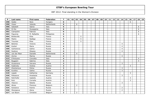| P   | Last name          | <b>First name</b> | Federation  | $\mathsf{T}$            | 01 | 02 | 03             | 04 | 05 | 06 | 07 | 08 | 09 | 10 <sup>1</sup> | 11 | 12 | 13 | 14             | 15 | 16 | 17 | 18                       | 19 |
|-----|--------------------|-------------------|-------------|-------------------------|----|----|----------------|----|----|----|----|----|----|-----------------|----|----|----|----------------|----|----|----|--------------------------|----|
| 298 | Szabo              | Nora              | Hungary     | 6                       |    |    |                |    |    |    |    |    |    |                 |    |    |    |                |    | 6  |    |                          |    |
| 299 | Visser             | Jolanda           | Netherlands | 6                       |    |    | 6              |    |    |    |    |    |    |                 |    |    |    |                |    |    |    |                          |    |
| 300 | Sabatelli          | Idania            | Italy       | 6                       |    |    |                |    |    |    |    |    |    |                 |    |    |    |                |    |    |    | 6                        |    |
| 301 | Di Dio             | Giuseppina        | Italy       | 6                       |    |    |                |    |    |    |    |    |    |                 |    |    |    |                |    |    |    | 6                        |    |
| 302 | Ciampolini         | Fabrizia          | Italy       | 6                       |    |    |                |    |    |    |    |    |    |                 |    |    |    |                |    |    |    | 6                        |    |
| 303 | Figueroa           | M. Rafaelita      | Philippines | 6                       |    |    |                |    |    |    |    |    |    |                 |    |    |    |                |    |    |    | 6                        |    |
| 304 | <b>Bretteville</b> | Elise             | France      | $\overline{5}$          |    |    |                | 5  |    |    |    |    |    |                 |    |    |    |                |    |    |    |                          |    |
| 305 | Maitre             | Nadège            | France      | 5                       |    |    |                | 5  |    |    |    |    |    |                 |    |    |    |                |    |    |    |                          |    |
| 306 | Trouniac           | Elise             | France      | 5                       |    |    |                | 5  |    |    |    |    |    |                 |    |    |    |                |    |    |    |                          |    |
| 307 | Belenko            | Victoria          | Russia      | 4                       |    |    |                |    |    |    |    |    |    |                 |    |    |    | $\overline{4}$ |    |    |    |                          |    |
| 308 | Koshel             | Maria             | Russia      | 4                       |    |    |                |    |    |    |    |    |    |                 |    |    |    | $\overline{4}$ |    |    |    |                          |    |
| 309 | Sukhanova          | Galina            | Russia      | 4                       |    |    |                |    |    |    |    |    |    |                 |    |    |    | 4              |    |    |    |                          |    |
| 310 | Suslova            | Oksana            | Russia      | 4                       |    |    |                |    |    |    |    |    |    |                 |    |    |    | $\overline{4}$ |    |    |    |                          |    |
| 311 | van der Meer       | Danielle          | Netherlands | 4                       |    |    | $\overline{4}$ |    |    |    |    |    |    |                 |    |    |    |                |    |    |    |                          |    |
| 312 | Zorina             | Marina            | Russia      | 4                       |    |    |                |    |    |    |    |    |    |                 |    |    |    | 4              |    |    |    |                          |    |
| 313 | D'Antuono          | Concetta          | Italy       | 4                       |    |    |                |    |    |    |    |    |    |                 |    |    |    |                |    |    |    | $\overline{\mathcal{A}}$ |    |
| 314 | Buggiani           | Sabrina           | Italy       | 4                       |    |    |                |    |    |    |    |    |    |                 |    |    |    |                |    |    |    | $\overline{4}$           |    |
| 315 | Gryaznova          | Varvara           | Russia      | 3                       |    |    |                |    |    |    |    |    |    |                 |    |    |    | 3              |    |    |    |                          |    |
| 316 | Kadensky           | Andrea            | Austria     | 3                       |    |    |                |    |    |    |    |    |    |                 |    |    |    |                |    | 3  |    |                          |    |
| 317 | Kharlamova         | Polina            | Russia      | 3                       |    |    |                |    |    |    |    |    |    |                 |    |    |    | 3              |    |    |    |                          |    |
| 318 | Kurdina            | Galina            | Russia      | 3                       |    |    |                |    |    |    |    |    |    |                 |    |    |    | 3              |    |    |    |                          |    |
| 319 | Lippek             | Katharina         | Germany     | 3                       |    |    |                |    |    |    |    |    |    |                 |    |    |    |                |    | 3  |    |                          |    |
| 320 | Pokasova           | Anastasia         | Russia      | 3                       |    |    |                |    |    |    |    |    |    |                 |    |    |    | 3              |    |    |    |                          |    |
| 321 | Rohrhofer          | Isabella          | Austria     | 3                       |    |    |                |    |    |    |    |    |    |                 |    |    |    |                |    | 3  |    |                          |    |
| 322 | Rulz               | Cornelia          | Austria     | 3                       |    |    |                |    |    |    |    |    |    |                 |    |    |    |                |    | 3  |    |                          |    |
| 323 | Vlasova            | Natalia           | Russia      | 3                       |    |    |                |    |    |    |    |    |    |                 |    |    |    | 3              |    |    |    |                          |    |
| 324 | Abras              | Florence          | Belgium     | $\overline{2}$          |    |    | $\overline{2}$ |    |    |    |    |    |    |                 |    |    |    |                |    |    |    |                          |    |
| 325 | Karaseva           | Ksenia            | Russia      | $\mathbf{2}$            |    |    |                |    |    |    |    |    |    |                 |    |    |    | $\overline{2}$ |    |    |    |                          |    |
| 326 | Sharapova          | Alena             | Russia      | $\mathbf{2}$            |    |    |                |    |    |    |    |    |    |                 |    |    |    | $\overline{2}$ |    |    |    |                          |    |
| 327 | van Boom           | Christine         | Belgium     | $\overline{\mathbf{2}}$ |    |    | $\overline{2}$ |    |    |    |    |    |    |                 |    |    |    |                |    |    |    |                          |    |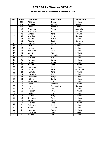### **Brunswick Ballmaster Open / Finland / Gold**

| Pos.            | <b>Points</b>  | Last name  | First name    | Federation |
|-----------------|----------------|------------|---------------|------------|
| 1               | 150            | Pöllänen   | Krista        | Finland    |
| $\overline{2}$  | 120            | Andersson  | Sandra        | Sweden     |
| 3               | 105            | Lantto     | Veronica      | Sweden     |
| $\overline{4}$  | 90             | Staudinger | Cassie        | Australia  |
| $\overline{5}$  | 75             | Bröndsted  | <b>Britt</b>  | Denmark    |
| $\overline{6}$  | 72             | Lundén     | Reija         | Finland    |
| $\overline{7}$  | 69             | Kovalova   | Daria         | Ukraine    |
| 8               | 66             | Pöntinen   | Marjo         | Finland    |
| 9               | 63             | Pöppler    | <b>Birgit</b> | Germany    |
| 10              | 60             | Pasanen    | Sanna         | Finland    |
| 11              | 45             | Flack      | Nina          | Sweden     |
| 12              | 45             | Lundén     | Rosa          | Finland    |
| 13              | 42             | Manninen   | Nina          | Finland    |
| 14              | 42             | Lukkari    | Mari          | Finland    |
| 15              | 39             | Impola     | Hannele       | Finland    |
| 16              | 39             | Nurmila    | Mari          | Finland    |
| 17              | 36             | Forslund   | Sonja         | Finland    |
| 18              | 36             | Jokinen    | Jonna         | Finland    |
| 19              | 33             | Alanko     | Nora          | Finland    |
| 20              | 33             | Manninen   | Heidi         | Finland    |
| 21              | 24             | Luoto      | Patricia      | Germany    |
| 22              | 24             | Nurmila    | Reija         | Finland    |
| 23              | 24             | Leskinen   | Suvi          | Finland    |
| $\overline{24}$ | 24             | Tkachenko  | Marija        | Latvia     |
| 25              | 24             | Mäkelä     | Sonja         | Finland    |
| 26              | 18             | Kamarainen | Lina          | Finland    |
| 27              | 18             | Uotila     | Hannele       | Finland    |
| 28              | 18             | Levchuk    | Oleksandra    | Ukraine    |
| 29              | 18             | Kallio     | Kaisa         | Finland    |
| $\overline{30}$ | 18             | Hilpinen   | Anja          | Finland    |
| 31              | 12             | Gylden     | Lida          | Finland    |
| 32              | 12             | Keituri    | Margit        | Finland    |
| 33              | 12             | Dillström  | Pirjo         | Finland    |
| 34              | 12             | Rantala    | Henna         | Finland    |
| $\overline{35}$ | 12             | Hiltunen   | Eliisa        | Finland    |
| 36              | 9              | Poikonen   | Heidi         | Finland    |
| 37              | 9              | Puska      | Jasmin        | Finland    |
| 38              | $\overline{9}$ | Hongisto   | Marja         | Finland    |
| 39              | 9              | Suslikova  | Elena         | Russia     |
| 40              | $\overline{9}$ | Puthisto   | Tiia          | Finland    |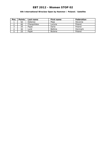### **6th International Wroclaw Open by Hammer / Poland / Satellite**

| Pos. | <b>Points</b> | Last name      | First name     | Federation |
|------|---------------|----------------|----------------|------------|
|      | 50            | <b>Debenec</b> | Maja           | Slovenia   |
|      | 40            | Charezińska    | Lucyna         | Poland     |
|      | 35            | Pajak          | Daria          | Poland     |
|      | 30            | Lund           | <b>Bettina</b> | Denmark    |
|      | 25            | Pajak          | Bożena         | Poland     |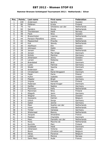### **Hammer Bronzen Schietspoel Tournament 2012 / Netherlands / Silver**

| Pos.                    | <b>Points</b>            | Last name         | <b>First name</b> | Federation  |
|-------------------------|--------------------------|-------------------|-------------------|-------------|
| $\mathbf{1}$            | 100                      | Andersson         | Sandra            | Sweden      |
| $\overline{2}$          | 80                       | Pöllänen          | Krista            | Finland     |
| $\overline{\mathbf{3}}$ | 70                       | Tol               | Ghislaine van der | Netherlands |
| $\overline{4}$          | 60                       | Sanders           | Nicole            | Netherlands |
| 5                       | 50                       | Thorstensen       | Heidi             | Norway      |
| $\overline{6}$          | 48                       | Flack             | Nina              | Sweden      |
| $\overline{7}$          | 46                       | Breeschoten       | Lisanne           | Netherlands |
| 8                       | 44                       | Persson-Planefors | Joline            | Sweden      |
| 9                       | 42                       | Maaswinkel        | Priscilla         | Netherlands |
| 10                      | 40                       | <b>Kok</b>        | Wendy             | Netherlands |
| 11                      | 30                       | Adolfsson         | Elin              | Sweden      |
| 12                      | 30                       | Johnsson          | Helén             | Sweden      |
| 13                      | 28                       | Jansen            | Ellen             | Netherlands |
| 14                      | 28                       | Jensen            | Mai Ginge         | Denmark     |
| 15                      | 26                       | Schütz            | Martina           | Germany     |
| 16                      | 26                       | Johansson         | Jenny             | Sweden      |
| 17                      | 24                       | Larsen            | Rebecka           | Sweden      |
| 18                      | 24                       | Brøndsted         | <b>Britt</b>      | Denmark     |
| 19                      | 22                       | Luoto             | Patricia          | Germany     |
| 20                      | 22                       | Wedel             | Sascha            | Denmark     |
| 21                      | 16                       | Andersson         | Ida               | Sweden      |
| 22                      | 16                       | Christensen       | Randi Brogaard    | Denmark     |
| 23                      | 16                       | Pajak             | Daria             | Poland      |
| 24                      | 16                       | Hultin            | Isabelle          | Sweden      |
| 25                      | 16                       | Pöppler           | <b>Birgit</b>     | Germany     |
| 26                      | 12                       | Impola            | Hannele           | Finland     |
| 27                      | 12                       | Pedersen          | Randi Kryger      | Denmark     |
| 28                      | 12                       | Geißler           | Nadine            | Germany     |
| 29                      | 12                       | Plummen           | Kelly             | Netherlands |
| 30                      | 12                       | Manninen          | Nina              | Finland     |
| 31                      | 8                        | Ribguth           | Janin             | Germany     |
| $\overline{32}$         | 8                        | Wegner            | Jenny             | Sweden      |
| $\overline{33}$         | $\overline{8}$           | Goossens          | Katrien           | Belgium     |
| 34                      | 8                        | Uhlich            | Sonja             | Germany     |
| 35                      | 8                        | Gabel             | Janine            | Germany     |
| 36                      | 6                        | Meer              | Sophie van der    | Netherlands |
| 37                      | 6                        | Visser            | Jolanda           | Netherlands |
| 38                      | 6                        | Timter            | Vanessa           | Germany     |
| 39                      | 6                        | Wiekeraad         | <b>Bianca</b>     | Netherlands |
| 40                      | 6                        | Jacques           | Amandine          | France      |
| 41                      | $\overline{\mathbf{4}}$  | Madsen            | Charlotte         | Denmark     |
| 42                      | $\overline{\mathcal{L}}$ | Meer              | Danielle van der  | Netherlands |
| 43                      | 4                        | Rooij             | Maxime de         | Netherlands |
| 44                      | $\overline{\mathcal{L}}$ | Nurmilo           | Mari              | Finland     |
| 45                      | $\overline{\mathcal{L}}$ | Guldbaek          | Heidi             | Denmark     |
| 46                      | $\overline{2}$           | Johansson         | Victoria          | Sweden      |
| 47                      | $\overline{2}$           | Boom              | Christine van     | Belgium     |
| 48                      | $\overline{2}$           | Abras             | Florence          | Belgium     |
| 49                      | $\overline{2}$           | Lislien           | Monica            | Norway      |
| 50                      | $\overline{2}$           | Saint Marc        | Aude              | France      |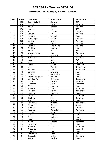### **Brunswick Euro Challenge / France / Platinum**

| Pos.                     | <b>Points</b>   | Last name          | First name    | Federation  |
|--------------------------|-----------------|--------------------|---------------|-------------|
| 1                        | 250             | Dorin-Ballard      | Carolyn       | <b>USA</b>  |
| $\overline{2}$           | 200             | Pöppler            | <b>Birgit</b> | Germany     |
| $\overline{3}$           | 175             | Aziela             | Zandra        | Malaysia    |
| $\overline{\mathcal{L}}$ | 150             | Johnson            | Liz           | <b>USA</b>  |
| $\overline{5}$           | 125             | Sin                | Li Jane       | Malaysia    |
| 6                        | 120             | Safiyah            | Siti          | Malaysia    |
| $\overline{7}$           | 115             | Jacques            | Amandine      | France      |
| 8                        | 110             | Staudinger         | Cassie        | Australia   |
| 9                        | 105             | Zulkifli           | Shalin        | Malaysia    |
| 10                       | 100             | Cheah              | Esther        | Malaysia    |
| 11                       | 75              | Dayang             | Khairuniza    | Malaysia    |
| 12                       | $\overline{75}$ | Bouillier          | Laurene       | France      |
| 13                       | 70              | Parkin             | Missy         | <b>USA</b>  |
| 14                       | 70              | Ginge Jensen       | Mai           | Denmark     |
| 15                       | 65              | Sijore             | Jacqueline    | Malaysia    |
| 16                       | 65              | <b>Broendsted</b>  | <b>Britt</b>  | Denmark     |
| 17                       | 60              | Maier              | Emily         | <b>USA</b>  |
| 18                       | 60              | Koh                | Sharon        | Malaysia    |
| 19                       | 55              | Gabel              | Janine        | Germany     |
| 20                       | 55              | Kok                | Wendy         | Netherlands |
| 21                       | 40              | Sanders            | Nicole        | Netherlands |
| 22                       | 40              | <b>Boiteux</b>     | Charline      | France      |
| $\overline{23}$          | 40              | Combes             | Alexandra     | France      |
| 24                       | 40              | Murat-Mourgues     | Valérie       | France      |
| $\overline{25}$          | 40              | Van Der Tol        | Ghislaine     | Netherlands |
| 26                       | 30              | Luoto              | Patricia      | Germany     |
| 27                       | 30              | Guerrero           | Clara         | Colombia    |
| 28                       | 30              | Célié              | Lauriane      | France      |
| 29                       | 30              | Heberle            | Nicole        | Germany     |
| 30                       | 30              | De Rooij           | Maxime        | Netherlands |
| 31                       | 20              | Derynck            | Isabelle      | France      |
| $\overline{32}$          | 20              | Timter             | Vanessa       | Germany     |
| $\overline{33}$          | 20              | Stolting           | Julia         | Germany     |
| 34                       | 20              | Goron              | Solène        | France      |
| 35                       | 20              | Maaswinkel         | Priscilla     | Netherlands |
| 36                       | 15              | Andersson          | Sandra        | Sweden      |
| 37                       | 15              | Glendert           | Malin         | Sweden      |
| 38                       | 15              | Pedersen           | Randi Kryger  | Denmark     |
| 39                       | 15              | Lunden             | Roosa         | Finland     |
| 40                       | 15              | Cardi              | Laetitia      | France      |
| 41                       | 10              | Sacco              | Isabelle      | France      |
| 42                       | 10              | Flack              | Nina          | Sweden      |
| 43                       | 10              | Wedel              | Sascha        | Denmark     |
| 44                       | 10              | Laplanche          | Gaëlle        | France      |
| 45                       | 10              | Ribguth            | Janin         | Germany     |
| 46                       | 5               | Allsebrook         | Jo            | England     |
| 47                       | $\overline{5}$  | Trouniac           | Elise         | France      |
| 48                       | $\overline{5}$  | <b>Bretteville</b> | Elise         | France      |
| 49                       | $\overline{5}$  | Boegeskov          | <b>Nickie</b> | Denmark     |
| 50                       | $\overline{5}$  | Maitre             | Nadège        | France      |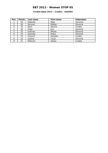### **Croatia Open 2012 / Croatia / Satellite**

| Pos. | <b>Points</b> | Last name       | First name | Federation |
|------|---------------|-----------------|------------|------------|
|      | 50            | Debenec         | Maja       | Slovenia   |
| 2    | 40            | Kerovec         | Mateja     | Slovenia   |
| 3    | 35            | Barić           | Slavica    | Croatia    |
| 4    | 30            | Požar           | Eva        | Slovenia   |
| 5    | 25            | Križman         | Mihela     | Slovenia   |
| 6    | 24            | <b>Dolinsek</b> | Mojca      | Slovenia   |
| ⇁    | 23            | Vicković        | Danijela   | Croatia    |
| 8    | 22            | Zalokar         | Tanja      | Slovenia   |
| 9    | 21            | Petković        | Jelena     | Croatia    |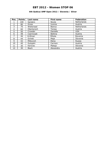### **6th Qubica/AMF Open 2012 / Slovenia / Silver**

| Pos.           | <b>Points</b> | Last name      | First name     | <b>Federation</b> |
|----------------|---------------|----------------|----------------|-------------------|
|                | 100           | <b>Sanders</b> | Nicole         | Netherlands       |
| $\overline{2}$ | 80            | Gross          | Ivonne         | Austria           |
| 3              | 70            | Wiekeraad      | Bianca         | Netherlands       |
| 4              | 60            | Oberkersch     | Teresa         | Austria           |
| 5              | 50            | Crowder        | Danielle       | <b>USA</b>        |
| 6              | 48            | Csernicsek     | <b>Bettina</b> | Austria           |
|                | 46            | Križman        | Mihela         | Slovenia          |
| 8              | 44            | Grmek          | Maja           | Slovenia          |
| 9              | 42            | Milkovich      | Elena          | Russia            |
| 10             | 40            | Gutsjahr       | Carmen         | Austria           |
| 11             | 30            | Kerovec        | Mateja         | Slovenia          |
| 12             | 30            | <b>Biach</b>   | Alexandra      | Austria           |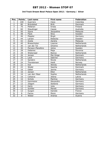### **3rd Track Dream-Bowl Palace Open 2012 / Germany / Silver**

| Pos.            | <b>Points</b>   | Last name         | First name    | <b>Federation</b> |
|-----------------|-----------------|-------------------|---------------|-------------------|
| $\mathbf{1}$    | 100             | Guerrero          | Clara         | Colombia          |
| $\overline{2}$  | 80              | Bröndsted         | <b>Britt</b>  | <b>Denmark</b>    |
| $\overline{3}$  | 70              | Pöllänen          | Krista        | Finland           |
| 4               | 60              | Staudinger        | Cassie        | Australia         |
| $\overline{5}$  | 50              | Sijore            | Jacqueline    | Malaysia          |
| $\overline{6}$  | 48              | Flack             | <b>Nina</b>   | Sweden            |
| $\overline{7}$  | 46              | Pöppler           | <b>Birgit</b> | Germany           |
| 8               | 44              | Larsen            | Rebecka       | Sweden            |
| $\overline{9}$  | 42              | Aziela            | Zandra        | Malaysia          |
| 10              | 40              | Breeschoten       | Lisanne       | Netherlands       |
| 11              | 30              | van der Tol       | Ghisline      | Netherlands       |
| $\overline{12}$ | $\overline{30}$ | Persson-Planefors | Joline        | Sweden            |
| 13              | $\overline{28}$ | Debenec           | Maja          | Slovenia          |
| 14              | 28              | Wiekeraad         | <b>Bianca</b> | Netherlands       |
| 15              | 26              | Jensen            | Mai Ginge     | <b>Denmark</b>    |
| $\overline{16}$ | $\overline{26}$ | Laub              | Sabrina       | Germany           |
| 17              | 24              | Sanders           | Nicole        | Netherlands       |
| 18              | 24              | Thorstensen       | Heidi         | Norway            |
| 19              | 22              | <b>Kok</b>        | Wendy         | Netherlands       |
| $\overline{20}$ | 22              | Wedel             | Sascha        | Denmark           |
| $\overline{21}$ | 16              | Gäbel             | Janine        | Germany           |
| 22              | 16              | Jansen            | Ellen         | Netherlands       |
| 23              | 16              | van derr Meer     | Sophie        | Netherlands       |
| $\overline{24}$ | 16              | Celiseva          | Jelena        | Latvia            |
| $\overline{25}$ | 16              | Schütz            | Martina       | Germany           |
| 26              | 12              | Kammerer          | Alexandra     | Germany           |
| 27              | 12              | Zölgert           | Stefanie      | Germany           |
| 28              | 12              | Hertz             | Julia         | Germany           |
| $\overline{29}$ | 12              | Schiller          | Marett        | Germany           |
| $\overline{30}$ | 12              | Guigon            | Daniele       | France            |
| 31              | 8               | Facius            | Monic         | Germany           |
| $\overline{32}$ | $\overline{8}$  | Weber             | Andrea        | Austria           |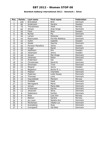### **Bowltech Aalborg International 2012 / Denmark / Silver**

| Pos.                      | <b>Points</b>   | Last name         | <b>First name</b> | Federation     |
|---------------------------|-----------------|-------------------|-------------------|----------------|
| 1                         | 100             | Bröndsted         | <b>Britt</b>      | Denmark        |
| $\overline{2}$            | 80              | Andersson         | Sandra            | Sweden         |
| $\overline{\overline{3}}$ | 70              | Thorstensen       | Heidi             | Norway         |
| $\overline{4}$            | 60              | Jensen            | Anja Ginge        | <b>Denmark</b> |
| $\overline{5}$            | 50              | Flack             | Nina              | Sweden         |
| $\overline{6}$            | 48              | <b>Burkal</b>     | Pia               | Denmark        |
| $\overline{7}$            | 46              | Larsen            | Rebecka           | Sweden         |
| 8                         | 44              | Rasmussen         | Pernille Welleius | Denmark        |
| $\overline{9}$            | 42              | Hultin            | Isabelle          | Sweden         |
| 10                        | 40              | Wedel             | Sascha            | Denmark        |
| 11                        | $\overline{30}$ | Persson-Planefors | Joline            | Sweden         |
| $\overline{12}$           | $\overline{30}$ | Kryger            | Randi             | Denmark        |
| $\overline{13}$           | $\overline{28}$ | Adolfsson         | Elin              | Sweden         |
| 14                        | $\overline{28}$ | Johansson         | Jenny             | Sweden         |
| $\overline{15}$           | $\overline{26}$ | Jensen            | Mai Ginge         | <b>Denmark</b> |
| 16                        | 26              | Johansen          | <b>Rikke</b>      | <b>Denmark</b> |
| 17                        | 24              | Andersson         | Ida               | Sweden         |
| 18                        | 24              | Christensen       | Randi B.          | <b>Denmark</b> |
| 19                        | 22              | Simonsen          | Trine             | Denmark        |
| 20                        | 22              | Wegner            | Jenny             | Sweden         |
| 21                        | 16              | Bögeskov          | Nickie M. L.      | <b>Denmark</b> |
| 22                        | 16              | Madsen            | Charlotte         | <b>Denmark</b> |
| 23                        | 16              | Pedersen          | Lotte Houbo       | Denmark        |
| $\overline{24}$           | 16              | Thomsen           | Lone              | <b>Denmark</b> |
| $\overline{25}$           | 16              | Ingvoldstad       | Mariann           | Norway         |
| $\overline{26}$           | 12              | Guldbäk           | Heidi             | Denmark        |
| 27                        | 12              | Nørregaard        | Marie             | Denmark        |
| 28                        | $\overline{12}$ | Jensen            | Maria Bak         | Denmark        |
| $\overline{29}$           | $\overline{12}$ | Kristensen        | Karina            | Denmark        |
| 30                        | 12              | Johansen          | <b>Stine</b>      | Denmark        |
| 31                        | 8               | Sidelmann         | Dorthe            | Denmark        |
| $\overline{32}$           | $\overline{8}$  | Riise             | Lisa Iren         | Norway         |
| $\overline{33}$           | $\overline{8}$  | <b>Bakken</b>     | Sandra            | Norway         |
| $\overline{34}$           | $\overline{8}$  | de Lisser         | Natalia Ann       | Denmark        |
| $\overline{35}$           | $\overline{8}$  | Mortensen         | Vibeke Lie        | <b>Denmark</b> |
| 36                        | 6               | Svaneberg         | Anja              | Denmark        |
| 37                        | 6               | Overgaard         | Ida Boel          | Denmark        |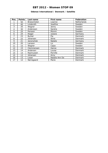#### **Odense International / Denmark / Satellite**

| Pos. | <b>Points</b> | Last name         | First name     | Federation  |
|------|---------------|-------------------|----------------|-------------|
|      | 50            | Breeschoten       | Lisanne        | Netherlands |
| 2    | 40            | Linderoth         | Josefine       | Sweden      |
| 3    | 35            | Wegner            | Jenny          | Sweden      |
| 4    | 30            | Andersson         | Sandra         | Sweden      |
| 5    | 25            | Persson           | Mimmi          | Sweden      |
| 6    | 24            | Rieger            | Juliane        | Germany     |
| 7    | 23            | <b>Burkal</b>     | Pia            | Denmark     |
| 8    | 22            | Johansen          | <b>Stine</b>   | Denmark     |
| 9    | 21            | <b>Janorschek</b> | Natalie        | Germany     |
| 10   | 20            | Larsson           | Liz            | Sweden      |
| 11   | 15            | Wegner            | Cajsa          | Sweden      |
| 12   | 15            | Clemmensen        | Hanne          | Denmark     |
| 13   | 14            | Andersen          | Louise         | Denmark     |
| 14   | 14            | Rasmussen         | Pernille       | Denmark     |
| 15   | 13            | Johansen          | Anny           | Denmark     |
| 16   | 13            | Lisser            | Natalia Ann De | Denmark     |
| 17   | 12            | Nørregaard        | Marie          | Denmark     |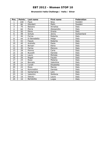### **Brunswick Italia Challenge / Italia / Silver**

| Pos.           | <b>Points</b> | Last name       | <b>First name</b> | Federation  |
|----------------|---------------|-----------------|-------------------|-------------|
| $\mathbf{1}$   | 100           | <b>Flack</b>    | Nina              | Sweden      |
| $\overline{2}$ | 80            | Glendert        | Malin             | Sweden      |
| 3              | 70            | Balzano         | Annalisa          | Italy       |
| 4              | 60            | Morra           | Alessandra        | Italy       |
| 5              | 50            | Elena           | Grazia            | Italy       |
| 6              | 48            | Schutz          | Jenny             | Switzerland |
| $\overline{7}$ | 46            | Ferina          | Roberta           | Italy       |
| 8              | 44            | Di Benedetto    | Helga             | Italy       |
| 9              | 42            | Fasulo          | Roberta           | Italy       |
| 10             | 40            | Andrello        | Paola             | Italy       |
| 11             | 30            | Borsari         | Elena             | Italy       |
| 12             | 30            | Farina          | Elenora           | Italy       |
| 13             | 28            | Pionna          | Carla             | Italy       |
| 14             | 28            | <b>Buzzelli</b> | Daniela           | Italy       |
| 15             | 26            | Lauro           | Michela           | Italy       |
| 16             | 26            | Regali          | Fausta            | Italy       |
| 17             | 24            | Rossi           | Melania           | Italy       |
| 18             | 24            | <b>Boccato</b>  | Valentine         | Italy       |
| 19             | 22            | Corelli         | Elisabetta        | Italy       |
| 20             | 22            | Rizzo           | Marzia            | Italy       |
| 21             | 16            | Rommellini      | Daniela           | Italy       |
| 22             | 16            | Santamaria      | Lara              | Italy       |
| 23             | 16            | Valentini       | Stefania          | Italy       |
| 24             | 16            | Sascau          | Laura             | Italy       |
| 25             | 16            | Bartalotta      | Luigia            | Italy       |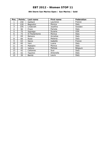### **8th Storm San Marino Open / San Marino / Gold**

| Pos.           | <b>Points</b> | Last name      | <b>First name</b> | Federation |
|----------------|---------------|----------------|-------------------|------------|
|                | 150           | Gaillard       | Laurence          | France     |
| $\overline{2}$ | 120           | Bagnolini      | Monica            | Italy      |
| 3              | 105           | Linderoth      | Josefine          | Sweden     |
| 4              | 90            | Frioni         | Pamela            | Italy      |
| 5              | 75            | Signaigo       | Suzana            | <b>USA</b> |
| 6              | 72            | Di Paolantonio | Monica            | Italy      |
| 7              | 69            | Balzano        | Annalisa          | Italy      |
| 8              | 66            | Rossi          | Melania           | Italy      |
| 9              | 63            | Sacco          | Isabelle          | France     |
| 10             | 60            | Vani           | Luana             | Italy      |
| 11             | 45            | Mattalini      | Monica            | Italy      |
| 12             | 45            | Vallons        | Melissa           | Belgium    |
| 13             | 42            | Cattaneo       | Susi              | Italy      |
| 14             | 42            | Taschini       | Antonella         | Italy      |
| 15             | 39            | Bambi          | Laura             | Italy      |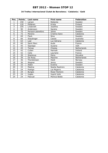#### **34 Trofeu Internacional Ciutat de Barcelona / Catalonia / Gold**

| Pos.           | <b>Points</b> | Last name         | First name      | <b>Federation</b> |
|----------------|---------------|-------------------|-----------------|-------------------|
| 1              | 150           | Larsen            | Rebecka         | Sweden            |
| $\overline{2}$ | 120           | Pöllänen          | Krista          | Finland           |
| 3              | 105           | Linderoth         | Josefine        | Sweden            |
| 4              | 90            | Andersson         | Sandra          | Sweden            |
| 5              | 75            | Persson-planefors | Joline          | Sweden            |
| 6              | 72            | Moreno            | Cristina Sanz   | Catalonia         |
| 7              | 69            | <b>Flack</b>      | Nina            | Sweden            |
| 8              | 66            | Staudinger        | Cassie          | Australia         |
| 9              | 63            | Leal              | Luz Adriana     | Catalonia         |
| 10             | 60            | Saint Marc        | Aude            | France            |
| 11             | 45            | Signaigo          | Suzana          | <b>USA</b>        |
| 12             | 45            | Tomas             | Cheska          | Netherlands       |
| 13             | 42            | Cullen            | Hannah          | Ireland           |
| 14             | 42            | Celie             | Lauriane        | France            |
| 15             | 39            | Stankova          | Petra           | Slovakia          |
| 16             | 39            | De Rooij          | Maxime          | Netherlands       |
| 17             | 36            | Thorstensen       | Heidi           | Norway            |
| 18             | 36            | Wegner            | Jenny           | Sweden            |
| 19             | 33            | Alden             | Evelina         | Sweden            |
| 20             | 33            | Medina            | Noelia Rastrero | Catalonia         |
| 21             | 24            | Postigo           | Lia Mojarro     | Catalonia         |
| 22             | 24            | <b>Burgos</b>     | Roser Romero    | Catalonia         |
| 23             | 24            | Ingles            | Ingrid Julià    | Catalonia         |
| 24             | 24            | Pascual           | Monica Boldo    | Catalonia         |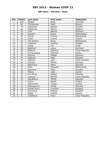**BNC Open / Slovakia / Silver**

| Pos.            | <b>Points</b>   | Last name      | First name     | Federation      |
|-----------------|-----------------|----------------|----------------|-----------------|
| 1               | 100             | Pöppler        | <b>Birgit</b>  | Germany         |
| $\overline{2}$  | 80              | Thorstensen    | Heidi          | Norway          |
| $\overline{3}$  | 70              | Andersson      | Sandra         | Sweden          |
| $\overline{4}$  | 60              | Stefanova      | Marina         | <b>Bulgaria</b> |
| $\overline{5}$  | 50              | Lund           | <b>Bettina</b> | Denmark         |
| 6               | 48              | <b>Sanders</b> | Nicole         | Netherlands     |
| $\overline{7}$  | 46              | <b>Tomas</b>   | Cheska         | Netherlands     |
| 8               | 44              | Gross          | Ivonne         | Austria         |
| 9               | 42              | van Hemert     | Paula          | Netherlands     |
| 10              | 40              | Linderoth      | Josefine       | Sweden          |
| 11              | 30              | Itzhak         | Tali           | Israel          |
| 12              | 30              | Beuthner       | Laura          | Germany         |
| 13              | 28              | Beštová        | Kateřina       | Czech Republic  |
| 14              | 28              | Krivolutskaya  | Viktorija      | Russia          |
| 15              | 26              | Kerovec        | Mateja         | Slovenia        |
| 16              | $\overline{26}$ | Debenec        | Maja           | Slovenia        |
| 17              | 24              | Lébrová        | Jana           | Czech Republic  |
| 18              | 24              | Krizman        | Mihela         | Slovenia        |
| 19              | 22              | Balúchová      | Alena          | Slovakia        |
| 20              | 22              | <b>Dirks</b>   | Margreet       | Netherlands     |
| $\overline{21}$ | 16              | Stanková       | Petra          | Slovakia        |
| 22              | 16              | Pilecky        | Jutta          | Austria         |
| 23              | 16              | Pirc-Musar     | Natasa         | Slovenia        |
| $\overline{24}$ | 16              | Hudcová        | Monika         | Czech Republic  |
| 25              | 16              | Matušíková     | Milada         | Slovakia        |
| 26              | 12              | Keituri        | Margit         | Finland         |
| 27              | 12              | Oberkersch     | Teresa         | Austria         |
| $\overline{28}$ | 12              | Stowaserová    | Vanda          | Slovakia        |
| 29              | 12              | Farkas-Bucin   | Luminita       | Hungary         |
| 30              | 12              | Šramková       | Kristína       | Slovakia        |
| $\overline{31}$ | 8               | Weber          | Andrea         | Austria         |
| $\overline{32}$ | $\overline{8}$  | Chládková      | Hana           | Czech Republic  |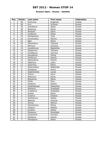### **Russian Open / Russia / Satellite**

| Pos.           | <b>Points</b>  | Last name   | First name | Federation |
|----------------|----------------|-------------|------------|------------|
| 1              | 50             | Smirnova    | Evgeniya   | Russia     |
| $\overline{2}$ | 40             | Kryl        | Kristina   | Russia     |
| 3              | 35             | Korobkova   | Alena      | Russia     |
| $\overline{4}$ | 30             | Bulanova    | Maria      | Russia     |
| $\overline{5}$ | 25             | Minenko     | Daria      | Russia     |
| 6              | 24             | Suslikova   | Elena      | Russia     |
| $\overline{7}$ | 23             | Gorbacheva  | Yulia      | Russia     |
| 8              | 22             | Kravchenko  | Marina     | Russia     |
| 9              | 21             | Egel        | Alena      | Russia     |
| 10             | 20             | Sheshenya   | Tatyana    | Russia     |
| 11             | 15             | Efimova     | Zaryana    | Russia     |
| 12             | 15             | Korablinova | Nadezhda   | Russia     |
| 13             | 14             | Stepanova   | Tatyana    | Russia     |
| 14             | 14             | Korobkova   | Varvara    | Russia     |
| 15             | 13             | Kosyakova   | Polina     | Russia     |
| 16             | 13             | Smotrova    | Ksenia     | Russia     |
| 17             | 12             | Apanyakina  | Ksenia     | Russia     |
| 18             | 12             | Glazkova    | Liana      | Russia     |
| 19             | 11             | Sazonova    | Elena      | Russia     |
| 20             | 11             | Rostovtseva | Nadezhda   | Russia     |
| 21             | 8              | Shatalova   | Elvira     | Russia     |
| 22             | $\overline{8}$ | Stashchenko | Larisa     | Russia     |
| 23             | 8              | Orlova      | Anna       | Russia     |
| 24             | 8              | Milkovich   | Elena      | Russia     |
| 25             | 8              | Belyanina   | Maria      | Russia     |
| 26             | 6              | Parits      | Dina       | Russia     |
| 27             | 6              | Kulikova    | Ksenia     | Russia     |
| 28             | 6              | Shakhbazyan | Nadezhda   | Russia     |
| 29             | $\overline{6}$ | Mishkina    | Anastasia  | Russia     |
| 30             | $\overline{6}$ | Kuleshova   | Anastasia  | Russia     |
| 31             | 4              | Koshel      | Maria      | Russia     |
| 32             | 4              | Suslova     | Oksana     | Russia     |
| 33             | 4              | Sukhanova   | Galina     | Russia     |
| 34             | 4              | Belenko     | Victoria   | Russia     |
| 35             | 4              | Zorina      | Marina     | Russia     |
| 36             | 3              | Kharlamova  | Polina     | Russia     |
| 37             | $\overline{3}$ | Vlasova     | Natalia    | Russia     |
| 38             | $\overline{3}$ | Kurdina     | Galina     | Russia     |
| 39             | $\overline{3}$ | Pokasova    | Anastasia  | Russia     |
| 40             | $\overline{3}$ | Gryaznova   | Varvara    | Russia     |
| 41             | $\overline{2}$ | Karaseva    | Ksenia     | Russia     |
| 42             | $\overline{2}$ | Sharapova   | Alena      | Russia     |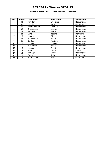### **Chandra Open 2012 / Netherlands / Satellite**

| Pos.           | <b>Points</b> | Last name      | <b>First name</b> | Federation  |
|----------------|---------------|----------------|-------------------|-------------|
|                | 50            | van der Tol    | Ghislaine         | Netherlands |
| $\overline{2}$ | 40            | Pöppler        | <b>Birgit</b>     | Germany     |
| 3              | 35            | Haandrikman    | Carmen            | Netherlands |
| 4              | 30            | Breeschoten    | Lisanne           | Netherlands |
| 5              | 25            | <b>Sanders</b> | Nicole            | Netherlands |
| 6              | 24            | Lund           | <b>Bettina</b>    | Denmark     |
| 7              | 23            | Jansen         | Ellen             | Netherlands |
| 8              | 22            | Maaswinkel     | Priscilla         | Netherlands |
| 9              | 21            | de Rooij       | Maxime            | Netherlands |
| 10             | 20            | <b>Tomas</b>   | Cheska            | Netherlands |
| 11             | 15            | Wiekeraad      | <b>Bianca</b>     | Netherlands |
| 12             | 15            | <b>Jacobs</b>  | Chantal           | Netherlands |
| 13             | 14            | Ribet          | Celine            | France      |
| 14             | 14            | van Ojik       | Tessa             | Netherlands |
| 15             | 13            | Plummen        | Kelly             | Netherlands |
| 16             | 13            | Reitmeister    | Anka              | Germany     |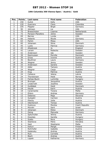### **10th Columbia 300 Vienna Open / Austria / Gold**

| Pos.                     | <b>Points</b>   | Last name         | <b>First name</b> | Federation         |
|--------------------------|-----------------|-------------------|-------------------|--------------------|
| $\mathbf{1}$             | 150             | Kulick            | Kelly             | <b>USA</b>         |
| $\overline{2}$           | 120             | Guerrero          | Clara             | Colombia           |
| 3                        | 105             | Pöppler           | <b>Birgit</b>     | Germany            |
| $\overline{\mathcal{L}}$ | 90              | Johnson           | Lis               | <b>USA</b>         |
| $\overline{5}$           | 75              | Breeschoten       | Lisanne           | <b>Netherlands</b> |
| $\overline{6}$           | 72              | Persson-Planefors | Joline            | Sweden             |
| $\overline{7}$           | 69              | <b>Barnes</b>     | Lynda             | <b>USA</b>         |
| 8                        | 66              | Heberle           | Nicole            | Germany            |
| $\overline{9}$           | 63              | Parkin            | Missy             | <b>USA</b>         |
| 10                       | 60              | Johansen          | <b>Stine</b>      | Denmark            |
| 11                       | 45              | Luoto             | Patricia          | Germany            |
| 12                       | 45              | Allsebrook        | Jo                | England            |
| 13                       | 42              | Larsen            | Rebecka           | Sweden             |
| 14                       | 42              | Andersson         | Ida               | Sweden             |
| $\overline{1}5$          | 39              | Rasmussen         | Pernille          | Denmark            |
| 16                       | 39              | Gross             | Ivonne            | Austria            |
| 17                       | 36              | Beuthner          | Laura             | Germany            |
| 18                       | 36              | Wegner            | Jenny             | Sweden             |
| 19                       | 33              | Andersson         | Sandra            | Sweden             |
| 20                       | $\overline{33}$ | Adler             | Tamara            | Austria            |
| 21                       | 24              | Wegner            | Casja             | Sweden             |
| 22                       | 24              | Klug              | Patricia          | Austria            |
| 23                       | 24              | Celiseva          | Jelena            | Latvia             |
| 24                       | 24              | Thorstensen       | Heidi             | Norway             |
| 25                       | 24              | Farkas-Bucin      | Luminita          | Hungary            |
| 26                       | 18              | <b>Broinger</b>   | Jacqueline        | Austria            |
| 27                       | 18              | Linderroth        | Josefine          | Sweden             |
| 28                       | 18              | Guldbäek          | Heidi             | Denmark            |
| $\overline{29}$          | 18              | Heyde             | Karin             | Austria            |
| 30                       | 18              | Carannante        | Tiziana           | Malta              |
| $\overline{31}$          | 12              | <b>Ehlers</b>     | Andrea            | Germany            |
| 32                       | 12              | Debenec           | Maja              | Slovenia           |
| 33                       | 12              | Gutsjahr          | Carmen            | Austria            |
| 34                       | 12              | Pilecky           | Jutta             | Austria            |
| $\overline{35}$          | 12              | Oberkersch        | Teresa            | Austria            |
| 36                       | 9               | Hudcova           | Monika            | Czech Republic     |
| 37                       | $\overline{9}$  | Mizrahi           | Sarit             | Israel             |
| 38                       | $\overline{9}$  | Johansen          | Rikke             | Denmark            |
| 39                       | $\overline{9}$  | Oeing             | Manuela           | Germany            |
| 40                       | $\overline{9}$  | Spitzmüller       | Wilma             | Austria            |
| 41                       | 6               | Dosztaly          | Sarolta           | Hungary            |
| 42                       | $\overline{6}$  | Szabo             | Nora              | Hungary            |
| 43                       | $\overline{6}$  | Stankova          | Petra             | Slovakia           |
| 44                       | 6               | Said              | Stephanie         | Malta              |
| 45                       | 6               | Keituri           | Margit            | Finland            |
| 46                       | $\overline{3}$  | Rohrhofer         | Isabella          | Austria            |
| 47                       | $\overline{3}$  | Kadensky          | Andrea            | Austria            |
| 48                       | $\overline{3}$  | Rulz              | Cornelia          | Austria            |
| 49                       | $\overline{3}$  | <b>Biach</b>      | Andrea            | Austria            |
| $\overline{50}$          | $\overline{3}$  | Lippek            | Katharina         | Germany            |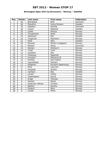### **Norwegian Open 2012 by Brunswick / Norway / Satellite**

| Pos.                     | <b>Points</b>  | Last name       | First name         | Federation     |
|--------------------------|----------------|-----------------|--------------------|----------------|
| $\mathbf{1}$             | 50             | Brøndsted       | <b>Britt</b>       | <b>Denmark</b> |
| $\overline{2}$           | 40             | Planefors       | Joline Persson     | Sweden         |
| 3                        | 35             | Kjeldsen        | Kamilla            | <b>Denmark</b> |
| $\overline{\mathcal{L}}$ | 30             | Larsen          | Rebecka            | Sweden         |
| $\overline{5}$           | 25             | Lislien         | Monica             | Norway         |
| $\overline{6}$           | 24             | Thorstensen     | Heidi              | Norway         |
| $\overline{7}$           | 23             | Adolfsson       | <b>Elin</b>        | Sweden         |
| 8                        | 22             | Torgersen       | Patcharin          | Norway         |
| $\overline{9}$           | 21             | <b>Flack</b>    | Nina               | Sweden         |
| 10                       | 20             | Stivang         | Miriam Lindgaard   | Norway         |
| 11                       | 15             | Nielsen         | Maria              | Denmark        |
| 12                       | 15             | Hansen          | Andrea E.          | Norway         |
| 13                       | 14             | Tvedt           | Torill             | Norway         |
| 14                       | 14             | Jacobsen        | Åse                | Norway         |
| 15                       | 13             | Frøshaug        | Ragnhild           | Norway         |
| 16                       | 13             | Knudsen         | Marianne Ø         | Norway         |
| 17                       | 12             | Arntzen         | <b>Kine Mariel</b> | Norway         |
| 18                       | 12             | Ingvoldstad     | Mariann            | Norway         |
| 19                       | 11             | Helgesen        | Karoline Sæterhaug | Norway         |
| 20                       | 11             | <b>Riise</b>    | Lisa Iren          | Norway         |
| 21                       | 8              | Fosseide        | Grethe             | Norway         |
| 22                       | $\overline{8}$ | Carlsson        | Åsa                | Sweden         |
| 23                       | 8              | Larsen          | Celine             | Norway         |
| 24                       | $\overline{8}$ | Ingebrigtsen    | Sylvia             | Norway         |
| 25                       | $\overline{8}$ | Krogh           | <b>Therese</b>     | Norway         |
| 26                       | 6              | Hansen          | Randi              | Norway         |
| 27                       | $\overline{6}$ | Andersen Löfman | Christin           | Norway         |
| 28                       | 6              | <b>Bakken</b>   | Sandra             | Norway         |
| 29                       | $\overline{6}$ | Ersland         | Nina               | Norway         |
| $\overline{30}$          | $\overline{6}$ | Løvdal          | Mona               | Norway         |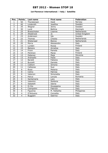### **1st Florence International / Italy / Satellite**

| Pos.                    | <b>Points</b>   | Last name   | First name     | <b>Federation</b> |
|-------------------------|-----------------|-------------|----------------|-------------------|
| $\mathbf{1}$            | 50              | Thorstensen | Heidi          | Norway            |
| $\overline{2}$          | 40              | Linderoth   | Josefine       | Sweden            |
| $\overline{3}$          | 35              | Wegner      | Jenny          | Sweden            |
| $\overline{\mathbf{4}}$ | 30              | Lund        | <b>Bettina</b> | Denmark           |
| $\overline{5}$          | $\overline{25}$ | Breeschoten | Lisanne        | Netherlands       |
| $\overline{6}$          | 24              | Allsebrook  | Jo             | United Kingdom    |
| $\overline{7}$          | 23              | Andersson   | Ida            | Sweden            |
| 8                       | 22              | Thomas      | Cheska         | Netherlands       |
| 9                       | 21              | Wiekeraad   | <b>Bianca</b>  | Netherlands       |
| 10                      | 20              | Morra       | Alessandra     | Italy             |
| 11                      | 15              | Lunden      | Roosa          | Finland           |
| 12                      | 15              | Balzano     | Annalisa       | Italy             |
| 13                      | 14              | Frioni      | Pamela         | Italy             |
| 14                      | 14              | Pöntinen    | Marjo          | Finland           |
| 15                      | 13              | Debenec     | Maja           | Slovenia          |
| $\overline{16}$         | 13              | Andreello   | Paola          | Italy             |
| 17                      | 12              | Baraldi     | Fabiana        | Italy             |
| 18                      | 12              | Buzzelli    | Daniela        | Italy             |
| 19                      | 11              | Ciattoni    | Simona         | Italy             |
| 20                      | 11              | Cattaneo    | Susi           | Italy             |
| $\overline{21}$         | 8               | Rossi       | Melania        | Italy             |
| 22                      | $\overline{8}$  | Celino      | Patrizia       | Italy             |
| 23                      | $\overline{8}$  | Vateroni    | Simonetta      | Italy             |
| 24                      | $\overline{8}$  | Petrut      | Lenuta         | Romania           |
| $\overline{25}$         | $\overline{8}$  | Santamaria  | Lara           | Italy             |
| 26                      | $\overline{6}$  | Valentini   | Stefania       | Italy             |
| $\overline{27}$         | $\overline{6}$  | Sabatelli   | Idania         | Italy             |
| 28                      | 6               | Di Dio      | Giuseppina     | Italy             |
| 29                      | $\overline{6}$  | Ciampolini  | Fabrizia       | Italy             |
| $\overline{30}$         | $\overline{6}$  | Figueroa    | M. Rafaelita   | Philippines       |
| $\overline{31}$         | $\overline{4}$  | D'Antuono   | Concetta       | Italy             |
| $\overline{32}$         | $\overline{4}$  | Buggiani    | Sabrina        | Italy             |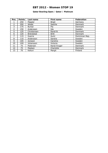### **Qatar Bowling Open / Qatar / Platinum**

| Pos.          | <b>Points</b> | Last name     | <b>First name</b> | <b>Federation</b> |
|---------------|---------------|---------------|-------------------|-------------------|
|               | 250           | Pöppler       | <b>Birgit</b>     | Germany           |
| $\mathcal{P}$ | 200           | Wedel         | Sascha            | Denmark           |
| 3             | 175           | <b>Burkal</b> | Pia               | Denmark           |
| 4             | 150           | Andersson     | Ida               | Sweden            |
| 5             | 125           | Christensen   | Randi B.          | Denmark           |
| 6             | 120           | Bröndsted     | <b>Britt</b>      | Denmark           |
| 7             | 115           | Guerra        | Aumi              | Dominican Rep.    |
| 8             | 110           | Andersson     | Sandra            | Sweden            |
| 9             | 105           | Jonsson       | Caroline          | Sweden            |
| 10            | 100           | Johansson     | Victoria          | Sweden            |
| 11            | 75            | Pedersen      | Randi Kryger      | Denmark           |
| 12            | 75            | Madsen        | Charlotte         | Denmark           |
| 13            | 70            | Keituri       | Margit            | Finland           |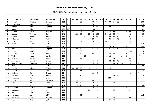| P              | Last name      | First name | Federation | $\mathbf{T}$ | 01           | 02 | 03  | 04  | 05 | 06  | 07             | 08             | 09 | 10  | 11  | 12  | 13  | 14 | 15 | 16  | 17 | 18             | 19  |
|----------------|----------------|------------|------------|--------------|--------------|----|-----|-----|----|-----|----------------|----------------|----|-----|-----|-----|-----|----|----|-----|----|----------------|-----|
| $\mathbf{1}$   | <b>Barrett</b> | Dominic    | England    | 695          | 90           |    |     | 65  |    |     | 60             | 70             |    | 70  | 90  | 120 | 30  |    |    |     |    |                | 100 |
| $\overline{2}$ | Koivuniemi     | Mika       | Finland    | 655          | 105          |    |     | 175 |    |     | 50             |                |    |     |     |     |     |    |    | 75  |    |                | 250 |
| 3              | Larsen         | Martin     | Sweden     | 614          | 18           |    |     | 65  |    |     | 30             | 80             |    | 16  | 105 | 90  | 60  |    |    |     |    |                | 150 |
| 4              | Fagan          | Mike       | <b>USA</b> | 595          | 120          |    |     | 250 |    |     | 100            |                |    |     |     |     |     |    |    |     |    |                | 125 |
| 5              | Williams       | Stuart     | England    | 577          | 18           |    |     | 120 |    |     | 80             |                |    | 26  | 120 | 63  |     |    | 30 | 90  |    |                | 30  |
| 6              | Larsen         | Thomas     | Denmark    | 546          |              |    | 100 | 40  |    | 70  | 8              | 100            | 15 | 8   | 18  | 66  | 44  |    |    | 12  |    |                | 65  |
| $\overline{7}$ | Eklund         | Dennis     | Sweden     | 510          | 12           |    |     | 115 | 50 | 42  | 26             | 60             |    |     | 39  | 39  | 80  |    |    | 42  |    |                | 5   |
| 8              | Palermaa       | Osku       | Finland    | 505          | 36           |    |     | 100 |    | 100 | 28             |                |    |     | 36  | 150 | 46  |    |    | 9   |    |                |     |
| 9              | Rash           | Sean       | <b>USA</b> | 438          | 18           |    |     | 150 |    |     | 70             |                |    | 80  |     |     |     |    |    | 120 |    |                |     |
| 10             | Jones          | Tommy      | <b>USA</b> | 438          | 33           |    |     | 125 |    |     |                |                |    |     |     |     |     |    |    | 105 |    |                | 175 |
| 11             | Ranta          | Tony       | Finland    | 379          | 36           |    |     |     |    |     |                |                | 24 |     | 24  | 45  |     |    | 50 |     |    |                | 200 |
| 12             | Moor           | Paul       | England    | 374          | 33           |    | 48  | 10  |    |     | 42             | 16             |    | 46  | 45  | 39  | 12  |    | 13 |     |    | 15             | 55  |
| 13             | <b>Barnes</b>  | Chris      | <b>USA</b> | 357          | 72           |    |     | 60  |    |     |                |                |    |     |     |     |     |    |    | 150 |    |                | 75  |
| 14             | Jussila        | Perttu     | Finland    | 300          | 12           |    |     | 20  |    |     | 48             |                | 40 |     | 36  | 24  | 42  |    | 35 | 33  |    |                | 10  |
| 15             | Vezis          | Daniel     | Latvia     | 285          |              | 40 |     |     | 12 | 44  |                |                | 23 | 48  | 12  | 9   | 8   | 14 | 40 |     |    | 35             |     |
| 16             | Jehkinen       | Joonas     | Finland    | 281          |              |    |     | 200 |    |     |                |                |    |     |     | 12  |     |    |    | 69  |    |                |     |
| 17             | Andersson      | Robert     | Sweden     | 267          | 45           |    |     |     |    |     | 6              | 12             |    |     | 42  | 42  | 48  |    |    | 72  |    |                |     |
| 18             | Medveditskov   | Alexander  | Russia     | 225          | $\mathsf{3}$ |    |     |     | 30 | 50  | 24             | 26             | 8  |     |     | 24  | 26  | 6  | 11 | 9   | 6  | $\overline{2}$ |     |
| 19             | O'neill        | Bill       | <b>USA</b> | 220          | 150          |    |     |     |    |     |                |                |    |     |     |     |     |    |    |     |    |                | 70  |
| 20             | Kanold         | Mikael     | Sweden     | 218          |              | 35 | 46  | 30  |    | 46  |                | 24             |    |     | 24  |     |     |    |    |     | 13 |                |     |
| 21             | Smallwood      | Tom        | <b>USA</b> | 195          |              |    |     | 75  |    |     |                |                |    |     |     |     |     |    |    |     |    |                | 120 |
| 22             | Paulsson       | Martin     | Sweden     | 184          | 63           |    |     |     |    |     | 16             | $\overline{4}$ |    |     |     | 6   |     |    |    | 45  |    | 50             |     |
| 23             | Wahlgren       | Karl       | Sweden     | 181          | 45           |    |     | 20  |    | 40  |                | 12             |    |     |     | 18  | 24  |    |    | 12  |    |                | 10  |
| 24             | Parasakis      | Stavros    | Greece     | 173          |              |    |     |     |    |     |                |                |    |     | 150 |     |     |    |    |     |    | 23             |     |
| 25             | Konieczny      | Bodo       | Germany    | 172          |              |    | 26  |     |    |     | 46             |                |    |     |     |     | 100 |    |    |     |    |                |     |
| 26             | Stampe         | Mik        | Denmark    | 169          |              |    | 28  | 15  |    |     | 40             | 26             | 30 |     |     | 24  |     |    |    | 6   |    |                |     |
| 27             | Agerbo         | Jesper     | Denmark    | 164          | 9            |    | 16  | 40  |    |     | 16             | $\overline{4}$ | 14 |     |     |     |     |    |    |     |    |                | 65  |
| 28             | Karlsson       | Christian  | Sweden     | 163          |              |    |     |     | 25 | 22  | $\overline{4}$ | 6              | 8  |     | 66  | 3   |     |    | 4  |     | 25 |                |     |
| 29             | Ohrgaard       | Frederik   | Denmark    | 162          |              |    | 12  |     |    | 26  |                | 40             | 12 |     |     | 33  |     |    |    | 39  |    |                |     |
| 30             | Loschetter     | Chris      | <b>USA</b> | 160          | 60           |    |     |     |    |     |                |                |    | 100 |     |     |     |    |    |     |    |                |     |
| 31             | Blanchard      | Josh       | <b>USA</b> | 155          |              |    |     | 40  |    |     |                |                |    |     |     |     |     |    |    |     |    |                | 115 |
| 32             | Torgersen      | Tore       | Norway     | 153          |              |    |     |     |    |     |                | $\overline{4}$ |    |     |     | 69  |     |    |    | 60  | 20 |                |     |
| 33             | Klerk          | Chris      | <b>USA</b> | 147          |              |    |     |     |    |     |                |                |    |     | 75  | 72  |     |    |    |     |    |                |     |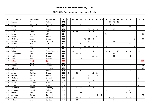| P  | Last name  | First name   | Federation     | T   | 01 | 02 | 03             | 04  | 05 <sub>1</sub> | 06             | 07             | 08             | 09 | 10 <sup>1</sup> | 11 | 12  | 13 | 14 | 15 <sup>1</sup> | 16 | 17             | 18             | 19  |
|----|------------|--------------|----------------|-----|----|----|----------------|-----|-----------------|----------------|----------------|----------------|----|-----------------|----|-----|----|----|-----------------|----|----------------|----------------|-----|
| 34 | Lampo      | Sami         | Finland        | 145 |    |    |                |     |                 |                |                |                | 13 |                 | 45 | 75  | 12 |    |                 |    |                |                |     |
| 35 | Ruiz       | Ildemaro     | Venezuela      | 144 |    |    |                | 15  |                 |                |                |                |    |                 | 24 | 105 |    |    |                 |    |                |                |     |
| 36 | Uotila     | Pasi         | Finland        | 141 | 75 |    |                |     |                 |                |                |                |    |                 |    |     |    |    |                 | 66 |                |                |     |
| 37 | Ljung      | Peter        | Sweden         | 138 |    |    |                |     |                 | 30             | 8              | 48             |    | 40              |    | 12  |    |    |                 |    |                |                |     |
| 38 | Voss       | <b>Brian</b> | <b>USA</b>     | 136 |    | 50 | 42             |     |                 | 28             | 16             |                |    |                 |    |     |    |    |                 |    |                |                |     |
| 39 | Russell    | Ronnie       | <b>USA</b>     | 134 | 24 |    |                |     |                 |                |                |                |    | 50              |    |     |    |    |                 |    |                |                | 60  |
| 40 | Hellström  | Peter        | Sweden         | 133 | 24 |    |                | 5   |                 |                |                | 42             | 12 |                 |    |     |    |    |                 |    | 50             |                |     |
| 41 | Gruffman   | James        | Sweden         | 133 |    |    |                |     | 40              | 16             | $\overline{4}$ |                | 35 |                 |    |     |    |    |                 |    | 8              |                | 30  |
| 42 | Hansen     | Carsten      | Denmark        | 128 |    |    | 12             |     |                 | 48             |                | 22             | 22 |                 |    | 24  |    |    |                 |    |                |                |     |
| 43 | Castillo   | Dino         | <b>USA</b>     | 127 | 24 |    |                | 40  |                 |                |                |                |    |                 |    |     |    |    |                 | 63 |                |                |     |
| 44 | Stott Jr.  | Paul         | Ireland        | 121 |    | 25 |                |     | 22              | 22             | $\overline{4}$ | 16             |    | 28              |    |     |    |    |                 |    | $\overline{4}$ |                |     |
| 45 | Hess       | Tom          | <b>USA</b>     | 117 | 12 |    |                | 105 |                 |                |                |                |    |                 |    |     |    |    |                 |    |                |                |     |
| 46 | Talpa      | Marek        | Czech Republic | 116 |    | 23 |                |     |                 |                | $\overline{4}$ |                |    | 16              | 6  |     | 16 |    | 8               | 18 |                | 25             |     |
| 47 | Verbruggen | Gery         | Belgium        | 114 |    |    | 30             | 20  |                 |                |                |                |    |                 |    | 42  |    |    | 22              |    |                |                |     |
| 48 | Ojala      | Kim          | Sweden         | 114 |    |    |                |     |                 |                | 16             | 50             |    |                 |    | 45  |    |    |                 | 3  |                |                |     |
| 49 | Wells      | John         | England        | 110 |    |    |                | 110 |                 |                |                |                |    |                 |    |     |    |    |                 |    |                |                |     |
| 50 | Falah      | Yousif       | <b>Bahrain</b> | 110 |    |    |                |     |                 |                |                |                |    |                 |    |     |    |    |                 |    |                |                | 110 |
| 51 | Ahokas     | Jarmo        | Finland        | 110 | 18 |    |                |     |                 | 80             |                |                |    |                 |    |     |    |    |                 | 12 |                |                |     |
| 52 | Fransson   | Daniel       | Sweden         | 106 |    |    |                |     |                 |                |                | 8              |    |                 |    |     |    |    |                 | 45 |                | 13             | 40  |
| 53 | Lalisang   | Ryan         | Indonesia      | 105 |    |    |                |     |                 |                |                |                |    |                 |    |     |    |    |                 |    |                |                | 105 |
| 54 | Jähi       | Joonas       | Finland        | 105 | 39 |    |                | 30  |                 |                |                |                |    | 12              |    |     |    |    |                 | 24 |                |                |     |
| 55 | Aarup      | Mathias      | Sweden         | 100 | 6  |    | 50             |     |                 |                | 12             | 28             |    | 4               |    |     |    |    |                 |    |                |                |     |
| 56 | Olsson     | Mattias      | Sweden         | 100 |    |    |                |     |                 | 60             | 12             | $\overline{4}$ |    | 24              |    |     |    |    |                 |    |                |                |     |
| 57 | Grabrijan  | Anze         | Slovenia       | 100 |    | 12 |                |     | 8               | 24             | 44             |                |    | $\overline{4}$  |    |     |    |    |                 |    |                | 8              |     |
| 58 | Lousdal    | Anders       | Denmark        | 98  |    |    |                | 60  |                 |                | 26             | 6              | 6  |                 |    |     |    |    |                 |    |                |                |     |
| 59 | Gross      | Thomas       | Austria        | 96  |    |    |                |     |                 | 26             |                |                |    |                 |    |     | 70 |    |                 |    |                |                |     |
| 60 | Suslov     | Andrey       | Russia         | 95  |    |    |                |     | 35              | 6              |                |                |    | 22              |    |     |    | 30 |                 |    |                | $\overline{2}$ |     |
| 61 | Holzapfel  | Michael      | Germany        | 95  |    |    | $\overline{4}$ | 55  |                 |                | 30             |                |    |                 |    |     |    |    | 6               |    |                |                |     |
| 62 | Sallonen   | Petteri      | Finland        | 90  | 24 |    |                |     |                 |                |                |                |    | 42              |    |     |    |    |                 | 24 |                |                |     |
| 63 | Quarry     | Mike         | England        | 88  |    |    |                | 55  |                 |                |                |                |    |                 |    |     |    |    | 8               | 3  |                | 22             |     |
| 64 | Ankerdal   | Michael      | Denmark        | 86  |    |    |                |     |                 |                |                | 8              | 3  |                 |    |     |    |    |                 |    |                |                | 75  |
| 65 | Racpan     | Christian    | Germany        | 83  |    |    | 22             | 10  |                 | $\overline{4}$ |                |                |    |                 | 6  | 9   |    |    | 14              | 18 |                |                |     |
| 66 | Lebon      | J.M.         | Belgium        | 83  |    |    | 80             |     |                 |                |                |                |    |                 |    | 3   |    |    |                 |    |                |                |     |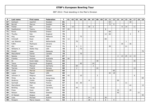| P  | Last name    | First name      | Federation  | $\mathbf{T}$ | 01 | 02             | 03             | 04 | 05 | 06 | 07             | 08             | 09 | 10 | 11 | 12 | 13             | 14 | 15 <sup>1</sup> | 16             | 17 | 18 | 19 |
|----|--------------|-----------------|-------------|--------------|----|----------------|----------------|----|----|----|----------------|----------------|----|----|----|----|----------------|----|-----------------|----------------|----|----|----|
| 67 | Karlsson     | Joachim         | Sweden      | 81           |    |                |                |    |    |    |                |                |    |    | 63 |    |                |    |                 | 18             |    |    |    |
| 68 | Berndt       | Marcus          | Sweden      | 81           |    |                |                |    |    |    |                |                |    |    | 72 | 9  |                |    |                 |                |    |    |    |
| 69 | Fishler      | Ben             | Israel      | 79           |    | 14             |                |    |    | 30 | $\overline{2}$ |                |    |    |    |    |                | 8  | 14              |                | 11 |    |    |
| 70 | Raatikainen  | Teemu           | Finland     | 77           | 69 |                |                |    |    |    |                |                |    | 8  |    |    |                |    |                 |                |    |    |    |
| 71 | Roros        | <b>Stamatis</b> | Greece      | 77           |    |                |                |    |    |    |                |                |    |    | 69 |    |                |    |                 |                |    | 8  |    |
| 72 | Thurlby      | Rob             | England     | 75           |    |                |                |    |    |    |                |                |    | 12 | 60 |    |                |    |                 | $\overline{3}$ |    |    |    |
| 73 | Ang          | Adrian          | Malaysia    | 75           |    |                |                | 75 |    |    |                |                |    |    |    |    |                |    |                 |                |    |    |    |
| 74 | Ciminelli    | Ryan            | <b>USA</b>  | 72           | 12 |                |                |    |    |    |                |                |    | 60 |    |    |                |    |                 |                |    |    |    |
| 75 | van Weeren   | Jord            | Netherlands | 71           |    |                | 70             |    |    |    |                |                |    |    |    |    |                |    | $\mathbf{1}$    |                |    |    |    |
| 76 | Kalika       | Mykhaylo        | Ukraine     | 71           |    |                |                |    |    |    |                |                |    |    |    |    |                | 35 |                 | 36             |    |    |    |
| 77 | Alix         | Yoan            | France      | 71           |    |                | 6              | 5  |    |    |                |                |    |    | 39 |    |                |    | 21              |                |    |    |    |
| 78 | Williams Jr. | Walter Ray      | <b>USA</b>  | 70           |    |                |                | 70 |    |    |                |                |    |    |    |    |                |    |                 |                |    |    |    |
| 79 | Russel       | Isaac           | Malaysia    | 70           |    |                |                |    |    |    |                |                |    |    |    |    |                |    |                 |                |    |    | 70 |
| 80 | MacLelland   | Daniel          | Canada      | 70           |    |                |                | 70 |    |    |                |                |    |    |    |    |                |    |                 |                |    |    |    |
| 81 | Spacey       | Tanner          | <b>USA</b>  | 67           |    |                |                |    |    |    |                |                |    |    |    |    | $\overline{2}$ | 13 | 25              | 12             | 15 |    |    |
| 82 | Frawley      | Andrew          | Australia   | 66           | 66 |                |                |    |    |    |                |                |    |    |    |    |                |    |                 |                |    |    |    |
| 83 | Ek           | Svein Aake      | Norway      | 65           |    |                |                |    |    |    |                | 30             |    |    |    |    |                |    |                 |                | 35 |    |    |
| 84 | Teece        | Raymond         | England     | 64           |    |                |                | 40 |    |    | 24             |                |    |    |    |    |                |    |                 |                |    |    |    |
| 85 | Mrosek       | Manuel          | Germany     | 62           |    |                | 60             |    |    |    | $\overline{2}$ |                |    |    |    |    |                |    |                 |                |    |    |    |
| 86 | Tjernes      | Fredrik         | Norway      | 60           |    |                | $\overline{2}$ |    |    |    |                | 44             |    |    |    |    |                |    |                 |                | 14 |    |    |
| 87 | Ovide        | Marcial         | Catalonia   | 60           |    |                |                |    |    |    |                |                |    |    |    | 60 |                |    |                 |                |    |    |    |
| 88 | Lopez        | Miguel          | <b>USA</b>  | 60           |    |                |                |    |    |    |                |                |    |    | 42 | 18 |                |    |                 |                |    |    |    |
| 89 | Johnson Jr.  | Magnus          | Sweden      | 60           | 42 |                |                | 10 |    |    |                | $\overline{2}$ |    |    |    |    |                |    |                 |                | 6  |    |    |
| 90 | Hong         | Wu Siu          | Hong Kong   | 60           |    |                |                |    |    |    |                |                |    |    |    |    |                |    |                 |                |    |    | 60 |
| 91 | Skobrics     | Zoltán          | Hungary     | 58           |    |                |                |    |    | 8  |                |                |    |    |    |    | 50             |    |                 |                |    |    |    |
| 92 | Sarmadi      | Mathias         | France      | 57           |    |                | 16             | 30 |    |    |                |                |    |    |    |    |                |    | 11              |                |    |    |    |
| 93 | MacLelland   | Dan             | Canada      | 57           |    |                |                |    |    |    |                |                |    |    |    |    |                |    |                 | 42             |    |    | 15 |
| 94 | Börding      | <b>Tobias</b>   | Germany     | 56           |    |                | 44             |    |    |    | 12             |                |    |    |    |    |                |    |                 |                |    |    |    |
| 95 | Press        | Ryan            | <b>USA</b>  | 55           |    |                |                |    |    |    |                |                |    |    |    |    | 16             |    |                 | 39             |    |    |    |
| 96 | Nilsson      | Mattias         | Sweden      | 55           |    |                |                |    |    |    |                |                |    |    |    |    | 40             |    |                 |                |    | 15 |    |
| 97 | Al Hassan    | Shaker          | <b>UAE</b>  | 55           |    |                |                |    |    |    |                |                |    |    |    |    |                |    |                 |                |    |    | 55 |
| 98 | Loos         | Michael         | Austria     | 54           |    |                |                |    |    | 24 |                |                |    | 30 |    |    |                |    |                 |                |    |    |    |
| 99 | Parapini     | Marco Cesare    | Italy       | 53           |    | $\overline{2}$ |                |    |    | 28 | 6              |                |    | 8  |    | 9  |                |    |                 |                |    |    |    |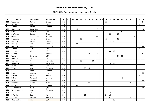| P   | Last name     | First name  | Federation  | $\mathbf{T}$ | 01 | 02 | 03 | 04 | 05 | 06 | 07 | 08 | 09             | 10 <sub>1</sub> | 11 | 12 | 13 | 14 | 15 | 16 | 17 | 18 | 19 |
|-----|---------------|-------------|-------------|--------------|----|----|----|----|----|----|----|----|----------------|-----------------|----|----|----|----|----|----|----|----|----|
| 100 | Wetterberg    | Mattias     | Sweden      | 52           |    |    |    |    |    |    |    |    | 25             | 22              |    |    |    |    |    |    |    |    | 5  |
| 101 | Wahlgren      | Joakim      | Sweden      | 50           |    |    |    |    |    |    |    |    |                |                 |    |    | 30 |    |    |    |    | 20 |    |
| 102 | Tidbeck       | Marcus      | Sweden      | 50           |    |    |    |    |    |    |    |    | 50             |                 |    |    |    |    |    |    |    |    |    |
| 103 | Mortensen     | Jimmy Dan   | Denmark     | 50           |    |    | 26 |    |    |    |    | 6  | 3              |                 |    |    |    |    |    |    |    |    | 15 |
| 104 | Kent          | Marshall    | <b>USA</b>  | 50           |    |    |    |    |    |    |    |    |                |                 |    |    |    | 50 |    |    |    |    |    |
| 105 | Stefanidis    | George      | Greece      | 49           |    |    |    |    |    |    |    |    |                |                 | 33 |    | 16 |    |    |    |    |    |    |
| 106 | Olsen         | Svein Roger | Norway      | 49           |    |    |    |    |    |    |    | 46 |                |                 |    |    |    |    |    |    | 3  |    |    |
| 107 | Stathatos     | Yiannis     | Greece      | 48           |    |    |    | 20 |    |    |    |    |                | 12              |    |    | 16 |    |    |    |    |    |    |
| 108 | Heinonen      | Markus      | Finland     | 48           |    |    |    |    |    |    |    |    |                |                 | 12 | 36 |    |    |    |    |    |    |    |
| 109 | Høberg        | Lars        | Denmark     | 47           |    |    | 24 |    |    |    |    | 6  | $\overline{2}$ |                 |    |    |    |    |    |    |    |    | 15 |
| 110 | Guldbäk       | John        | Denmark     | 46           |    |    |    |    |    |    |    | 6  |                |                 |    |    |    |    |    |    |    |    | 40 |
| 111 | Tiainen       | Samuli      | Finland     | 45           |    |    |    |    |    |    |    |    | 15             |                 |    |    |    |    |    |    |    | 30 |    |
| 112 | Ishman        | Adam        | <b>USA</b>  | 45           |    |    |    |    |    |    |    |    |                |                 | 33 | 12 |    |    |    |    |    |    |    |
| 113 | Bolleby       | Kim         | Sweden      | 45           |    |    |    |    |    | 16 |    | 24 |                |                 |    |    |    |    |    |    |    |    | 5  |
| 114 | Weier         | Cameron     | <b>USA</b>  | 44           |    |    |    |    |    |    |    |    |                |                 |    |    | 24 | 20 |    |    |    |    |    |
| 115 | Marrone       | Erik        | Italy       | 44           |    |    |    |    |    |    |    |    |                | 44              |    |    |    |    |    |    |    |    |    |
| 116 | Ridhwan       | Syafiq      | Malaysia    | 43           |    |    |    | 15 |    |    | 28 |    |                |                 |    |    |    |    |    |    |    |    |    |
| 117 | Monacelli     | Amleto      | Venezuela   | 42           |    |    |    |    |    |    |    |    |                |                 | 24 | 18 |    |    |    |    |    |    |    |
| 118 | Heino         | Mika        | Finland     | 42           | 42 |    |    |    |    |    |    |    |                |                 |    |    |    |    |    |    |    |    |    |
| 119 | Volkel        | Dirk        | Germany     | 41           |    |    |    |    | 23 | 12 |    |    |                |                 |    |    | 6  |    |    |    |    |    |    |
| 120 | Roos          | Mikael      | Sweden      | 40           |    |    |    |    |    |    |    |    |                |                 |    |    |    |    |    |    | 40 |    |    |
| 121 | Pepe          | Anthony     | <b>USA</b>  | 40           |    |    |    |    |    |    |    |    |                |                 |    |    |    |    |    |    |    |    | 40 |
| 122 | Larsen        | Jesper      | Sweden      | 40           |    |    |    |    |    |    |    |    |                |                 |    |    |    |    |    |    |    | 40 |    |
| 123 | Kalika        | Oleksandr   | Ukraine     | 40           |    |    |    |    |    |    |    |    |                |                 |    |    |    | 40 |    |    |    |    |    |
| 124 | Janahi        | Mohamed     | Bahrain     | 40           |    |    |    |    |    |    |    |    |                |                 |    |    |    |    |    |    |    |    | 40 |
| 125 | Fürbacher     | Roman       | Austria     | 40           |    |    |    |    |    | 16 |    |    |                |                 |    |    | 6  |    |    | 18 |    |    |    |
| 126 | Claessens     | Wim         | Belgium     | 40           |    |    | 40 |    |    |    |    |    |                |                 |    |    |    |    |    |    |    |    |    |
| 127 | Al-Mansoori   | Hareb       | <b>UAE</b>  | 40           |    |    |    |    |    |    |    |    |                |                 |    |    |    |    |    |    |    |    | 40 |
| 128 | Winternheimer | Pascal      | Germany     | 39           | 39 |    |    |    |    |    |    |    |                |                 |    |    |    |    |    |    |    |    |    |
| 129 | Spada         | Amedeo      | Italy       | 39           |    |    |    |    |    |    |    |    |                |                 | 18 |    |    |    |    |    |    | 21 |    |
| 130 | D'Achille     | Nico        | Italy       | 39           |    |    |    |    | 15 |    |    |    |                | 6               | 18 |    |    |    |    |    |    |    |    |
| 131 | <b>Berges</b> | Mathieu     | Switzerland | 39           |    |    |    |    |    |    |    |    |                | 24              | 9  |    |    |    |    | 6  |    |    |    |
| 132 | Gulbrandson   | Erik        | <b>USA</b>  | 36           |    |    |    |    |    |    |    |    |                |                 |    | 36 |    |    |    |    |    |    |    |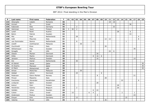| P   | Last name    | First name   | Federation  | $\mathbf{T}$ | 01           | 02 | 03             | 04 | 05 | 06 | 07                      | 08             | 09 | 10 <sup>1</sup> | 11 | 12 | 13 | 14             |    | $15$ 16 | 17           | 18             | 19 |
|-----|--------------|--------------|-------------|--------------|--------------|----|----------------|----|----|----|-------------------------|----------------|----|-----------------|----|----|----|----------------|----|---------|--------------|----------------|----|
| 133 | Gheorghe     | Catalin      | Romania     | 36           |              |    |                |    |    |    |                         |                |    |                 | 18 | 18 |    |                |    |         |              |                |    |
| 134 | Aviram       | <b>Or</b>    | Israel      | 36           |              |    |                |    |    |    |                         |                |    |                 |    |    |    |                |    | 36      |              |                |    |
| 135 | Kabowski     | Eike         | Germany     | 35           |              |    | $\overline{2}$ |    |    |    |                         |                |    |                 |    | 33 |    |                |    |         |              |                |    |
| 136 | Helminen     | Jouni        | Finland     | 35           | $\mathbf{3}$ | 30 | $\overline{2}$ |    |    |    |                         |                |    |                 |    |    |    |                |    |         |              |                |    |
| 137 | Landl        | René         | Austria     | 34           |              |    |                |    |    |    |                         |                |    |                 |    |    | 28 |                |    | 6       |              |                |    |
| 138 | Bohm         | Patrick      | Sweden      | 33           |              |    |                |    |    |    |                         |                |    |                 |    |    |    |                |    | 33      |              |                |    |
| 139 | Mol          | Roel         | Netherlands | 32           |              |    | 28             |    |    |    |                         |                |    |                 |    |    |    |                |    |         |              | $\overline{4}$ |    |
| 140 | Celli        | Maurizio     | Italy       | 32           |              |    |                |    |    |    |                         |                |    | 12              | 12 |    |    |                |    |         |              | 8              |    |
| 141 | van Dommelen | Remco        | Netherlands | 31           |              |    | $\,8\,$        |    |    |    | 22                      |                |    |                 |    |    |    |                | 1  |         |              |                |    |
| 142 | Zulkifl      | Zuhlmazran   | Malaysia    | 30           |              |    |                | 30 |    |    |                         |                |    |                 |    |    |    |                |    |         |              |                |    |
| 143 | Zucchinelli  | Enzo         | Italy       | 30           |              |    |                |    |    |    |                         |                |    | 30              |    |    |    |                |    |         |              |                |    |
| 144 | Wilhelmsson  | Filip        | Sweden      | 30           |              |    |                |    |    |    |                         |                |    |                 |    |    |    |                |    |         | 30           |                |    |
| 145 | Smaglik      | Ed           | <b>USA</b>  | 30           |              |    |                |    |    |    |                         |                |    |                 | 24 | 6  |    |                |    |         |              |                |    |
| 146 | Olesen       | Morten       | Denmark     | 30           |              |    |                |    |    |    |                         | 30             |    |                 |    |    |    |                |    |         |              |                |    |
| 147 | Klitte       | Martin       | Denmark     | 30           |              |    |                |    |    |    | 8                       | 16             | 6  |                 |    |    |    |                |    |         |              |                |    |
| 148 | Jansson      | Markus       | Sweden      | 30           |              |    |                |    |    |    |                         | 16             |    |                 |    |    |    |                |    |         | 14           |                |    |
| 149 | Dol          | Daniel       | Netherlands | 30           |              |    | 30             |    |    |    |                         |                |    |                 |    |    |    |                |    |         |              |                |    |
| 150 | Al-Sahoti    | Jamal        | Qatar       | 30           |              |    |                |    |    |    |                         |                |    |                 |    |    |    |                |    |         |              |                | 30 |
| 151 | Al-Awamy     | Mansoor      | Qatar       | 30           |              |    |                |    |    |    |                         |                |    |                 |    |    |    |                |    |         |              |                | 30 |
| 152 | Al Mahri     | Mohammed     | <b>UAE</b>  | 30           |              |    |                |    |    |    |                         |                |    |                 |    |    |    |                |    |         |              |                | 30 |
| 153 | Aiman        | Mohd Nur     | Malaysia    | 30           |              |    |                | 30 |    |    |                         |                |    |                 |    |    |    |                |    |         |              |                |    |
| 154 | Adsbøl       | Johnni       | Denmark     | 30           |              |    | 24             |    |    |    |                         |                | 6  |                 |    |    |    |                |    |         |              |                |    |
| 155 | Pedersen     | Glenn Morten | Norway      | 29           |              |    |                |    |    |    |                         | 8              |    |                 |    |    |    |                |    |         | 21           |                |    |
| 156 | Pirozzi      | Massimo      | Italy       | 28           |              |    |                |    |    |    |                         |                |    | 28              |    |    |    |                |    |         |              |                |    |
| 157 | Panchenko    | Alexander    | Kazakhstan  | 28           |              |    |                |    |    |    |                         |                |    |                 |    |    |    | 22             |    |         |              | 6              |    |
| 158 | Lindqvist    | Björn        | Sweden      | 28           |              |    |                |    |    |    |                         | 28             |    |                 |    |    |    |                |    |         |              |                |    |
| 159 | Keituri      | Petri        | Finland     | 28           |              |    |                |    |    |    |                         |                |    |                 |    |    | 28 |                |    |         |              |                |    |
| 160 | Hendrickx    | Gianny       | Belgium     | 28           |              |    | $\overline{2}$ |    |    |    |                         |                |    |                 |    |    | 26 |                |    |         |              |                |    |
| 161 | Helldén      | Johan        | Sweden      | 28           |              |    |                |    |    |    | 6                       | 22             |    |                 |    |    |    |                |    |         |              |                |    |
| 162 | Cohen        | Oron         | Israel      | 28           |              | 15 |                |    |    | 6  | $\overline{\mathbf{4}}$ |                |    |                 |    |    |    | $\overline{2}$ |    |         | $\mathbf{1}$ |                |    |
| 163 | Andersson    | Pontus       | Sweden      | 28           |              |    |                |    |    |    |                         | $\overline{4}$ |    |                 |    |    |    |                |    |         | 24           |                |    |
| 164 | Dreyer       | Dirk         | Germany     | 27           |              |    | 12             |    |    |    |                         |                |    |                 |    |    |    |                | 15 |         |              |                |    |
| 165 | Valenta      | Bryan        | <b>USA</b>  | 26           |              |    |                |    |    |    |                         |                |    | 26              |    |    |    |                |    |         |              |                |    |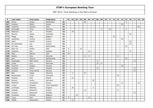| P   | Last name    | First name  | Federation     | $\mathsf{T}$ | 01           | 02             | 03 | 04 | 05 | 06 | 07             | 08 | 09             | 10 <sub>1</sub> | 11 | 12 | 13             | 14 | 15             | 16 | 17 | 18 | 19 |
|-----|--------------|-------------|----------------|--------------|--------------|----------------|----|----|----|----|----------------|----|----------------|-----------------|----|----|----------------|----|----------------|----|----|----|----|
| 166 | Grove        | Jeroen      | Netherland     | 26           |              |                |    |    | 24 |    |                |    |                |                 |    |    |                |    | $\overline{2}$ |    |    |    |    |
| 167 | Koshelev     | Nikita      | Russia         | 25           |              |                |    |    |    |    |                |    |                |                 |    |    |                | 25 |                |    |    |    |    |
| 168 | Tussimei     | Saverio     | Italy          | 24           |              |                |    |    |    |    |                |    |                |                 |    |    |                |    |                |    |    | 24 |    |
| 169 | Schroeder    | Timo        | Germany        | 24           |              |                |    |    |    |    |                |    | $\overline{2}$ |                 | 18 |    |                |    | $\overline{4}$ |    |    |    |    |
| 170 | Robinson     | Ian         | Sweden         | 24           |              | 24             |    |    |    |    |                |    |                |                 |    |    |                |    |                |    |    |    |    |
| 171 | Monroy       | Jaime       | Colombia       | 24           |              |                |    |    |    |    |                |    |                |                 |    |    |                |    |                | 24 |    |    |    |
| 172 | Maggi        | Mats        | Belgium        | 24           |              |                |    |    |    |    |                |    |                |                 |    | 24 |                |    |                |    |    |    |    |
| 173 | Lapshinsky   | Dmitry      | Russia         | 24           |              |                |    |    |    |    |                |    |                |                 |    |    |                | 24 |                |    |    |    |    |
| 174 | Hahn         | Daniel      | Austria        | 24           |              |                |    |    |    |    |                |    |                |                 |    |    |                |    |                | 24 |    |    |    |
| 175 | Grundschober | Leo         | Austria        | 24           |              |                |    |    |    |    |                |    |                |                 |    |    |                |    |                | 24 |    |    |    |
| 176 | de Vries     | Alex        | Netherlands    | 24           |              |                |    |    |    |    |                |    |                |                 |    |    |                |    | 24             |    |    |    |    |
| 177 | Bohn III     | Parker      | <b>USA</b>     | 24           | 9            |                |    | 15 |    |    |                |    |                |                 |    |    |                |    |                |    |    |    |    |
| 178 | Andersin     | Erik        | Sweden         | 24           | $\mathsf{3}$ |                |    |    |    | 12 |                |    |                |                 |    |    |                |    |                | 9  |    |    |    |
| 179 | Allen        | Patrick     | <b>USA</b>     | 24           | 24           |                |    |    |    |    |                |    |                |                 |    |    |                |    |                |    |    |    |    |
| 180 | Stenko       | Nino        | Slovenia       | 23           |              |                |    |    | 11 | 8  |                |    |                |                 |    |    | $\overline{4}$ |    |                |    |    |    |    |
| 181 | Spil         | Johnny      | Netherlands    | 23           |              |                |    |    |    |    |                |    |                |                 |    |    |                |    | 23             |    |    |    |    |
| 182 | Rudshagen    | Björn Einar | Norway         | 23           |              |                |    |    |    |    |                | 8  |                |                 |    |    |                |    |                |    | 15 |    |    |
| 183 | Linder       | Lars        | Denmark        | 23           |              |                |    |    |    |    |                | 12 | 11             |                 |    |    |                |    |                |    |    |    |    |
| 184 | Karmazin     | Evgeny      | Ukraine        | 23           |              |                |    |    |    |    |                |    |                |                 |    |    |                | 23 |                |    |    |    |    |
| 185 | Karlsson     | Kevin       | Sweden         | 23           |              |                |    |    |    |    |                | 12 |                |                 |    |    |                |    |                |    | 11 |    |    |
| 186 | Jonsson      | Arnar David | Norway         | 23           |              |                |    |    |    |    |                |    |                |                 |    |    |                |    |                |    | 23 |    |    |
| 187 | Blaz         | Kogej       | Slovenia       | 23           |              | $\overline{2}$ |    |    | 21 |    |                |    |                |                 |    |    |                |    |                |    |    |    |    |
| 188 | Sasnauskas   | Linas       | Lithuania      | 22           |              |                |    |    |    |    |                |    |                |                 |    |    | 22             |    |                |    |    |    |    |
| 189 | Polanisz     | Emil        | Poland         | 22           |              | 22             |    |    |    |    |                |    |                |                 |    |    |                |    |                |    |    |    |    |
| 190 | Michow       | Andre       | Germany        | 22           |              |                |    |    |    |    | 22             |    |                |                 |    |    |                |    |                |    |    |    |    |
| 191 | Matvienko    | Konstantin  | Russia         | 22           |              |                |    |    |    |    |                |    |                |                 |    |    |                | 8  |                |    |    | 14 |    |
| 192 | Lorenc       | Jaroslav    | Czech Republic | 22           |              |                |    |    |    |    |                |    |                |                 |    |    | 22             |    |                |    |    |    |    |
| 193 | Lochhead     | Matthew     | England        | 22           |              | 20             |    |    |    |    | $\overline{2}$ |    |                |                 |    |    |                |    |                |    |    |    |    |
| 194 | Kubalek      | Benjamin    | Austria        | 22           |              |                |    |    | 14 |    |                |    |                |                 |    |    | 8              |    |                |    |    |    |    |
| 195 | Jansson      | Raymond     | Sweden         | 22           |              |                |    |    |    |    |                |    |                |                 |    |    |                |    |                |    | 22 |    |    |
| 196 | Coussens     | Michael     | Belgium        | 22           |              |                | 22 |    |    |    |                |    |                |                 |    |    |                |    |                |    |    |    |    |
| 197 | Truus        | Kert        | Estonia        | 21           | 9            |                |    |    |    | 12 |                |    |                |                 |    |    |                |    |                |    |    |    |    |
| 198 | Silletti     | Alessandro  | Poland         | 21           |              | 21             |    |    |    |    |                |    |                |                 |    |    |                |    |                |    |    |    |    |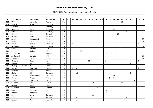| P   | Last name          | First name   | Federation  | $\mathsf{T}$ | 01 | 02 | 03 | 04 | 05             | 06 | 07             | 08 | 09             | 10 l           | 11 | 12 | 13             | 14 |    | $15$ 16 | 17             | 18             | 19 |
|-----|--------------------|--------------|-------------|--------------|----|----|----|----|----------------|----|----------------|----|----------------|----------------|----|----|----------------|----|----|---------|----------------|----------------|----|
| 199 | Minenko            | Alexander    | Russia      | 21           |    |    |    |    |                |    |                |    |                |                |    |    |                | 21 |    |         |                |                |    |
| 200 | Jørgensen          | Henrik       | Denmark     | 21           |    |    |    |    |                |    |                |    | 21             |                |    |    |                |    |    |         |                |                |    |
| 201 | Günther            | Kai          | Germany     | 21           |    |    |    |    |                |    | 12             |    |                |                |    |    |                |    |    | 9       |                |                |    |
| 202 | Gagenoiu           | Romeo        | Romania     | 21           |    |    |    |    |                |    |                |    |                |                | 9  | 12 |                |    |    |         |                |                |    |
| 203 | Pescher            | Oliver       | Germany     | 20           |    |    |    |    |                |    |                |    |                |                |    |    |                |    | 20 |         |                |                |    |
| 204 | Nagode             | Božo         | Slovenia    | 20           |    |    |    |    | $\overline{4}$ |    |                |    |                |                |    |    | 16             |    |    |         |                |                |    |
| 205 | McDermott          | Jamie        | Germany     | 20           |    |    |    |    |                |    |                |    | 20             |                |    |    |                |    |    |         |                |                |    |
| 206 | Jamal              | Mohammed     | Qatar       | 20           |    |    |    |    |                |    |                |    |                |                |    |    |                |    |    |         |                |                | 20 |
| 207 | Haroon             | Abdulla      | Qatar       | 20           |    |    |    |    |                |    |                |    |                |                |    |    |                |    |    |         |                |                | 20 |
| 208 | Gykis              | Vytautas     | Lithuania   | 20           |    | 8  |    |    | 6              |    |                |    |                |                |    |    |                |    |    |         |                | 6              |    |
| 209 | Gelzinger          | Christian    | Germany     | 20           |    |    |    |    |                |    |                |    |                |                |    |    |                |    |    |         |                |                | 20 |
| 210 | Crider             | Marshal      | <b>USA</b>  | 20           |    |    |    |    | 20             |    |                |    |                |                |    |    |                |    |    |         |                |                |    |
| 211 | Bohr               | Nathan       | <b>USA</b>  | 20           |    |    |    | 20 |                |    |                |    |                |                |    |    |                |    |    |         |                |                |    |
| 212 | Andersson          | Kim          | Sweden      | 20           |    |    |    |    |                |    |                |    | $\overline{4}$ | 16             |    |    |                |    |    |         |                |                |    |
| 213 | Al-Suwaidi         | Hussain      | <b>UAE</b>  | 20           |    |    |    |    |                |    |                |    |                |                |    |    |                |    |    |         |                |                | 20 |
| 214 | Al-Emady           | Khalid       | Qatar       | 20           |    |    |    |    |                |    |                |    |                |                |    |    |                |    |    |         |                |                | 20 |
| 215 | Galeone            | Nicola       | Italy       | 19           |    |    |    |    |                | 16 |                |    |                | $\overline{2}$ |    |    |                |    |    |         |                | $\mathbf{1}$   |    |
| 216 | Pakonen            | Olli         | Finland     | 18           |    |    |    |    |                |    |                |    |                |                |    |    |                |    |    | 18      |                |                |    |
| 217 | Ostergaard-Poulsen | Dan          | Denmark     | 18           |    |    | 16 |    |                |    |                |    | $\mathbf 2$    |                |    |    |                |    |    |         |                |                |    |
| 218 | Olesiński          | Krzysztof    | Poland      | 18           |    | 8  | 8  |    |                |    |                |    |                |                |    |    |                |    |    |         |                | $\overline{2}$ |    |
| 219 | Nurmilo            | Panu         | Finland     | 18           | 18 |    |    |    |                |    |                |    |                |                |    |    |                |    |    |         |                |                |    |
| 220 | Morig              | Oliver       | Germany     | 18           |    |    | 12 |    |                |    |                |    |                |                |    |    |                |    |    | 6       |                |                |    |
| 221 | Ibañez             | Moises Perez | Catalonia   | 18           |    |    |    |    |                |    |                |    |                |                |    | 18 |                |    |    |         |                |                |    |
| 222 | Cayez              | Vincent      | France      | 18           |    |    |    |    |                |    |                |    |                |                | 9  | 9  |                |    |    |         |                |                |    |
| 223 | Sloan              | Christopher  | Ireland     | 17           |    |    |    |    |                |    |                |    |                |                |    |    | $\overline{2}$ |    | 13 |         | $\overline{2}$ |                |    |
| 224 | Semenov            | Ivan         | Russia      | 17           |    |    |    |    |                |    | $\overline{2}$ |    |                |                |    |    |                | 15 |    |         |                |                |    |
| 225 | Olsson             | Jonas        | Sweden      | 17           |    |    |    |    |                |    |                |    | 14             |                |    | 3  |                |    |    |         |                |                |    |
| 226 | Svensson           | Jesper       | Sweden      | 16           |    |    |    |    |                |    |                | 16 |                |                |    |    |                |    |    |         |                |                |    |
| 227 | Ponti              | Francesco    | Italy       | 16           |    |    |    |    |                |    |                |    |                | 16             |    |    |                |    |    |         |                |                |    |
| 228 | Maddaloni          | Domenico     | Italy       | 16           |    |    |    |    |                |    |                |    |                | 16             |    |    |                |    |    |         |                |                |    |
| 229 | Köpf               | Rainer       | Germany     | 16           |    |    |    |    |                |    | 16             |    |                |                |    |    |                |    |    |         |                |                |    |
| 230 | Kok                | Eric         | Netherlands | 16           |    |    | 8  |    |                |    |                |    |                |                |    |    |                |    | 8  |         |                |                |    |
| 231 | Jacobs             | Mark         | Netherlands | 16           |    |    | 16 |    |                |    |                |    |                |                |    |    |                |    |    |         |                |                |    |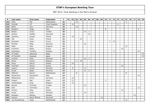| P   | Last name      | <b>First name</b> | Federation     | $\mathsf{T}$ | 01 | 02 | 03             | 04 | 05 | 06             | 07 | 08 | 09 | 10 <sup>1</sup> | 11 | 12 | 13 | 14 | 15             | 16 | 17 | 18 | 19 |
|-----|----------------|-------------------|----------------|--------------|----|----|----------------|----|----|----------------|----|----|----|-----------------|----|----|----|----|----------------|----|----|----|----|
| 232 | Hulst          | Phil              | Netherlands    | 16           |    |    | 12             |    |    |                |    |    |    |                 |    |    |    |    | $\overline{4}$ |    |    |    |    |
| 233 | Hindrák        | Jiří              | Czech Republic | 16           |    | 12 |                |    |    |                |    |    |    |                 |    |    | 4  |    |                |    |    |    |    |
| 234 | <b>Blank</b>   | Uwe               | Germany        | 16           |    |    | 16             |    |    |                |    |    |    |                 |    |    |    |    |                |    |    |    |    |
| 235 | Biolghini      | Diego             | Italy          | 16           |    |    |                |    |    |                |    |    |    | 8               |    |    |    |    |                |    |    | 8  |    |
| 236 | Banjac         | Zoran             | Croatia        | 16           |    |    |                |    | 14 | $\overline{2}$ |    |    |    |                 |    |    |    |    |                |    |    |    |    |
| 237 | Andrea         | Steffen           | Denmark        | 16           |    |    |                |    |    | 16             |    |    |    |                 |    |    |    |    |                |    |    |    |    |
| 238 | Zjawiony       | Łukasz            | Poland         | 15           |    | 15 |                |    |    |                |    |    |    |                 |    |    |    |    |                |    |    |    |    |
| 239 | Vial           | Paulo             | France         | 15           |    |    |                | 15 |    |                |    |    |    |                 |    |    |    |    |                |    |    |    |    |
| 240 | Sermand        | Julien            | France         | 15           |    |    |                |    |    |                |    |    |    |                 | 3  | 12 |    |    |                |    |    |    |    |
| 241 | Mrzlikar       | Mitja             | Slovenia       | 15           |    |    |                |    | 15 |                |    |    |    |                 |    |    |    |    |                |    |    |    |    |
| 242 | Miller         | Matt              | England        | 15           |    |    |                |    |    |                |    |    |    |                 |    |    |    |    | 15             |    |    |    |    |
| 243 | Kuznetsov      | Nikita            | Russia         | 15           |    |    |                |    |    |                |    |    |    |                 |    |    |    | 15 |                |    |    |    |    |
| 244 | Andreason      | Timothy           | Sweden         | 15           |    |    |                |    |    |                |    |    |    |                 |    | 3  |    |    |                |    |    | 12 |    |
| 245 | Al-Zoqari      | Zakareya          | Qatar          | 15           |    |    |                |    |    |                |    |    |    |                 |    |    |    |    |                |    |    |    | 15 |
| 246 | Al-Muraikhi    | Mubarak           | Qatar          | 15           |    |    |                |    |    |                |    |    |    |                 |    |    |    |    |                |    |    |    | 15 |
| 247 | Verdnik        | Peter             | Slovenia       | 14           |    |    |                |    | 12 | $\overline{2}$ |    |    |    |                 |    |    |    |    |                |    |    |    |    |
| 248 | Ravez          | Jimmy             | Belgium        | 14           |    |    | $\overline{4}$ | 10 |    |                |    |    |    |                 |    |    |    |    |                |    |    |    |    |
| 249 | Preus          | Patryk            | Poland         | 14           |    | 14 |                |    |    |                |    |    |    |                 |    |    |    |    |                |    |    |    |    |
| 250 | Parshukov      | Alexey            | Russia         | 14           |    |    |                |    |    |                |    |    |    |                 |    |    |    | 14 |                |    |    |    |    |
| 251 | Lajovic        | Dusan             | Slovenia       | 14           |    | 6  |                |    | 8  |                |    |    |    |                 |    |    |    |    |                |    |    |    |    |
| 252 | Kovač          | Bojan             | Slovenia       | 14           |    |    |                |    | 8  | 6              |    |    |    |                 |    |    |    |    |                |    |    |    |    |
| 253 | Hilferink      | Ramon             | Netherlands    | 14           |    |    | 6              |    |    |                |    |    |    |                 |    |    |    |    | 8              |    |    |    |    |
| 254 | Delcarmine     | Alessandro        | Italy          | 14           |    |    |                |    |    |                |    |    |    |                 |    |    |    |    |                |    |    | 14 |    |
| 255 | Wildenhayn     | Simon             | Germany        | 13           |    | 13 |                |    |    |                |    |    |    |                 |    |    |    |    |                |    |    |    |    |
| 256 | Volpert        | Nati              | Israel         | 13           |    | 11 |                |    |    |                |    |    |    | $\overline{2}$  |    |    |    |    |                |    |    |    |    |
| 257 | Vanderpijpen   | Greg              | Belgium        | 13           |    | 13 |                |    |    |                |    |    |    |                 |    |    |    |    |                |    |    |    |    |
| 258 | Sekulić        | Tomislav          | Croatia        | 13           |    |    |                |    | 13 |                |    |    |    |                 |    |    |    |    |                |    |    |    |    |
| 259 | Radi           | Tommaso           | Italy          | 13           |    |    |                |    |    |                |    |    |    |                 |    |    |    |    |                |    |    | 13 |    |
| 260 | Kozyrev        | Oleg              | Russia         | 13           |    |    |                |    |    |                |    |    |    |                 |    |    |    | 13 |                |    |    |    |    |
| 261 | Kovač          | Janez             | Slovenia       | 13           |    |    |                |    | 13 |                |    |    |    |                 |    |    |    |    |                |    |    |    |    |
| 262 | Karlsson       | Markus            | Sweden         | 13           |    |    |                |    |    |                |    |    |    |                 |    |    |    |    |                |    | 13 |    |    |
| 263 | Hansen         | Søren Åhman       | Denmark        | 13           |    |    |                |    |    |                |    |    | 13 |                 |    |    |    |    |                |    |    |    |    |
| 264 | van Kranenburg | Arjan             | Netherlands    | $12$         |    |    |                |    |    |                |    |    |    |                 |    |    |    |    | 12             |    |    |    |    |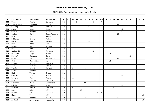| P   | Last name     | First name   | Federation     | $\mathsf{T}$ | 01 | 02             | 03             | 04 | 05 | 06 | 07 | 08             | 09             | 10 <sub>1</sub> | 11 | 12 | 13 | 14 | 15 | 16 | 17 | 18 | 19 |
|-----|---------------|--------------|----------------|--------------|----|----------------|----------------|----|----|----|----|----------------|----------------|-----------------|----|----|----|----|----|----|----|----|----|
| 265 | Unger         | Stephan      | Germany        | $12$         |    |                | $\overline{2}$ |    |    |    | 6  |                | $\overline{4}$ |                 |    |    |    |    |    |    |    |    |    |
| 266 | Tsorbatzoudis | Evangelos    | Greece         | 12           |    |                |                |    |    |    |    |                |                |                 |    |    | 12 |    |    |    |    |    |    |
| 267 | Snelting      | Martin       | Netherlands    | 12           |    |                |                |    |    | 12 |    |                |                |                 |    |    |    |    |    |    |    |    |    |
| 268 | Sharov        | Anton        | Russia         | 12           |    |                |                |    |    |    |    |                |                |                 |    |    |    | 12 |    |    |    |    |    |
| 269 | Prokhan       | Sergey       | Russia         | 12           |    |                |                |    |    |    |    |                |                |                 |    |    |    | 12 |    |    |    |    |    |
| 270 | Orálek        | Martin       | Czech Republic | 12           |    |                |                |    |    |    |    |                |                |                 |    |    | 12 |    |    |    |    |    |    |
| 271 | Nilsson       | Emil         | Sweden         | 12           |    |                |                |    |    |    |    | 12             |                |                 |    |    |    |    |    |    |    |    |    |
| 272 | Lehtonen      | Kimmo        | Finland        | 12           | 12 |                |                |    |    |    |    |                |                |                 |    |    |    |    |    |    |    |    |    |
| 273 | Hlede         | Joško        | Slovenia       | 12           |    |                |                |    |    | 12 |    |                |                |                 |    |    |    |    |    |    |    |    |    |
| 274 | Hirvonen      | Mikko        | Finland        | 12           |    |                |                |    |    |    |    |                |                |                 |    |    |    |    |    |    |    | 12 |    |
| 275 | Harang        | Øyvind       | Norway         | $12$         |    |                |                |    |    |    |    |                |                |                 |    |    |    |    |    |    | 12 |    |    |
| 276 | Hann          | Matt         | Ireland        | 12           |    |                |                |    |    |    |    |                |                |                 |    |    |    |    | 12 |    |    |    |    |
| 277 | Grabowski     | Achim        | Germany        | 12           |    |                |                |    |    |    | 12 |                |                |                 |    |    |    |    |    |    |    |    |    |
| 278 | Frouvelle     | Serge        | France         | $12$         |    |                |                |    |    |    |    |                |                |                 | 12 |    |    |    |    |    |    |    |    |
| 279 | El Sarafi     | Mohamed      | Egypt          | 12           |    |                |                |    |    |    |    |                |                |                 |    |    |    |    |    | 12 |    |    |    |
| 280 | de Bel        | Erik         | Netherlands    | $12$         |    |                |                |    |    |    |    |                |                |                 |    |    | 12 |    |    |    |    |    |    |
| 281 | Celli         | Massimiliano | Italy          | 12           |    |                |                |    |    |    |    |                |                |                 | 12 |    |    |    |    |    |    |    |    |
| 282 | Ancarani      | Sandro       | Switzerland    | 12           |    |                |                |    |    |    |    |                |                | 12              |    |    |    |    |    |    |    |    |    |
| 283 | Aker          | Christer     | Norway         | $12$         |    |                |                |    |    |    |    |                |                |                 |    |    |    |    |    |    | 12 |    |    |
| 284 | Vrenčur       | Rihard       | Slovenia       | 11           |    | 8              |                |    | 3  |    |    |                |                |                 |    |    |    |    |    |    |    |    |    |
| 285 | Rossi         | Federico     | Italy          | 11           |    |                |                |    |    |    |    |                |                |                 |    |    |    |    |    |    |    | 11 |    |
| 286 | Lind          | Tomas        | Sweden         | 11           |    |                |                |    |    |    |    |                |                |                 |    |    |    |    |    |    |    | 11 |    |
| 287 | Krasavkin     | Victor       | Russia         | 11           |    |                |                |    |    |    |    |                |                |                 |    |    |    | 11 |    |    |    |    |    |
| 288 | Kantyka       | Dawid        | Poland         | 11           |    | 11             |                |    |    |    |    |                |                |                 |    |    |    |    |    |    |    |    |    |
| 289 | <b>Buch</b>   | Thomas       | Denmark        | 11           |    |                |                |    |    |    |    |                | 11             |                 |    |    |    |    |    |    |    |    |    |
| 290 | Branezac      | Damir        | Switzerland    | 11           |    |                |                |    | 11 |    |    |                |                |                 |    |    |    |    |    |    |    |    |    |
| 291 | Belenky       | Mikhail      | Russia         | 11           |    |                |                |    |    |    |    |                |                |                 |    |    |    | 11 |    |    |    |    |    |
| 292 | Piticariu     | Marius       | Romania        | 10           |    | $\overline{4}$ |                |    |    |    |    |                |                |                 |    | 6  |    |    |    |    |    |    |    |
| 293 | Peters        | Jake         | <b>USA</b>     | 10           |    |                |                | 10 |    |    |    |                |                |                 |    |    |    |    |    |    |    |    |    |
| 294 | Nielsen       | Lars         | Denmark        | 10           |    |                |                |    |    |    |    | $\overline{2}$ | 8              |                 |    |    |    |    |    |    |    |    |    |
| 295 | Mack          | Tim          | <b>USA</b>     | 10           |    |                |                |    |    |    |    |                |                |                 |    |    |    |    |    |    |    |    | 10 |
| 296 | Kapronczay    | Gergely      | Hungary        | 10           |    |                |                |    | 6  |    |    |                |                |                 |    |    | 4  |    |    |    |    |    |    |
| 297 | Al-Saud       | Abdulhakim   | Kasakhstan     | 10           |    |                |                |    |    |    |    |                |                |                 |    |    |    |    |    |    |    |    | 10 |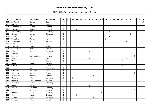| P   | Last name    | First name     | Federation     | $\mathsf{T}$ | 01 | 02 | 03 | 04 | 05 | 06 | 07 | 08 | 09 | 10 <sup>1</sup> | 11 | 12 | 13 | 14 | $15 \mid$      | 16 | 17 | 18 | 19 |
|-----|--------------|----------------|----------------|--------------|----|----|----|----|----|----|----|----|----|-----------------|----|----|----|----|----------------|----|----|----|----|
| 298 | Al-Doseri    | Khaled         | Oatar          | 10           |    |    |    |    |    |    |    |    |    |                 |    |    |    |    |                |    |    |    | 10 |
| 299 | Liukkonen    | Niko           | Finland        | 9            | 9  |    |    |    |    |    |    |    |    |                 |    |    |    |    |                |    |    |    |    |
| 300 | Leandersson  | Tomas          | Sweden         | 9            | 9  |    |    |    |    |    |    |    |    |                 |    |    |    |    |                |    |    |    |    |
| 301 | Kweens       | Christian      | Netherlands    | 9            |    |    | 8  |    |    |    |    |    |    |                 |    |    |    |    | $\mathbf{1}$   |    |    |    |    |
| 302 | Jonasdofsky  | Mark           | Germany        | 9            |    |    |    |    |    |    |    |    |    |                 | 9  |    |    |    |                |    |    |    |    |
| 303 | Gomez        | Andres         | Colombia       | 9            |    |    |    |    |    |    |    |    |    |                 |    |    |    |    |                | 9  |    |    |    |
| 304 | Bortolon     | Renato         | Italy          | 9            |    |    |    |    |    |    |    |    |    |                 | 9  |    |    |    |                |    |    |    |    |
| 305 | Vercellino   | Mario          | Italy          | 8            |    |    |    |    |    |    |    |    |    | 8               |    |    |    |    |                |    |    |    |    |
| 306 | Thienpondt   | Nico           | Netherlands    | 8            |    |    |    |    |    |    |    |    |    |                 |    |    |    |    | 8              |    |    |    |    |
| 307 | Stott        | Paul           | Ireland        | 8            |    |    |    |    |    |    |    |    |    |                 |    |    |    |    |                |    |    | 8  |    |
| 308 | Schwarzbauer | Christian      | Austria        | 8            |    |    |    |    |    |    |    |    |    |                 |    |    | 8  |    |                |    |    |    |    |
| 309 | Sandbækken   | Mads           | Norway         | 8            |    |    |    |    |    |    |    |    |    |                 |    |    |    |    |                |    | 8  |    |    |
| 310 | Pichl        | Rainer         | Germany        | 8            |    |    |    |    |    | 8  |    |    |    |                 |    |    |    |    |                |    |    |    |    |
| 311 | Petković     | Saša           | Croatia        | 8            |    |    |    |    | 8  |    |    |    |    |                 |    |    |    |    |                |    |    |    |    |
| 312 | Nygård       | Lars-Christian | Norway         | 8            |    |    |    |    |    |    |    |    |    |                 |    |    |    |    |                |    | 8  |    |    |
| 313 | Nolan        | Pat            | <b>USA</b>     | 8            |    |    |    |    |    | 6  |    |    |    |                 |    |    |    |    | $\overline{2}$ |    |    |    |    |
| 314 | Mineev       | Evgeny         | Russia         | 8            |    |    |    |    |    |    |    |    |    |                 |    |    |    | 8  |                |    |    |    |    |
| 315 | Malek        | Milan          | Slovenia       | 8            |    |    |    |    | 8  |    |    |    |    |                 |    |    |    |    |                |    |    |    |    |
| 316 | Korshak      | Yan            | Russia         | 8            |    |    |    |    |    |    |    |    |    |                 |    |    |    | 8  |                |    |    |    |    |
| 317 | Korab        | Jan            | Czech Republic | 8            |    |    |    |    |    |    |    |    |    |                 |    |    | 8  |    |                |    |    |    |    |
| 318 | Kondratyev   | Oleksandr      | Ukraine        | 8            |    |    |    |    |    |    |    |    |    |                 |    |    |    | 8  |                |    |    |    |    |
| 319 | Holmqvist    | Anders         | Sweden         | 8            |    |    |    |    |    |    |    |    |    |                 |    |    |    |    |                |    | 8  |    |    |
| 320 | Hardarson    | Hafthor        | Iceland        | 8            |    |    |    |    |    |    | 8  |    |    |                 |    |    |    |    |                |    |    |    |    |
| 321 | Gutsche      | Falco          | Germany        | 8            |    | 8  |    |    |    |    |    |    |    |                 |    |    |    |    |                |    |    |    |    |
| 322 | Grindvik     | Robin Nordaas  | Norway         | 8            |    |    |    |    |    |    |    | 8  |    |                 |    |    |    |    |                |    |    |    |    |
| 323 | Gerischer    | Steffen        | Germany        | 8            |    | 8  |    |    |    |    |    |    |    |                 |    |    |    |    |                |    |    |    |    |
| 324 | Fogar        | Andrea         | Italy          | 8            |    |    |    |    |    | 8  |    |    |    |                 |    |    |    |    |                |    |    |    |    |
| 325 | Fischer      | Alexander      | Germany        | 8            |    |    |    |    |    | 8  |    |    |    |                 |    |    |    |    |                |    |    |    |    |
| 326 | Eide         | Sigbjørn       | Norway         | 8            |    |    |    |    |    |    |    |    |    |                 |    |    |    |    |                |    | 8  |    |    |
| 327 | Drevenstedt  | Frank          | Germany        | 8            |    |    |    |    |    |    |    |    | 8  |                 |    |    |    |    |                |    |    |    |    |
| 328 | Cundy        | Darren         | England        | 8            |    |    | 8  |    |    |    |    |    |    |                 |    |    |    |    |                |    |    |    |    |
| 329 | Basner       | Peter          | Germany        | 8            |    |    |    |    |    |    | 8  |    |    |                 |    |    |    |    |                |    |    |    |    |
| 330 | Andrassy     | Lukáš          | Slovakia       | 8            |    |    |    |    |    |    |    |    |    |                 |    |    | 8  |    |                |    |    |    |    |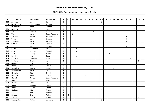| P   | Last name      | <b>First name</b> | Federation     | $\mathsf{T}$ | 01 | 02 | 03    | 04 | 05             | 06 | 07 | 08 | 09 | 10 <sub>1</sub> | 11 | 12 | 13 | 14 | 15 | 16 | 17 | 18 | 19 |
|-----|----------------|-------------------|----------------|--------------|----|----|-------|----|----------------|----|----|----|----|-----------------|----|----|----|----|----|----|----|----|----|
| 331 | Andersen       | Jan               | Denmark        | 8            |    |    |       |    |                |    |    |    | 8  |                 |    |    |    |    |    |    |    |    |    |
| 332 | Østlie Solberg | Thor Kristian     | Norway         | 6            |    |    |       |    |                |    |    |    |    |                 |    |    |    |    |    |    | 6  |    |    |
| 333 | Österholm      | Johan             | Sweden         | 6            |    |    |       |    |                |    |    |    |    |                 |    |    | 6  |    |    |    |    |    |    |
| 334 | Östberg        | Simon             | Sweden         | 6            |    |    |       |    |                |    |    |    |    |                 |    |    |    |    |    |    | 6  |    |    |
| 335 | Yan            | Korshak           | Russia         | 6            |    |    |       |    |                |    | 6  |    |    |                 |    |    |    |    |    |    |    |    |    |
| 336 | Vítek          | David             | Czech Republic | 6            |    | 6  |       |    |                |    |    |    |    |                 |    |    |    |    |    |    |    |    |    |
| 337 | van Geel       | Jeroen            | Netherlands    | 6            |    |    |       |    |                |    |    |    |    |                 |    |    |    |    | 6  |    |    |    |    |
| 338 | Teece          | Richie            | England        | 6            |    |    |       |    |                |    |    |    |    |                 |    |    |    |    | 6  |    |    |    |    |
| 339 | Stinissen      | Michell           | Netherlands    | 6            |    |    |       |    |                |    |    |    |    |                 |    |    |    |    | 6  |    |    |    |    |
| 340 | Sobolev        | Pavel             | Belarus        | 6            |    |    |       |    |                |    |    |    |    |                 |    |    |    | 6  |    |    |    |    |    |
| 341 | Smith          | Mark              | England        | 6            |    |    |       |    |                |    |    |    |    |                 |    |    |    |    | 6  |    |    |    |    |
| 342 | Siletti        | Allesandro        | Italy          | 6            |    |    | 6     |    |                |    |    |    |    |                 |    |    |    |    |    |    |    |    |    |
| 343 | Sacco          | Francois          | Francois       | 6            |    |    | $6\,$ |    |                |    |    |    |    |                 |    |    |    |    |    |    |    |    |    |
| 344 | Sacco          | Thierry           | France         | 6            |    |    |       |    |                |    |    |    |    |                 | 6  |    |    |    |    |    |    |    |    |
| 345 | Rodriguez      | Paco              | Spain          | 6            |    |    | 6     |    |                |    |    |    |    |                 |    |    |    |    |    |    |    |    |    |
| 346 | Rauscher       | Alexander         | Austria        | 6            |    |    |       |    |                |    |    |    |    |                 |    |    |    |    |    | 6  |    |    |    |
| 347 | Pachera        | Graziano          | Italy          | 6            |    |    |       |    |                |    |    |    |    |                 |    |    |    |    |    |    |    | 6  |    |
| 348 | Origlia        | Eros              | Italy          | 6            |    |    |       |    |                |    |    |    |    | 6               |    |    |    |    |    |    |    |    |    |
| 349 | Olsen          | Martin            | Norway         | 6            |    |    |       |    |                |    |    |    |    |                 |    |    |    |    |    |    | 6  |    |    |
| 350 | Okorokov       | Maxim             | Russia         | 6            |    |    |       |    |                |    |    |    |    |                 |    | 6  |    |    |    |    |    |    |    |
| 351 | Nechushtan     | Omar              | Israel         | 6            |    |    |       |    |                |    |    |    |    |                 |    |    | 6  |    |    |    |    |    |    |
| 352 | Mrkonjić       | Miše              | Croatia        | 6            |    |    |       |    | 6              |    |    |    |    |                 |    |    |    |    |    |    |    |    |    |
| 353 | Miculinić      | Dario             | Croatia        | 6            |    |    |       |    | 6              |    |    |    |    |                 |    |    |    |    |    |    |    |    |    |
| 354 | Marval         | Michael           | Czech Republic | 6            |    |    |       |    |                |    |    |    |    |                 |    |    | 6  |    |    |    |    |    |    |
| 355 | Martin         | Adam              | Poland         | 6            |    | 6  |       |    |                |    |    |    |    |                 |    |    |    |    |    |    |    |    |    |
| 356 | Maniero        | Alesio            | Italy          | 6            |    |    |       |    | 6              |    |    |    |    |                 |    |    |    |    |    |    |    |    |    |
| 357 | Lönnroth       | Magnus            | Finland        | 6            | 6  |    |       |    |                |    |    |    |    |                 |    |    |    |    |    |    |    |    |    |
| 358 | Linke          | Andrzej           | Poland         | 6            |    | 6  |       |    |                |    |    |    |    |                 |    |    |    |    |    |    |    |    |    |
| 359 | Lindbjer       | Filip             | Sweden         | 6            |    |    |       |    |                |    |    |    | 6  |                 |    |    |    |    |    |    |    |    |    |
| 360 | Kus            | Uroš              | Slovenia       | 6            |    |    |       |    | $\overline{2}$ | 4  |    |    |    |                 |    |    |    |    |    |    |    |    |    |
| 361 | Kurppa         | Niko              | Finland        | 6            | 6  |    |       |    |                |    |    |    |    |                 |    |    |    |    |    |    |    |    |    |
| 362 | Kriznis        | Vagelis           | Greece         | 6            |    |    |       |    |                |    |    |    |    |                 |    |    |    |    |    |    |    | 6  |    |
| 363 | Klockgether    | Stefan            | Germany        | 6            |    |    |       |    |                |    |    |    | 6  |                 |    |    |    |    |    |    |    |    |    |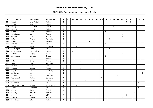| P   | Last name      | First name   | Federation     | $\mathsf{T}$            | 01 | 02 | 03             | 04 | 05             | 06 | 07             | 08 | 09 | 10 <sup>1</sup> | 11 | 12 | 13             | 14 | 15 <sup>1</sup> | 16           | 17             | 18             | 19 |
|-----|----------------|--------------|----------------|-------------------------|----|----|----------------|----|----------------|----|----------------|----|----|-----------------|----|----|----------------|----|-----------------|--------------|----------------|----------------|----|
| 364 | Kivelä         | Riku-Petteri | Finland        | 6                       |    |    |                |    |                |    |                |    |    |                 |    |    |                |    | $\mathbf{3}$    | $\mathbf{3}$ |                |                |    |
| 365 | Kallio         | Jesse        | Finland        | 6                       |    |    |                |    |                |    |                |    |    |                 |    |    |                |    |                 |              |                | 6              |    |
| 366 | Henry          | Sebastien    | France         | 6                       |    |    |                |    |                |    |                |    |    |                 |    | 6  |                |    |                 |              |                |                |    |
| 367 | Hemmi          | Eemeli       | Finland        | 6                       | 6  |    |                |    |                |    |                |    |    |                 |    |    |                |    |                 |              |                |                |    |
| 368 | Grimsen        | Peder        | Sweden         | 6                       |    |    |                |    |                |    |                |    |    | 6               |    |    |                |    |                 |              |                |                |    |
| 369 | Gorodnichiy    | Igor         | Russia         | 6                       |    |    |                |    |                |    |                |    |    |                 |    |    |                | 6  |                 |              |                |                |    |
| 370 | Glazkov        | Yury         | Russia         | 6                       |    |    |                |    |                |    |                |    |    |                 |    |    |                | 6  |                 |              |                |                |    |
| 371 | Fatu           | Valentin     | Romania        | 6                       |    |    |                |    |                |    |                |    |    |                 | 6  |    |                |    |                 |              |                |                |    |
| 372 | Erzen          | Tomaz        | Slovenia       | 6                       |    |    |                |    |                | 6  |                |    |    |                 |    |    |                |    |                 |              |                |                |    |
| 373 | Cimino         | Fabio        | Italy          | 6                       |    |    |                |    |                |    |                |    |    | 6               |    |    |                |    |                 |              |                |                |    |
| 374 | Baade          | Marco        | Germany        | 6                       |    |    | $\overline{4}$ |    |                |    | $\overline{2}$ |    |    |                 |    |    |                |    |                 |              |                |                |    |
| 375 | Baravaglio     | Bruno        | Italy          | 6                       |    |    |                |    |                |    |                |    |    |                 | 6  |    |                |    |                 |              |                |                |    |
| 376 | Antuszewicz    | Przemysław   | Poland         | 6                       |    | 6  |                |    |                |    |                |    |    |                 |    |    |                |    |                 |              |                |                |    |
| 377 | Andreev        | Sergey       | Russia         | 6                       |    |    |                |    |                |    |                |    |    |                 |    |    |                | 6  |                 |              |                |                |    |
| 378 | Andersson      | Andreas      | Sweden         | 6                       |    |    |                |    |                |    |                |    |    | 6               |    |    |                |    |                 |              |                |                |    |
| 379 | Alho           | Timo         | Finland        | 6                       | 6  |    |                |    |                |    |                |    |    |                 |    |    |                |    |                 |              |                |                |    |
| 380 | Lotthe         | Xavier       | France         | $5\phantom{.0}$         |    |    |                | 5  |                |    |                |    |    |                 |    |    |                |    |                 |              |                |                |    |
| 381 | Liew           | Alex         | Malaysia       | $5\phantom{.0}$         |    |    |                |    |                |    |                |    |    |                 |    |    |                |    |                 |              |                |                | 5  |
| 382 | Heinilä        | Sami         | Finland        | 5                       |    |    |                | 5  |                |    |                |    |    |                 |    |    |                |    |                 |              |                |                |    |
| 383 | Durupt         | Jérome       | France         | 5                       |    |    |                | 5  |                |    |                |    |    |                 |    |    |                |    |                 |              |                |                |    |
| 384 | <b>Bigall</b>  | René         | Germany        | $5\phantom{.0}$         |    |    |                |    |                |    |                |    |    |                 | 3  |    | $\overline{2}$ |    |                 |              |                |                |    |
| 385 | Al-Deyab       | Ahmed        | Qatar          | 5                       |    |    |                |    |                |    |                |    |    |                 |    |    |                |    |                 |              |                |                | 5  |
| 386 | Žváček         | Petr         | Czech Republic | $\overline{4}$          |    |    |                |    |                |    |                |    |    |                 |    |    | $\overline{4}$ |    |                 |              |                |                |    |
| 387 | Wendlandt      | Steffen      | Germany        | 4                       |    |    |                |    |                |    |                |    | 4  |                 |    |    |                |    |                 |              |                |                |    |
| 388 | Vedriš         | Vedran       | Croatia        | $\overline{4}$          |    |    |                |    | $\overline{4}$ |    |                |    |    |                 |    |    |                |    |                 |              |                |                |    |
| 389 | Varchetta      | Gennaro      | Italy          | $\overline{\mathbf{4}}$ |    |    |                |    |                |    |                |    |    |                 |    |    |                |    |                 |              |                | $\overline{4}$ |    |
| 390 | van den Heuvel | Menno        | Netherlands    | $\overline{4}$          |    |    | $\overline{4}$ |    |                |    |                |    |    |                 |    |    |                |    |                 |              |                |                |    |
| 391 | Tonno          | Giuseppe     | Italy          | $\overline{\mathbf{4}}$ |    |    |                |    |                |    |                |    |    |                 |    |    |                |    |                 |              |                | $\overline{4}$ |    |
| 392 | Špiljar        | Marko        | Croatia        | 4                       |    |    |                |    | $\overline{4}$ |    |                |    |    |                 |    |    |                |    |                 |              |                |                |    |
| 393 | Sparby         | Jan Cato     | Norway         | $\overline{4}$          |    |    |                |    |                |    |                |    |    |                 |    |    |                |    |                 |              | $\overline{4}$ |                |    |
| 394 | Smith          | Allan        | <b>USA</b>     | 4                       |    |    |                |    |                |    |                |    |    |                 |    |    |                |    | $\overline{4}$  |              |                |                |    |
| 395 | Sidorov        | Alexey       | Russia         | 4                       |    |    |                |    |                |    |                |    |    |                 |    |    |                | 4  |                 |              |                |                |    |
| 396 | Sadeharju      | Arttu        | Finland        | 4                       |    |    |                |    |                |    |                |    |    | 4               |    |    |                |    |                 |              |                |                |    |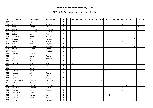| P   | Last name       | First name | Federation  | $\mathsf{T}$            | 01 | 02             | 03 | 04 | 05             | 06             | 07 | 08 | 09 | 10 <sup>1</sup> | 11 | 12 | 13 | 14             | 15             | 16 | 17             | 18                       | 19 |
|-----|-----------------|------------|-------------|-------------------------|----|----------------|----|----|----------------|----------------|----|----|----|-----------------|----|----|----|----------------|----------------|----|----------------|--------------------------|----|
| 397 | Naglić          | Stjepan    | Croatia     | $\overline{4}$          |    |                |    |    | 4              |                |    |    |    |                 |    |    |    |                |                |    |                |                          |    |
| 398 | Minulin         | Oleg       | Kazakhstan  | 4                       |    |                |    |    |                |                |    |    |    |                 |    |    |    | 4              |                |    |                |                          |    |
| 399 | Magni           | Giorgio    | Italy       | $\overline{\mathbf{4}}$ |    |                |    |    |                |                |    |    |    |                 |    |    |    |                |                |    |                | $\overline{\mathcal{A}}$ |    |
| 400 | Lischka         | Klaus-Uwe  | Germany     | 4                       |    |                |    |    |                |                |    |    |    |                 |    |    | 4  |                |                |    |                |                          |    |
| 401 | Lischka         | Klaus-Uwe  | Germany     | 4                       |    |                |    |    |                | $\overline{4}$ |    |    |    |                 |    |    |    |                |                |    |                |                          |    |
| 402 | Lindbäck        | Lars       | Sweden      | 4                       |    |                |    |    |                |                |    |    |    |                 |    |    |    |                |                |    | $\overline{4}$ |                          |    |
| 403 | Kuznetsov       | Dmitry     | Russia      | 4                       |    |                |    |    |                |                |    |    |    |                 |    |    |    | $\overline{4}$ |                |    |                |                          |    |
| 404 | Kulseng         | Øyvin      | Norway      | 4                       |    |                |    |    |                |                |    |    |    |                 |    |    |    |                |                |    | $\overline{4}$ |                          |    |
| 405 | Korolev         | Yury       | Russia      | $\overline{4}$          |    |                |    |    |                |                |    |    |    |                 |    |    |    | 4              |                |    |                |                          |    |
| 406 | Joris           | Nico       | Belgium     | 4                       |    |                |    |    |                |                |    |    |    |                 |    |    |    |                | $\overline{4}$ |    |                |                          |    |
| 407 | Jansen          | Tor Inge   | Norway      | 4                       |    |                |    |    |                |                |    |    |    |                 |    |    |    |                |                |    | $\overline{4}$ |                          |    |
| 408 | Janicki         | Tomasz     | Poland      | 4                       |    | $\overline{4}$ |    |    |                |                |    |    |    |                 |    |    |    |                |                |    |                |                          |    |
| 409 | Hoste           | Kevin      | Belgium     | 4                       |    |                | 4  |    |                |                |    |    |    |                 |    |    |    |                |                |    |                |                          |    |
| 410 | Gertsen         | Carsten    | Denmark     | 4                       |    |                |    |    |                |                |    |    | 4  |                 |    |    |    |                |                |    |                |                          |    |
| 411 | Fedin           | Alexey     | Russia      | 4                       |    |                |    |    |                |                |    |    |    |                 |    |    |    | $\overline{4}$ |                |    |                |                          |    |
| 412 | Eržen           | Lino       | Slovenia    | 4                       |    |                |    |    |                | $\overline{4}$ |    |    |    |                 |    |    |    |                |                |    |                |                          |    |
| 413 | Coppola         | Gianpiero  | Italy       | 4                       |    |                |    |    |                |                |    |    |    |                 |    |    |    |                |                |    |                | $\overline{4}$           |    |
| 414 | Bryłkowski      | Bartosz    | Poland      | 4                       |    | $\overline{4}$ |    |    |                |                |    |    |    |                 |    |    |    |                |                |    |                |                          |    |
| 415 | <b>Brnić</b>    | Damir      | Croatia     | 4                       |    |                |    |    | $\overline{4}$ |                |    |    |    |                 |    |    |    |                |                |    |                |                          |    |
| 416 | <b>Bódis</b>    | Giorgio    | Hungary     | 4                       |    |                |    |    |                |                |    |    |    | $\overline{4}$  |    |    |    |                |                |    |                |                          |    |
| 417 | Boccato         | Marco      | Italy       | 4                       |    |                |    |    |                |                |    |    |    | 4               |    |    |    |                |                |    |                |                          |    |
| 418 | Błaszczak       | Adam       | Poland      | 4                       |    | 4              |    |    |                |                |    |    |    |                 |    |    |    |                |                |    |                |                          |    |
| 419 | <b>Bland Jr</b> | Kenneth    | <b>USA</b>  | 4                       |    |                |    |    |                | $\overline{4}$ |    |    |    |                 |    |    |    |                |                |    |                |                          |    |
| 420 | Bielski         | Paweł      | Poland      | 4                       |    | $\overline{4}$ |    |    |                |                |    |    |    |                 |    |    |    |                |                |    |                |                          |    |
| 421 | Algreen-Ussing  | Rasmus     | Denmark     | $\overline{4}$          |    |                |    |    |                |                |    |    | 4  |                 |    |    |    |                |                |    |                |                          |    |
| 422 | Vestneshagen    | Morten     | Norway      | 3                       |    |                |    |    |                |                |    |    |    |                 |    |    |    |                |                |    | 3              |                          |    |
| 423 | van der Heide   | Jeroen     | Netherlands | 3                       |    |                |    |    |                |                |    |    |    |                 |    |    |    |                | 3              |    |                |                          |    |
| 424 | Sverchkov       | Vladimir   | Russia      | 3                       |    |                |    |    |                |                |    |    |    |                 |    |    |    | 3              |                |    |                |                          |    |
| 425 | Starchenkov     | Roman      | Russia      | 3                       |    |                |    |    |                |                |    |    |    |                 |    |    |    | 3              |                |    |                |                          |    |
| 426 | Starchenkov     | Sergey     | Russia      | 3                       |    |                |    |    |                |                |    |    |    |                 |    |    |    | 3              |                |    |                |                          |    |
| 427 | Spagnoli        | Davide     | Italy       | 3                       |    |                |    |    |                |                |    |    |    |                 | 3  |    |    |                |                |    |                |                          |    |
| 428 | Skorupa         | Jacek      | Poland      | 3                       |    | 3              |    |    |                |                |    |    |    |                 |    |    |    |                |                |    |                |                          |    |
| 429 | Selvnes         | Pål        | Norway      | 3                       |    |                |    |    |                |                |    |    |    |                 |    |    |    |                |                |    | 3              |                          |    |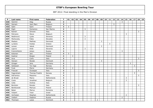| P   | Last name     | <b>First name</b> | Federation  | $\mathsf{T}$   | 01 | 02             | 03 | 04 | 05 | 06 | 07 | 08             | 09 | 10 l | 11 | 12 | 13 | 14             | 15           | 16 | 17 | 18             | 19 |
|-----|---------------|-------------------|-------------|----------------|----|----------------|----|----|----|----|----|----------------|----|------|----|----|----|----------------|--------------|----|----|----------------|----|
| 430 | Sazonov       | Oleg              | Russia      | 3              |    |                |    |    |    |    |    |                |    |      |    |    |    | 3              |              |    |    |                |    |
| 431 | Samain        | Jean Marc         | Belgium     | 3              |    |                |    |    |    |    |    |                |    |      |    | 3  |    |                |              |    |    |                |    |
| 432 | Salin         | Sami              | Finland     | $\mathbf{3}$   | 3  |                |    |    |    |    |    |                |    |      |    |    |    |                |              |    |    |                |    |
| 433 | Righi         | Domenico          | San Marino  | 3              |    |                |    |    | 3  |    |    |                |    |      |    |    |    |                |              |    |    |                |    |
| 434 | Ranieri       | Simone            | Italy       | 3              |    |                |    |    |    |    |    |                |    |      |    |    |    |                |              |    |    | 3              |    |
| 435 | Petroons      | Steve             | Belgium     | 3              |    |                |    |    |    |    |    |                |    |      |    |    |    |                | 3            |    |    |                |    |
| 436 | Nedimović     | Ljubo             | Slovenia    | 3              |    |                |    |    | 3  |    |    |                |    |      |    |    |    |                |              |    |    |                |    |
| 437 | Merkovsky     | Fabio             | Slovakia    | $\mathbf{3}$   |    |                |    |    | 3  |    |    |                |    |      |    |    |    |                |              |    |    |                |    |
| 438 | Madsen        | Mathias           | Denmark     | 3              |    |                |    |    |    |    |    |                | 3  |      |    |    |    |                |              |    |    |                |    |
| 439 | Lyratzis      | Kostas            | Greece      | 3              |    |                |    |    |    |    |    |                |    |      | 3  |    |    |                |              |    |    |                |    |
| 440 | Larsen        | Jakob             | Denmark     | 3              |    |                |    |    |    |    |    |                | 3  |      |    |    |    |                |              |    |    |                |    |
| 441 | Lajovic       | Anže              | Slovenia    | 3              |    |                |    |    | 3  |    |    |                |    |      |    |    |    |                |              |    |    |                |    |
| 442 | Krasnoshtanov | Anton             | Russia      | 3              |    |                |    |    |    |    |    |                |    |      |    |    |    | 3              |              |    |    |                |    |
| 443 | Ketonen       | Jani              | Finland     | $\mathbf{3}$   | 3  |                |    |    |    |    |    |                |    |      |    |    |    |                |              |    |    |                |    |
| 444 | Kastner       | Brajan            | Poland      | $\mathbf{3}$   |    | 3              |    |    |    |    |    |                |    |      |    |    |    |                |              |    |    |                |    |
| 445 | Ieva          | Carlo             | Italy       | 3              |    |                |    |    |    |    |    |                |    |      |    |    |    |                |              |    |    | $\overline{3}$ |    |
| 446 | Hansen        | Nicolai           | Denmark     | 3              |    |                |    |    |    |    |    |                | 3  |      |    |    |    |                |              |    |    |                |    |
| 447 | Grieger       | Jens              | Germany     | 3              |    |                |    |    |    |    |    |                |    |      |    |    |    |                |              | 3  |    |                |    |
| 448 | Geliassen     | Tor Inge          | Norway      | $\mathbf{3}$   |    |                |    |    |    |    |    |                |    |      |    |    |    |                |              |    | 3  |                |    |
| 449 | Funk          | Pierre            | Germany     | 3              |    | 3              |    |    |    |    |    |                |    |      |    |    |    |                |              |    |    |                |    |
| 450 | Frascati      | Giuseppe          | Italy       | $\mathbf{3}$   |    |                |    |    |    |    |    |                |    |      |    |    |    |                |              |    |    | $\mathsf{3}$   |    |
| 451 | Fagerstrøm    | Thomas Fredrik    | Norway      | 3              |    |                |    |    |    |    |    |                |    |      |    |    |    |                |              |    | 3  |                |    |
| 452 | Dell'amico    | Massimo           | Italy       | 3              |    |                |    |    |    |    |    |                |    |      |    |    |    |                |              |    |    | 3              |    |
| 453 | de Bruijn     | Marco             | Netherlands | $\overline{3}$ |    |                |    |    |    |    |    |                |    |      |    |    |    |                | 3            |    |    |                |    |
| 454 | Cools         | Jonathan          | Belgium     | $\mathbf{3}$   |    |                |    |    |    |    |    |                |    |      |    |    |    |                | $\mathbf{3}$ |    |    |                |    |
| 455 | Cella         | Andrea            | Italy       | $\mathbf{3}$   |    |                |    |    |    |    |    |                |    |      | 3  |    |    |                |              |    |    |                |    |
| 456 | Bortolon      | Renato            | Italy       | 3              |    |                |    |    |    |    |    |                |    |      |    |    |    |                |              |    |    | 3              |    |
| 457 | Bentkowski    | Mariusz           | Poland      | 3              |    | 3              |    |    |    |    |    |                |    |      |    |    |    |                |              |    |    |                |    |
| 458 | Balan         | Marius            | Romania     | 3              |    | 3              |    |    |    |    |    |                |    |      |    |    |    |                |              |    |    |                |    |
| 459 | Volpert       | Yossi             | Israel      | $\overline{2}$ |    | $\overline{2}$ |    |    |    |    |    |                |    |      |    |    |    |                |              |    |    |                |    |
| 460 | Verheijen     | Stephan           | Netherlands | $\overline{2}$ |    |                |    |    |    |    |    |                |    |      |    |    |    |                | $2^{\circ}$  |    |    |                |    |
| 461 | Vasilyev      | Vladimir          | Russia      | $\mathbf 2$    |    |                |    |    |    |    |    |                |    |      |    |    |    | $\overline{2}$ |              |    |    |                |    |
| 462 | Thomsen       | Lasse             | Denmark     | $\overline{2}$ |    |                |    |    |    |    |    | $\overline{2}$ |    |      |    |    |    |                |              |    |    |                |    |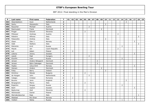| P   | Last name       | First name      | Federation     | $\mathbf T$             | 01 | 02             | 03 | 04 | 05             | 06             | 07 | 08             | 09             | 10 <sup>1</sup> | 11 | 12 | 13             | 14             | $15 \mid$      | 16 | 17             | 18             | 19 |
|-----|-----------------|-----------------|----------------|-------------------------|----|----------------|----|----|----------------|----------------|----|----------------|----------------|-----------------|----|----|----------------|----------------|----------------|----|----------------|----------------|----|
| 463 | Steenbekkers    | Sven            | Netherlands    | $\overline{2}$          |    |                |    |    |                |                |    |                |                |                 |    |    |                |                | $\overline{2}$ |    |                |                |    |
| 464 | Santu           | Alessandro      | Italy          | $\mathbf{2}$            |    |                |    |    |                |                |    |                |                | $\overline{2}$  |    |    |                |                |                |    |                |                |    |
| 465 | Rauscher        | Michael         | Austria        | $\overline{\mathbf{2}}$ |    |                |    |    |                | $\overline{2}$ |    |                |                |                 |    |    |                |                |                |    |                |                |    |
| 466 | Rasmussen       | Frank           | Denmark        | $\overline{2}$          |    |                |    |    |                |                |    |                | $\overline{2}$ |                 |    |    |                |                |                |    |                |                |    |
| 467 | Progar          | Edvard          | Slovenia       | $\mathbf{2}$            |    |                |    |    | $\overline{2}$ |                |    |                |                |                 |    |    |                |                |                |    |                |                |    |
| 468 | Pittesser       | Andreas         | Austria        | $\mathbf{2}$            |    |                |    |    |                |                |    |                |                |                 |    |    | $\overline{2}$ |                |                |    |                |                |    |
| 469 | Palestre        | Alfonso         | Italy          | $\overline{\mathbf{2}}$ |    |                |    |    |                |                |    |                |                |                 |    |    |                |                |                |    |                | $\overline{2}$ |    |
| 470 | Palazzotto      | Andrea          | Italy          | $\overline{2}$          |    |                |    |    |                |                |    |                |                | $\overline{2}$  |    |    |                |                |                |    |                |                |    |
| 471 | Olsen           | Olav J.         | Norway         | $\mathbf{2}$            |    |                |    |    |                |                |    |                |                |                 |    |    |                |                |                |    | $\overline{2}$ |                |    |
| 472 | Oddi            | Stefano         | Italy          | $\overline{2}$          |    |                |    |    |                |                |    |                |                |                 |    |    |                |                |                |    |                | $\overline{2}$ |    |
| 473 | Matvienko       | Kirill          | Russia         | $\mathbf{2}$            |    |                |    |    |                |                |    |                |                |                 |    |    |                | 2              |                |    |                |                |    |
| 474 | Macek           | Jan             | Czech Republic | $\overline{2}$          |    |                |    |    |                |                |    |                |                |                 |    |    | $\overline{2}$ |                |                |    |                |                |    |
| 475 | Łoś             | Adam            | Poland         | $\overline{\mathbf{2}}$ |    | $\overline{2}$ |    |    |                |                |    |                |                |                 |    |    |                |                |                |    |                |                |    |
| 476 | Lillemo         | Jimmy           | Sweden         | $\overline{2}$          |    |                |    |    |                |                |    |                |                |                 |    |    |                |                |                |    | $\overline{2}$ |                |    |
| 477 | László          | Paál            | Hungary        | $\mathbf{2}$            |    |                |    |    |                | $\overline{2}$ |    |                |                |                 |    |    |                |                |                |    |                |                |    |
| 478 | Klyushin        | Ivan            | Russia         | $\overline{2}$          |    |                |    |    |                |                |    |                |                |                 |    |    |                | 2              |                |    |                |                |    |
| 479 | Jensen          | Anders Nörgaard | Denmark        | $\overline{2}$          |    |                |    |    |                |                |    | $\overline{2}$ |                |                 |    |    |                |                |                |    |                |                |    |
| 480 | Jensen          | Björn Saksager  | Denmark        | $\mathbf{2}$            |    |                |    |    |                |                |    | $\overline{2}$ |                |                 |    |    |                |                |                |    |                |                |    |
| 481 | Hopka           | Julius Emil     | Norway         | $\overline{2}$          |    |                |    |    |                |                |    |                |                |                 |    |    |                |                |                |    | $\overline{2}$ |                |    |
| 482 | Hansen          | Anders          | Denmark        | $\overline{2}$          |    |                |    |    |                |                |    |                | $\overline{2}$ |                 |    |    |                |                |                |    |                |                |    |
| 483 | Foley           | Barry           | Ireland        | $\overline{2}$          |    |                |    |    |                |                |    |                |                | $\overline{2}$  |    |    |                |                |                |    |                |                |    |
| 484 | Dimitrov        | Nikolai         | Bulgaria       | $\overline{2}$          |    |                |    |    | $\overline{2}$ |                |    |                |                |                 |    |    |                |                |                |    |                |                |    |
| 485 | de Hoogen       | John            | Netherlands    | $\mathbf{2}$            |    |                |    |    |                | $\overline{2}$ |    |                |                |                 |    |    |                |                |                |    |                |                |    |
| 486 | Calagiu         | Cristian        | Romania        | $\mathbf{2}$            |    | $\overline{2}$ |    |    |                |                |    |                |                |                 |    |    |                |                |                |    |                |                |    |
| 487 | <b>Bucens</b>   | Janis           | England        | $\overline{2}$          |    |                |    |    |                |                |    |                |                |                 |    |    |                |                | 2              |    |                |                |    |
| 488 | Borgognoni      | Marco           | Italy          | $\overline{\mathbf{2}}$ |    |                |    |    | $\overline{2}$ |                |    |                |                |                 |    |    |                |                |                |    |                |                |    |
| 489 | Bogachev        | Sergey          | Russia         | $\mathbf 2$             |    |                |    |    |                |                |    |                |                |                 |    |    |                | $\overline{2}$ |                |    |                |                |    |
| 490 | Biehl           | Joakim          | Sweden         | $\mathbf{2}$            |    |                |    |    |                |                |    |                |                |                 |    |    |                |                |                |    | $\overline{2}$ |                |    |
| 491 | Badovinac       | Aleš            | Slovenia       | $\overline{2}$          |    |                |    |    | $\overline{2}$ |                |    |                |                |                 |    |    |                |                |                |    |                |                |    |
| 492 | Wiśniewski      | Daniel          | Poland         | $\mathbf{1}$            |    | $\mathbf{1}$   |    |    |                |                |    |                |                |                 |    |    |                |                |                |    |                |                |    |
| 493 | Warnakulasuriya | Raje            | Italy          | $\mathbf{1}$            |    |                |    |    |                |                |    |                |                |                 |    |    |                |                |                |    |                | $\mathbf{1}$   |    |
| 494 | Walstad         | Per-Einar       | Norway         | $\mathbf{1}$            |    |                |    |    |                |                |    |                |                |                 |    |    |                |                |                |    | $\mathbf{1}$   |                |    |
| 495 | Vasilyev        | Nikita          | Russia         | $\mathbf{1}$            |    |                |    |    |                |                |    |                |                |                 |    |    |                | 1              |                |    |                |                |    |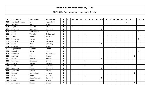| P   | Last name       | First name     | Federation     | $\mathsf{T}$ | 01 | 02           | 03 | 04 | 05           | 06 | 07 | 08 | 09 | 10 | 11 | 12 | 13 | 14 | 15           | 16 | 17           | 18           | 19 |
|-----|-----------------|----------------|----------------|--------------|----|--------------|----|----|--------------|----|----|----|----|----|----|----|----|----|--------------|----|--------------|--------------|----|
| 496 | van den Bogaard | Ron            | Netherlands    | 1            |    |              |    |    |              |    |    |    |    |    |    |    |    |    | $\mathbf{1}$ |    |              |              |    |
| 497 | Timofeev        | Nikita         | Russia         | 1            |    |              |    |    |              |    |    |    |    |    |    |    |    |    |              |    |              |              |    |
| 498 | Tagliavini      | Roberto        | Italy          | 1            |    | $\mathbf{1}$ |    |    |              |    |    |    |    |    |    |    |    |    |              |    |              |              |    |
| 499 | Sørensen        | Jens Ravn      | Denmark        | 1            |    |              |    |    |              |    |    |    | 1  |    |    |    |    |    |              |    |              |              |    |
| 500 | Sloan           | Christopher    | Ireland        | 1            |    |              |    |    |              |    |    |    |    |    |    |    |    |    |              |    |              | $\mathbf{1}$ |    |
| 501 | Simek           | Tomislav       | Switzerand     | 1            |    |              |    |    | $\mathbf{1}$ |    |    |    |    |    |    |    |    |    |              |    |              |              |    |
| 502 | Shilkin         | Dmitry         | <b>Belarus</b> | 1            |    |              |    |    |              |    |    |    |    |    |    |    |    | 1  |              |    |              |              |    |
| 503 | Santangelo      | Franco         | Italy          | 1            |    |              |    |    |              |    |    |    |    |    |    |    |    |    |              |    |              | 1            |    |
| 504 | Reuschel        | Frank          | Germany        | 1            |    | $\mathbf{1}$ |    |    |              |    |    |    |    |    |    |    |    |    |              |    |              |              |    |
| 505 | Rauth           | Oliver         | Germany        | 1            |    |              |    |    |              |    |    |    |    |    |    |    |    |    |              |    |              |              |    |
| 506 | Pronchev        | Anton          | Russia         | 1            |    |              |    |    |              |    |    |    |    |    |    |    |    | 1  |              |    |              |              |    |
| 507 | Popielarczyk    | Tomasz         | Poland         | 1            |    | 1            |    |    |              |    |    |    |    |    |    |    |    |    |              |    |              |              |    |
| 508 | Pongolini       | Nicola         | Italy          | 1            |    |              |    |    |              |    |    |    |    |    |    |    |    |    |              |    |              | $\mathbf{1}$ |    |
| 509 | Plummen         | Ton            | Netherlands    | 1            |    |              |    |    |              |    |    |    |    |    |    |    |    |    | $\mathbf{1}$ |    |              |              |    |
| 510 | Petersen        | Tommy          | Sweden         | 1            |    |              |    |    |              |    |    |    |    |    |    |    |    |    |              |    | $\mathbf{1}$ |              |    |
| 511 | Nyman           | Lennart        | Sweden         | 1            |    |              |    |    |              |    |    |    |    |    |    |    |    |    |              |    |              |              |    |
| 512 | Kovačević       | Kremenko       | Croatia        | 1            |    |              |    |    | $\mathbf{1}$ |    |    |    |    |    |    |    |    |    |              |    |              |              |    |
| 513 | Koradej         | Štefan         | Slovenia       | 1            |    |              |    |    |              |    |    |    |    |    |    |    |    |    |              |    |              |              |    |
| 514 | Kalan           | Žiga           | Slovenia       | 1            |    |              |    |    | 1            |    |    |    |    |    |    |    |    |    |              |    |              |              |    |
| 515 | Jøgensen        | Torben         | Denmark        | 1            |    |              |    |    |              |    |    |    |    |    |    |    |    |    |              |    |              |              |    |
| 516 | Jabłoński       | Janusz         | Poland         | 1            |    | 1            |    |    |              |    |    |    |    |    |    |    |    |    |              |    |              |              |    |
| 517 | Hansen          | Audun Boye     | Norway         | 1            |    |              |    |    |              |    |    |    |    |    |    |    |    |    |              |    |              |              |    |
| 518 | Ficze           | Gabor          | Hungary        | 1            |    |              |    |    | 1            |    |    |    |    |    |    |    |    |    |              |    |              |              |    |
| 519 | Eriksen         | Klavs Tranborg | Denmark        | 1            |    |              |    |    |              |    |    |    |    |    |    |    |    |    |              |    |              |              |    |
| 520 | Danilin         | Dmitry         | Russia         | 1            |    |              |    |    |              |    |    |    |    |    |    |    |    | 1  |              |    |              |              |    |
| 521 | Andersson       | Jörgen         | Sweden         | 1            |    |              |    |    |              |    |    |    |    |    |    |    |    |    |              |    | $\mathbf{1}$ |              |    |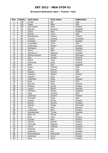### **Brunswick Ballmaster Open / Finland / Gold**

| Pos.                    | <b>Points</b>   | Last name      | First name   | Federation |
|-------------------------|-----------------|----------------|--------------|------------|
| $\mathbf{1}$            | 150             | O'neill        | Bill         | <b>USA</b> |
| $\overline{2}$          | 120             | Fagan          | Mike         | <b>USA</b> |
| 3                       | 105             | Koivuniemi     | Mika         | Finland    |
| $\overline{\mathbf{4}}$ | 90              | <b>Barrett</b> | Dominic      | England    |
| $\overline{5}$          | 75              | Uotila         | Pasi         | Finland    |
| $\overline{6}$          | $\overline{72}$ | <b>Barnes</b>  | Chris        | <b>USA</b> |
| $\overline{7}$          | 69              | Raatikainen    | Teemu        | Finland    |
| 8                       | 66              | Frawley        | Andrew       | Australia  |
| $\overline{9}$          | 63              | Paulsson       | Martin       | Sweden     |
| 10                      | 60              | Loschetter     | Chris        | <b>USA</b> |
| 11                      | 45              | Andersson      | Robert       | Sweden     |
| 12                      | 45              | Wahlgren       | Karl         | Sweden     |
| 13                      | 42              | Heino          | Mika         | Finland    |
| 14                      | 42              | Johnson Jr.    | Magnus       | Sweden     |
| 15                      | 39              | Winternheimer  | Pascal       | Germany    |
| 16                      | 39              | Jähi           | Joonas       | Finland    |
| 17                      | 36              | Ranta          | Tony         | Finland    |
| 18                      | 36              | Palermaa       | Osku         | Finland    |
| 19                      | 33              | Moor           | Paul         | England    |
| $\overline{20}$         | 33              | Jones          | Tommy        | <b>USA</b> |
| 21                      | 24              | Allen          | Patrick      | <b>USA</b> |
| 22                      | 24              | Russell        | Ronnie       | <b>USA</b> |
| 23                      | 24              | Sallonen       | Petteri      | Finland    |
| $\overline{24}$         | 24              | Castillo       | Dino         | <b>USA</b> |
| 25                      | 24              | Hellström      | Peter        | Sweden     |
| 26                      | 18              | Rash           | Sean         | <b>USA</b> |
| 27                      | 18              | Nurmilo        | Panu         | Finland    |
| 28                      | 18              | Ahokas         | Jarmo        | Finland    |
| $\overline{29}$         | 18              | Larsen         | Martin       | Sweden     |
| 30                      | 18              | Williams       | Stuart       | England    |
| $\overline{31}$         | 12              | Hess           | Tommy        | <b>USA</b> |
| 32                      | 12              | Lehtonen       | Kimmo        | Finland    |
| $\overline{33}$         | 12              | Ciminelli      | Ryan         | <b>USA</b> |
| 34                      | 12              | Jussila        | Perttu       | Finland    |
| $\overline{35}$         | 12              | Eklund         | Dennis       | Sweden     |
| 36                      | 9               | Agerbo         | Jesper       | Denmark    |
| 37                      | 9               | <b>Truus</b>   | Kert         | Estonia    |
| 38                      | $\overline{9}$  | Liukkonen      | Niko         | Finland    |
| 39                      | $\overline{9}$  | Leandersson    | <b>Tomas</b> | Sweden     |
| 40                      | 9               | Bohn III       | Parker       | <b>USA</b> |
| 41                      | 6               | Alho           | Timo         | Finland    |
| 42                      | $\overline{6}$  | Kurppa         | Niko         | Finland    |
| 43                      | $\overline{6}$  | Hemmi          | Eemeli       | Finland    |
| 44                      | 6               | Lönnroth       | Magnus       | Finland    |
| 45                      | 6               | Aarup          | Mathias      | Sweden     |
| 46                      | $\overline{3}$  | Ketonen        | Jani         | Finland    |
| 47                      | $\overline{3}$  | Andersin       | Erik         | Sweden     |
| 48                      | $\overline{3}$  | Medveditskov   | Alexander    | Russia     |
| 49                      | $\overline{3}$  | Helminen       | Jouni        | Finland    |
| 50                      | $\overline{3}$  | Salin          | Sami         | Finland    |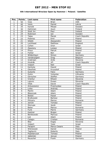### **6th International Wroclaw Open by Hammer / Poland / Satellite**

| Pos.            | <b>Points</b>            | Last name         | First name     | Federation     |
|-----------------|--------------------------|-------------------|----------------|----------------|
| $\mathbf{1}$    | 50                       | Voss              | <b>Brian</b>   | <b>USA</b>     |
| $\overline{2}$  | 40                       | Vezis             | Daniel         | Latvia         |
| $\overline{3}$  | 35                       | Kanold            | Mikael         | Sweden         |
| 4               | 30                       | Helminen          | Jouni          | Finland        |
| $\overline{5}$  | 25                       | Stott Jnr.        | Paul           | Ireland        |
| $\overline{6}$  | 24                       | Robinson          | Ian            | Sweden         |
| $\overline{7}$  | 23                       | Talpa             | Marek          | Czech Republic |
| 8               | 22                       | Polanisz          | Emil           | Poland         |
| 9               | 21                       | Silletti          | Alessandro     | Poland         |
| 10              | 20                       | Lochhead          | Matthew        | England        |
| 11              | 15                       | Cohen             | Oron           | Israel         |
| 12              | 15                       | Zjawiony          | Łukasz         | Poland         |
| 13              | 14                       | Preus             | Patryk         | Poland         |
| 14              | 14                       | Fishler           | Ben            | Israel         |
| 15              | 13                       | Wildenhayn        | Simon          | Germany        |
| 16              | 13                       | Vanderpijpen      | Greg           | Belgium        |
| 17              | 12                       | Grabrijan         | Anže           | Slovenia       |
| 18              | 12                       | Hindrák           | Jiří           | Czech Republic |
| 19              | 11                       | Volpert           | Nati           | Israel         |
| 20              | 11                       | Kantyka           | Dawid          | Poland         |
| 21              | 8                        | Olesiński         | Krzysztof      | Poland         |
| 22              | $\overline{8}$           | Gutsche           | Falco          | Germany        |
| $\overline{23}$ | 8                        | Gykis             | Vytautas       | Lithuania      |
| 24              | 8                        | Gerischer         | Steffen        | Germany        |
| $\overline{25}$ | $\overline{8}$           | Vrenčur           | Rihard         | Slovenia       |
| 26              | 6                        | Lajovic           | Dusan          | Slovenia       |
| 27              | $\overline{6}$           | Vítek             | David          | Czech Republic |
| 28              | 6                        | Antuszewicz       | Przemysław     | Poland         |
| 29              | 6                        | Linke             | Andrzej        | Poland         |
| $\overline{30}$ | $\overline{6}$           | Martin            | Adam           | Poland         |
| 31              | $\overline{\mathcal{L}}$ | Błaszczak         | Adam           | Poland         |
| 32              | 4                        | <b>Bielski</b>    | Paweł          | Poland         |
| $\overline{33}$ | $\overline{\mathbf{4}}$  | <b>Bryłkowski</b> | <b>Bartosz</b> | Poland         |
| 34              | 4                        | Piticariu         | Marius         | Romania        |
| 35              | $\overline{4}$           | Janicki           | Tomasz         | Poland         |
| 36              | $\overline{3}$           | Skorupa           | <b>Jacek</b>   | Poland         |
| 37              | $\overline{3}$           | Balan             | Marius         | Romania        |
| 38              | $\overline{3}$           | Funk              | Pierre         | Germany        |
| $\overline{39}$ | $\overline{3}$           | Kastner           | <b>Brajan</b>  | Poland         |
| 40              | $\overline{3}$           | Bentkowski        | Mariusz        | Poland         |
| 41              | $\overline{2}$           | Łoś               | Adam           | Poland         |
| 42              | $\overline{2}$           | Calagiu           | Cristian       | Romania        |
| 43              | $\overline{2}$           | <b>Blaz</b>       | Kogej          | Slovenia       |
| 44              | $\overline{2}$           | Volpert           | Yossi          | Israel         |
| 45              | $\overline{2}$           | Parapini          | Marco Cesare   | Italy          |
| 46              | $\mathbf{1}$             | Wiśniewski        | Daniel         | Poland         |
| 47              | $\mathbf 1$              | Tagliavini        | Roberto        | Italy          |
| 48              | $\mathbf{1}$             | Popielarczyk      | Tomasz         | Poland         |
| 49              | $\mathbf{1}$             | Jabłoński         | Janusz         | Poland         |
| 50              | $\mathbf{1}$             | Reuschel          | Frank          | Germany        |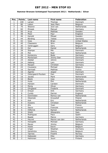### **Hammer Bronzen Schietspoel Tournament 2012 / Netherlands / Silver**

| Pos.            | <b>Points</b>           | Last name          | <b>First name</b> | Federation           |
|-----------------|-------------------------|--------------------|-------------------|----------------------|
| $\mathbf{1}$    | 100                     | Larsen             | Thomas            | Denmark              |
| $\overline{2}$  | 80                      | Lebon              | Jean Marc         | Belgium              |
| $\overline{3}$  | 70                      | Weeren             | Jord van          | Netherlands          |
| 4               | 60                      | Mrosek             | Manuel            | Germany              |
| $\overline{5}$  | 50                      | Arup               | Mathias           | Sweden               |
| $\overline{6}$  | 48                      | Moor               | Paul              | England              |
| $\overline{7}$  | 46                      | Kanold             | Mikael            | Sweden               |
| 8               | 44                      | Börding            | <b>Tobias</b>     | Germany              |
| 9               | 42                      | Voss               | <b>Brian</b>      | <b>United States</b> |
| 10              | 40                      | Claessens          | Wim               | Belgium              |
| 11              | 30                      | Verbruggen         | Gery              | Belgium              |
| 12              | 30                      | Dol                | Daniel            | Netherlands          |
| 13              | 28                      | Stampe             | Mik               | Denmark              |
| 14              | 28                      | Mol                | Roel              | Netherlands          |
| 15              | 26                      | Konieczny          | <b>Bodo</b>       | Germany              |
| 16              | 26                      | Mortensen          | Jimmy Dan         | Denmark              |
| 17              | 24                      | Adsbøl             | Johnni            | Denmark              |
| 18              | 24                      | Høberg             | Lars              | Denmark              |
| 19              | 22                      | Racpan             | Christian         | Germany              |
| 20              | 22                      | Coussens           | Michael           | Belgium              |
| 21              | 16                      | Sarmadi            | Mathias           | France               |
| 22              | 16                      | Agerbo             | Jesper            | <b>Denmark</b>       |
| $\overline{23}$ | 16                      | Ostergaard-Poulsen | Dan               | Denmark              |
| 24              | 16                      | Jacobs             | Mark              | Netherlands          |
| 25              | 16                      | <b>Blank</b>       | Uwe               | Germany              |
| 26              | 12                      | Hulst              | Phil              | Netherlands          |
| 27              | 12                      | Hansen             | Carsten           | Denmark              |
| 28              | 12                      | Morig              | Oliver            | Germany              |
| 29              | 12                      | Ohrgaard           | Frederik          | Denmark              |
| $\overline{30}$ | 12                      | Dreyer             | Dirk              | Germany              |
| 31              | 8                       | Cundy              | Darren            | England              |
| 32              | 8                       | Dommelen           | Remco van         | Netherlands          |
| $\overline{33}$ | $\overline{8}$          | Olesinski          | Krzysztof         | Poland               |
| 34              | 8                       | Kok                | Eric              | Netherlands          |
| 35              | 8                       | Kweens             | Christian         | Netherlands          |
| 36              | 6                       | Alix               | Yoan              | France               |
| 37              | 6                       | Sacco              | Francois          | Francois             |
| 38              | 6                       | Hilferink          | Ramon             | Netherlands          |
| 39              | 6                       | Siletti            | Allesandro        | Italy                |
| 40              | 6                       | Rodriguez          | Paco              | Spain                |
| 41              | $\overline{4}$          | <b>Baade</b>       | Marco             | Germany              |
| 42              | $\overline{\mathbf{4}}$ | Heuvel             | Menno van den     | Netherlands          |
| 43              | 4                       | Holzapfel          | Michael           | Germany              |
| 44              | $\overline{\mathbf{4}}$ | Ravez              | Jimmy             | Belgium              |
| 45              | $\overline{4}$          | Hoste              | Kevin             | Belgium              |
| 46              | $\overline{2}$          | Unger              | Stephan           | Germany              |
| 47              | $\overline{2}$          | Hendrickx          | Gianny            | Belgium              |
| 48              | $\overline{2}$          | Tjernes            | Fredrik           | Norway               |
| 49              | $\overline{2}$          | Kabowski           | Eike              | Germany              |
| 50              | $\overline{2}$          | Helminen           | Jouni             | Finland              |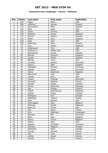### **Brunswick Euro Challenge / France / Platinum**

| Pos.                     | <b>Points</b>   | Last name     | First name        | Federation |
|--------------------------|-----------------|---------------|-------------------|------------|
| $\mathbf{1}$             | 250             | Fagan         | Mike              | <b>USA</b> |
| $\overline{2}$           | 200             | Jehkinen      | Joonas            | Finland    |
| 3                        | 175             | Koivuniemi    | Mika              | Finland    |
| $\overline{\mathcal{L}}$ | 150             | Rash          | Sean              | <b>USA</b> |
| $\overline{5}$           | 125             | Jones         | Tommy             | <b>USA</b> |
| $\overline{6}$           | 120             | Williams      | Stuart            | England    |
| $\overline{7}$           | 115             | Eklund        | Dennis            | Sweden     |
| 8                        | 110             | Wells         | John              | England    |
| $\overline{9}$           | 105             | Hess          | Tom               | <b>USA</b> |
| 10                       | 100             | Palermaa      | Osku              | Finland    |
| 11                       | 75              | Ang           | Adrian            | Malaysia   |
| 12                       | 75              | Smallwood     | Tom               | <b>USA</b> |
| 13                       | 70              | Williams Jr.  | <b>Walter Ray</b> | <b>USA</b> |
| 14                       | 70              | MacLelland    | Daniel            | Canada     |
| 15                       | 65              | Barrett       | Dominic           | England    |
| 16                       | 65              | Larsen        | Martin            | Sweden     |
| 17                       | 60              | <b>Barnes</b> | Chris             | <b>USA</b> |
| 18                       | 60              | Lousdal       | Anders            | Denmark    |
| 19                       | 55              | Quarry        | Mike              | England    |
| $\overline{20}$          | 55              | Holzapfel     | Michael           | Germany    |
| 21                       | 40              | Agerbo        | Jesper            | Denmark    |
| 22                       | 40              | Teece         | Raymond           | England    |
| 23                       | 40              | Blanchard     | Josh              | <b>USA</b> |
| $\overline{24}$          | 40              | Castillo      | Dino              | <b>USA</b> |
| 25                       | 40              | Larsen        | Thomas            | Denmark    |
| 26                       | 30              | Sarmadi       | Mathias           | France     |
| 27                       | 30              | Kanold        | Mikael            | Sweden     |
| 28                       | 30              | Aiman         | Mohd Nur          | Malaysia   |
| $\overline{29}$          | $\overline{30}$ | Jähi          | Joonas            | Finland    |
| 30                       | 30              | Zulkifl       | Zuhlmazran        | Malaysia   |
| $\overline{31}$          | 20              | Jussila       | Perttu            | Finland    |
| 32                       | 20              | Wahlgren      | Karl              | Sweden     |
| $\overline{33}$          | 20              | Stathatos     | Yiannis           | Greece     |
| 34                       | 20              | Bohr          | Nathan            | <b>USA</b> |
| $\overline{35}$          | 20              | Verbruggen    | Gery              | Belgium    |
| 36                       | 15              | Ridhwan       | Syafiq            | Malaysia   |
| 37                       | 15              | Bohn III      | Parker            | <b>USA</b> |
| 38                       | 15              | Vial          | Paulo             | France     |
| 39                       | 15              | Ruiz          | Ildemaro          | Venezuela  |
| 40                       | 15              | Stampe        | Mik               | Denmark    |
| 41                       | 10              | Moor          | Paul              | England    |
| 42                       | 10              | Ravez         | Jimmy             | Belgium    |
| 43                       | 10              | Peters        | Jake              | <b>USA</b> |
| 44                       | 10              | Racpan        | Christian         | Germany    |
| 45                       | 10              | Johnson       | Magnus            | Sweden     |
| 46                       | 5               | Hellström     | Peter             | Sweden     |
| 47                       | $\overline{5}$  | Durupt        | Jérome            | France     |
| 48                       | $\overline{5}$  | Alix          | Yoan              | France     |
| 49                       | $\overline{5}$  | Lotthe        | Xavier            | France     |
| 50                       | $\overline{5}$  | Heinilä       | Sami              | Finland    |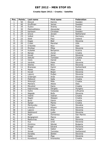### **Croatia Open 2012 / Croatia / Satellite**

| Pos.                    | <b>Points</b>                  | Last name        | First name         | Federation             |
|-------------------------|--------------------------------|------------------|--------------------|------------------------|
| $\mathbf{1}$            | 50                             | Eklund           | Dennis             | Sweden                 |
| $\overline{2}$          | 40                             | Gruffman         | James              | Sweden                 |
| 3                       | 35                             | Suslov           | Andrey             | Russia                 |
| $\overline{\mathbf{4}}$ | 30                             | Medveditskov     | Alexandar          | Russia                 |
| $\overline{5}$          | 25                             | Karlsson         | Christian          | Sweden                 |
| $\overline{6}$          | 24                             | Grove            | Jeroen             | Netherland             |
| $\overline{7}$          | 23                             | Volkel           | <b>Dirk</b>        | Germany                |
| 8                       | 22                             | Stott            | Paul               | Ireland                |
| $\overline{9}$          | 21                             | Kogej            | $Bla\ddot{z}$      | Slovenia               |
| 10                      | 20                             | Crider           | Marshal            | <b>USA</b>             |
| 11                      | 15                             | D'Achille        | <b>Nico</b>        | Italy                  |
| 12                      | 15                             | Mrzlikar         | Mitja              | Slovenia               |
| 13                      | 14                             | Kubalek          | Benjamin           | Austria                |
| 14                      | 14                             | Banjac           | Zoran              | Croatia                |
| 15                      | 13                             | Kovač            | Janez              | Slovenia               |
| 16                      | 13                             | Sekulić          | Tomislav           | Croatia                |
| 17                      | 12                             | Vezis            | Daniel             | Latvia                 |
| 18                      | 12                             | Verdnik          | Peter              | Slovenia               |
| 19                      | 11                             | Stenko           | Nino               | Slovenia               |
| 20                      | 11                             | <b>Branezac</b>  | Damir              | Switzerland            |
| 21                      | 8                              | Malek            | Milan              | Slovenia               |
| 22                      | $\overline{8}$                 | Kovač            | Bojan              | Slovenia               |
| 23                      | 8                              | Lajovic          | Dušan              | Slovenia               |
| 24                      | 8                              | Grabrijan        | Anže               | Slovenia               |
| 25                      | $\overline{8}$                 | Petković         | Saša               | Croatia                |
| 26                      | $\overline{6}$                 | Mrkonjić         | Miše               | Croatia                |
| 27                      | 6                              | Maniero          | Alesio             | Italy                  |
| 28                      | 6                              | Miculinić        | Dario              | Croatia                |
| 29                      | 6                              | Kapronczay       | Gergely            | Hungary                |
| 30                      | 6                              | Gykis            | Vytautas           | Lithuania              |
| $\overline{31}$         | $\overline{4}$                 | Nagode           | Božo               | Slovenia               |
| 32                      | $\overline{\mathbf{4}}$        | Vedriš           | Vedran             | Croatia                |
| 33                      | $\overline{\mathbf{4}}$        | Naglić           | Stjepan            | Croatia                |
| 34                      | 4                              | <b>Brnić</b>     | Damir              | Croatia                |
| $\overline{35}$         | $\overline{\mathbf{4}}$        | Špilj <u>ar</u>  | Marko              | Croatia                |
| 36                      | $\overline{3}$                 | Merkovsky        | Fabio              | Slovakia               |
| 37                      | $\overline{3}$                 | Vrenčur          | Rihard             | Slovenia               |
| 38                      | $\overline{3}$                 | Lajovic          | Anže               | Slovenia               |
| 39                      | $\overline{3}$                 | Nedimović        | Ljubo              | Slovenia               |
| 40                      | $\overline{3}$                 | Righi            | Domenico           | San Marino             |
| 41                      | $\overline{2}$                 | Borgognoni       | Marco              | Italy                  |
| 42                      | $\overline{2}$                 | Badovinac        | Aleš               | Slovenia               |
| 43                      | $\overline{2}$                 | <b>Kus</b>       | Uroš               | Slovenia               |
| 44                      | $\overline{2}$                 | Dimitrov         | Nikolai            | <b>Bulgaria</b>        |
| 45                      | $\overline{2}$<br>$\mathbf{1}$ | Progar           | Edvard             | Slovenia               |
| 46                      |                                | Ficze            | Gabor              | Hungary                |
| 47<br>48                | $\mathbf{1}$<br>$\mathbf{1}$   | Simek            | Tomislav<br>Štefan | Switzerand<br>Slovenia |
| 49                      | $\mathbf{1}$                   | Koradej<br>Kalan | Žiga               | Slovenia               |
| 50                      | $\mathbf{1}$                   | Kovačević        | Kremenko           | Croatia                |
|                         |                                |                  |                    |                        |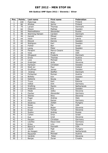### **6th Qubica/AMF Open 2012 / Slovenia / Silver**

| Pos.                    | <b>Points</b>           | Last name       | <b>First name</b> | Federation     |
|-------------------------|-------------------------|-----------------|-------------------|----------------|
| $\mathbf{1}$            | 100                     | Palermaa        | Osku              | Finland        |
| $\overline{2}$          | 80                      | Ahokas          | Jarmo             | Finland        |
| $\overline{\mathbf{3}}$ | 70                      | Larsen          | Thomas            | Denmark        |
| 4                       | 60                      | Olsson          | Mattias           | Sweden         |
| $\overline{5}$          | 50                      | Medveditskov    | Alexander         | Russia         |
| 6                       | 48                      | Warming Hansen  | Carsten           | Denmark        |
| $\overline{7}$          | 46                      | Kanold          | Mikael            | Sweden         |
| 8                       | 44                      | Vezis           | Daniel            | Latvia         |
| 9                       | 42                      | Eklund          | Dennis            | Sweden         |
| 10                      | 40                      | Wahlgren        | Karl              | Sweden         |
| 11                      | 30                      | Fishler         | Ben               | Israel         |
| 12                      | 30                      | Ljung           | Peter             | Sweden         |
| 13                      | 28                      | Parapini        | Marco-Cesare      | Italy          |
| 14                      | 28                      | Voss            | <b>Brian</b>      | <b>USA</b>     |
| 15                      | 26                      | Ohrgaard        | Frederik          | Denmark        |
| 16                      | 26                      | Gross           | Thomas            | Austria        |
| 17                      | 24                      | Loos            | Michael           | Austria        |
| 18                      | 24                      | Grabrijan       | Anže              | Slovenia       |
| 19                      | 22                      | Karlsson        | Christian         | Sweden         |
| 20                      | 22                      | Stott jnr       | Paul              | <b>Ireland</b> |
| 21                      | 16                      | Gruffman        | James             | Sweden         |
| 22                      | 16                      | Andrea          | Steffen           | Denmark        |
| 23                      | 16                      | Fürbacher       | Roman             | Austria        |
| 24                      | 16                      | <b>Bolleby</b>  | Kim               | Sweden         |
| 25                      | 16                      | Galeone         | Nicola            | Italy          |
| 26                      | 12                      | <b>Truus</b>    | Kert              | Estonia        |
| 27                      | 12                      | Völkel          | <b>Dirk</b>       | Germany        |
| 28                      | 12                      | Snelting        | Martin            | Netherlands    |
| 29                      | 12                      | Andersin        | Erik              | Sweden         |
| 30                      | 12                      | Hlede           | Joško             | Slovenia       |
| 31                      | 8                       | Fischer         | Alexander         | Germany        |
| $\overline{32}$         | 8                       | Stenko          | Nino              | Slovenia       |
| $\overline{33}$         | $\overline{8}$          | Fogar           | Andrea            | Italy          |
| 34                      | 8                       | Pichl           | Rainer            | Germany        |
| 35                      | 8                       | <b>Skobrics</b> | Zoltán            | Hungary        |
| 36                      | $\overline{6}$          | Nolan           | Pat               | <b>USA</b>     |
| 37                      | 6                       | Kovač           | Bojan             | Slovenia       |
| 38                      | 6                       | Erzen           | Tomaz             | Slovenia       |
| 39                      | 6                       | Suslov          | Andrey            | Russia         |
| 40                      | 6                       | Cohen           | Oron              | Israel         |
| 41                      | $\overline{4}$          | <b>Kus</b>      | Uroš              | Slovenia       |
| 42                      | $\overline{\mathbf{4}}$ | Racpan          | Christian         | Germany        |
| 43                      | 4                       | Lischka         | Klaus-Uwe         | Germany        |
| 44                      | $\overline{4}$          | Eržen           | Lino              | Slovenia       |
| 45                      | $\overline{4}$          | Bland Jr        | Kenneth           | <b>USA</b>     |
| 46                      | $\overline{2}$          | László          | Paál              | Hungary        |
| 47                      | $\overline{2}$          | de Hoogen       | John              | Netherlands    |
| 48                      | $\overline{2}$          | Rauscher        | Michael           | Austria        |
| 49                      | $\overline{2}$          | Verdnik         | Peter             | Slovenia       |
| 50                      | $\overline{2}$          | Banjac          | Zoran             | Croatia        |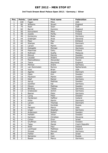### **3rd Track Dream-Bowl Palace Open 2012 / Germany / Silver**

| Pos.                      | <b>Points</b>            | Last name     | First name    | Federation     |
|---------------------------|--------------------------|---------------|---------------|----------------|
| $\mathbf{1}$              | 100                      | Fagan         | Mike          | <b>USA</b>     |
| $\overline{2}$            | 80                       | Williams      | Stuart        | England        |
| $\overline{\overline{3}}$ | 70                       | Rash          | Sean          | <b>USA</b>     |
| 4                         | 60                       | <b>Barret</b> | Dominic       | England        |
| $\overline{5}$            | 50                       | Koivuniemi    | Mika          | Finland        |
| 6                         | 48                       | Jussila       | Perttu        | Finland        |
| $\overline{7}$            | 46                       | Konieczny     | Bodo          | Germany        |
| $\overline{8}$            | 44                       | Grabrijan     | Anze          | Slovenia       |
| $\overline{9}$            | 42                       | Moor          | Paul          | Enhland        |
| 10                        | 40                       | Stampe        | Mik           | Denmark        |
| 11                        | 30                       | Larsen        | Martin        | Sweden         |
| 12                        | 30                       | Holzapfel     | Michael       | Germany        |
| 13                        | 28                       | Plaermaa      | Osku          | Finland        |
| 14                        | 28                       | Ridhwan       | Syafiq        | Malaysia       |
| 15                        | 26                       | Eklund        | Dennis        | Sweden         |
| 16                        | 26                       | Lousdal       | Anders        | Denmark        |
| 17                        | 24                       | Medveditskov  | Alexander     | Russia         |
| 18                        | 24                       | Teece         | Raymond       | England        |
| 19                        | 22                       | Michow        | Andre         | Germany        |
| 20                        | 22                       | van Dommelen  | Remco         | Netherlands    |
| 21                        | 16                       | Voss          | <b>Brian</b>  | <b>USA</b>     |
| 22                        | 16                       | Agerbo        | <b>Jesper</b> | Denmark        |
| $\overline{23}$           | 16                       | Ojala         | Kim           | Sweden         |
| 24                        | 16                       | Paulsson      | Martin        | Sweden         |
| 25                        | 16                       | Köpf          | Rainer        | Germany        |
| 26                        | 12                       | Aarup         | Mathias       | Sweden         |
| 27                        | 12                       | Günther       | Kai           | Germany        |
| 28                        | 12                       | Olsson        | Mathias       | Sweden         |
| 29                        | 12                       | Börding       | <b>Tobias</b> | Germany        |
| $\overline{30}$           | 12                       | Grabowski     | Achim         | Germany        |
| 31                        | $\,8\,$                  | Basner        | Peter         | Germany        |
| 32                        | $\overline{8}$           | Ljung         | Peter         | Sweden         |
| $\overline{33}$           | $\overline{8}$           | Hardarson     | Hafthor       | Iceland        |
| 34                        | 8                        | Klitte        | Martin        | Denmark        |
| 35                        | $\overline{8}$           | Larsen        | Thomas        | Denmark        |
| 36                        | $\overline{6}$           | Yan           | Korshak       | Russia         |
| 37                        | 6                        | Parapini      | Marco         | Italy          |
| 38                        | 6                        | Unger         | Stephan       | Germany        |
| 39                        | 6                        | Andersson     | Robert        | Sweden         |
| 40                        | 6                        | Helldén       | Johan         | Sweden         |
| 41                        | $\overline{\mathcal{L}}$ | Karlsson      | Christian     | Slovenia       |
| 42                        | 4                        | Cohen         | Oron          | Israel         |
| 43                        | 4                        | Gruffman      | James         | Sweden         |
| 44                        | 4                        | Talpa         | Marek         | Czech Republic |
| 45                        | $\overline{\mathcal{L}}$ | Stott         | Paul          | Ireland        |
| 46                        | $\overline{2}$           | Lochhead      | Matthew       | England        |
| 47                        | $\overline{2}$           | Mrosek        | Manuel        | Germany        |
| 48                        | $\overline{2}$           | Fishler       | Ben           | Israel         |
| 49                        | $\overline{2}$           | Semenov       | Ivan          | Russia         |
| 50                        | $\overline{2}$           | Baade         | Marco         | Germany        |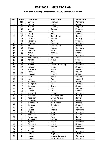### **Bowltech Aalborg International 2012 / Denmark / Silver**

| Pos.            | <b>Points</b>  | Last name        | <b>First name</b> | Federation     |
|-----------------|----------------|------------------|-------------------|----------------|
| $\mathbf{1}$    | 100            | Larsen           | Thomas            | Denmark        |
| $\overline{2}$  | 80             | Larsen           | Martin            | Sweden         |
| $\overline{3}$  | 70             | <b>Barrett</b>   | Dominic           | England        |
| 4               | 60             | Eklund           | Dennis            | Sweden         |
| $\overline{5}$  | 50             | Ojala            | Kim               | Sweden         |
| $\overline{6}$  | 48             | Ljung            | Peter             | Sweden         |
| $\overline{7}$  | 46             | Olsen            | Svein Roger       | Norway         |
| 8               | 44             | <b>Tjernes</b>   | Fredrik           | Norway         |
| 9               | 42             | <b>Hellström</b> | Peter             | Sweden         |
| 10              | 40             | Öhrgaard         | Frederik          | Denmark        |
| 11              | 30             | <b>EK</b>        | Svein Aake        | Norway         |
| 12              | 30             | Olesen           | Morten            | Denmark        |
| 13              | 28             | Lindqvist        | <b>Björn</b>      | Sweden         |
| 14              | 28             | Aarup            | Mathias           | Sweden         |
| $\overline{15}$ | 26             | <b>Stampe</b>    | Mik               | <b>Denmark</b> |
| 16              | 26             | Medveditskov     | Alexander         | Russia         |
| 17              | 24             | Kanold           | Mikael            | Sweden         |
| 18              | 24             | <b>Bolleby</b>   | Kim               | Sweden         |
| 19              | 22             | Hansen           | Carsten Warming   | Denmark        |
| 20              | 22             | Helldén          | Johan             | Sweden         |
| 21              | 16             | Svensson         | Jesper            | Sweden         |
| $\overline{22}$ | 16             | <b>Stott</b>     | Paul              | Ireland        |
| 23              | 16             | Jansson          | Markus            | Sweden         |
| $\overline{24}$ | 16             | Klitte           | Martin            | <b>Denmark</b> |
| 25              | 16             | Moor             | Paul              | England        |
| 26              | 12             | Andersson        | Robert            | Sweden         |
| $\overline{27}$ | 12             | Wahlgren         | Karl              | Sweden         |
| 28              | 12             | Karlsson         | Kevin             | Sweden         |
| 29              | 12             | Linder           | Lars              | Denmark        |
| $\overline{30}$ | 12             | Nilsson          | Emil              | Sweden         |
| $\overline{31}$ | 8              | Ankerdal         | Michael           | Denmark        |
| $\overline{32}$ | 8              | Grindvik         | Robin Nordaas     | Norway         |
| $\overline{33}$ | $\overline{8}$ | Pedersen         | Glenn Morten      | Norway         |
| 34              | 8              | Fransson         | Daniel            | Sweden         |
| $\overline{35}$ | $\overline{8}$ | Rudshagen        | Björn Einar       | Norway         |
| 36              | 6              | Karlsson         | Christian         | Sweden         |
| 37              | 6              | Höberg           | Lars              | Denmark        |
| 38              | 6              | Lousdal          | Anders            | Denmark        |
| 39              | 6              | Guldbäk          | John              | Denmark        |
| 40              | 6              | Mortensen        | Jimmy             | Denmark        |
| 41              | 4              | Torgersen        | <b>Tore</b>       | Norway         |
| 42              | 4              | Andersson        | Pontus            | Sweden         |
| 43              | 4              | Agerbo           | Jesper            | <b>Denmark</b> |
| 44              | 4              | Paulsson         | Martin            | Sweden         |
| 45              | 4              | Olsson           | Mattias           | Sweden         |
| 46              | $\overline{2}$ | Nielsen          | Lars              | Denmark        |
| 47              | $\overline{2}$ | Thomsen          | Lasse             | Denmark        |
| 48              | $\overline{2}$ | Johnson          | Magnus            | Sweden         |
| 49              | $\overline{2}$ | Jensen           | Anders Nörgaard   | Denmark        |
| 50              | $\overline{2}$ | Jensen           | Björn Saksager    | Denmark        |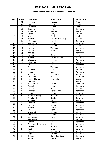#### **Odense International / Denmark / Satellite**

| Pos.                     | <b>Points</b>            | Last name          | <b>First name</b>     | Federation     |
|--------------------------|--------------------------|--------------------|-----------------------|----------------|
| $\mathbf{1}$             | 50                       | Tidbeck            | Marcus                | Sweden         |
| $\overline{2}$           | 40                       | Jussila            | Perttu                | Finland        |
| $\overline{\mathbf{3}}$  | 35                       | Gruffman           | James                 | Sweden         |
| $\overline{\mathcal{L}}$ | 30                       | Stampe             | Mik                   | Denmark        |
| $\overline{5}$           | 25                       | Wetterberg         | <b>Mattias</b>        | Sweden         |
| 6                        | 24                       | Ranta              | Tony                  | Finland        |
| $\overline{7}$           | 23                       | Vezis              | Daniel                | Latvia         |
| 8                        | 22                       | Hansen             | Carsten Warming       | Denmark        |
| 9                        | 21                       | Jørgensen          | Henrik                | Denmark        |
| 10                       | 20                       | McDermott          | Jamie                 | Germany        |
| 11                       | 15                       | Tiainen            | Samuli                | Finland        |
| 12                       | 15                       | Larsen             | Thomas                | Denmark        |
| 13                       | 14                       | Olsson             | Jonas                 | Sweden         |
| 14                       | 14                       | Agerbo             | Jesper                | Denmark        |
| 15                       | 13                       | Lampo              | Sami                  | Finland        |
| 16                       | 13                       | Hansen             | Søren Åhman           | Denmark        |
| 17                       | 12                       | Øhrgaard           | Frederik              | Denmark        |
| 18                       | 12                       | Hellström          | Peter                 | Sweden         |
| 19                       | 11                       | Linder             | Lars                  | Denmark        |
| 20                       | 11                       | <b>Buch</b>        | Thomas                | Denmark        |
| 21                       | 8                        | Andersen           | Jan                   | Denmark        |
| 22                       | $\overline{8}$           | Nielsen            | Lars                  | Denmark        |
| $\overline{23}$          | $\overline{8}$           | Karlsson           | Christian             | Sweden         |
| 24                       | 8                        | Drevenstedt        | Frank                 | Germany        |
| 25                       | $\overline{8}$           | Medveditskov       | Alexander             | Russia         |
| 26                       | $\overline{6}$           | Lindbjer           | Filip                 | Sweden         |
| 27                       | 6                        | Klockgether        | Stefan                | Germany        |
| 28                       | 6                        | Adsbøl             | Johnni                | Denmark        |
| 29                       | $\overline{6}$           | Lousdal            | Anders                | Denmark        |
| 30                       | $\overline{6}$           | Parkner            | Martin Klitte         | Denmark        |
| 31                       | $\overline{\mathbf{4}}$  | Unger              | Stephan               | Germany        |
| $\overline{32}$          | 4                        | Algreen-Ussing     | Rasmus                | Denmark        |
| $\overline{33}$          | $\overline{4}$           | Wendlandt          | Steffen               | Germany        |
| 34                       | 4                        | Andersson          | Kim                   | Sweden         |
| 35                       | $\overline{\mathcal{L}}$ | Gertsen            | Carsten               | Denmark        |
| 36                       | $\overline{3}$           | Larsen             | Jakob                 | <b>Denmark</b> |
| 37                       | $\overline{3}$           | Hansen             | Nicolai               | Denmark        |
| 38                       | $\overline{3}$           | Madsen             | Mathias               | Denmark        |
| 39                       | $\overline{3}$           | Ankerdal           | Michael               | Denmark        |
| 40                       | $\overline{3}$           | Mortensen          | Jimmy                 | Denmark        |
| 41                       | $\overline{2}$           | Schroeder          | Timo                  | Germany        |
| 42                       | $\overline{2}$           | Rasmussen          | Frank                 | Denmark        |
| 43                       | $\overline{2}$           | Høberg             | Lars                  | Denmark        |
| 44                       | $\overline{2}$           | Østergaard-Poulsen | Dan                   | Denmark        |
| 45                       | $\overline{2}$           | Hansen             | Anders                | Denmark        |
| 46                       | $\mathbf{1}$             | Rauth              | Oliver                | Germany        |
| 47                       | $\mathbf{1}$             | Sørensen           | Jens Ravn             | Denmark        |
| 48                       | $\mathbf 1$              | Jøgensen           | Torben                | Denmark        |
| 49                       | $\mathbf{1}$             | Eriksen            | <b>Klavs Tranborg</b> | Denmark        |
| 50                       | $\mathbf{1}$             | Nyman              | Lennart               | Sweden         |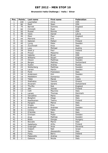### **Brunswick Italia Challenge / Italia / Silver**

| Pos.                     | <b>Points</b>           | Last name      | <b>First name</b> | Federation  |
|--------------------------|-------------------------|----------------|-------------------|-------------|
| $\mathbf{1}$             | 100                     | Loschetter     | Chris             | <b>USA</b>  |
| $\overline{2}$           | 80                      | Rash           | Sean              | <b>USA</b>  |
| $\overline{\mathbf{3}}$  | 70                      | <b>Barrett</b> | Dominic           | England     |
| $\overline{\mathcal{L}}$ | 60                      | Ciminelli      | Ryan              | <b>USA</b>  |
| $\overline{5}$           | 50                      | Russel         | Ronnie            | <b>USA</b>  |
| 6                        | 48                      | Vezis          | Daniel            | Latvia      |
| $\overline{7}$           | 46                      | Moor           | Paul              | England     |
| 8                        | 44                      | Marrone        | Erik              | Italy       |
| 9                        | 42                      | Salonen        | Petteri           | Finland     |
| 10                       | 40                      | Ljung          | Peter             | Sweden      |
| 11                       | 30                      | Zucchinelli    | Enzo              | Italy       |
| 12                       | 30                      | Loos           | Michael           | Austria     |
| 13                       | 28                      | Stott jr       | Paul              | Ireland     |
| 14                       | 28                      | Pirozzi        | Massimo           | Italy       |
| 15                       | 26                      | Valenta        | Bryan             | <b>USA</b>  |
| 16                       | 26                      | Williams       | Stuart            | England     |
| 17                       | 24                      | Olsson         | Matthias          | Sweden      |
| 18                       | 24                      | <b>Berges</b>  | Mathieu           | Switzerland |
| 19                       | 22                      | Suslov         | Andrey            | Russia      |
| 20                       | 22                      | Wetterberg     | Matthias          | Sweden      |
| 21                       | 16                      | Larsen         | Martin            | Sweden      |
| 22                       | 16                      | Ponti          | Francesco         | Italy       |
| 23                       | 16                      | Andersson      | <b>Kim</b>        | Sweden      |
| 24                       | 16                      | Maddaloni      | Domenico          | Italy       |
| 25                       | 16                      | Talpa          | Marek             | Czeck       |
| 26                       | 12                      | Stathatos      | Yiannis           | Greece      |
| 27                       | 12                      | Ancarani       | Sandro            | Switzerland |
| 28                       | 12                      | Thurlby        | Rob               | England     |
| 29                       | 12                      | Jähi           | Joonas            | Finland     |
| 30                       | 12                      | Celli          | Maurizio          | Italy       |
| 31                       | 8                       | Larsen         | Thomas            | Denmark     |
| $\overline{32}$          | $\overline{\infty}$     | Vercellino     | Mario             | Italy       |
| $\overline{33}$          | $\overline{8}$          | Biolghini      | Diego             | Italy       |
| 34                       | 8                       | Raatikainen    | Teemu             | Finland     |
| 35                       | 8                       | Parapini       | Marco             | Italy       |
| 36                       | $\overline{6}$          | Origlia        | Eros              | Italy       |
| 37                       | 6                       | Andersson      | Andreas           | Sweden      |
| 38                       | 6                       | Cimino         | Fabio             | Italy       |
| 39                       | 6                       | D'Achille      | Nico              | Italy       |
| 40                       | 6                       | Grimsen        | Peder             | Sweden      |
| 41                       | 4                       | Arup           | Mathias           | Sweden      |
| 42                       | 4                       | <b>Bódis</b>   | Giorgio           | Hungary     |
| 43                       | 4                       | Boccato        | Marco             | Italy       |
| 44                       | $\overline{\mathbf{4}}$ | Sadeharju      | Arttu             | Finland     |
| 45                       | 4                       | Grabrijan      | Anze              | Slovenia    |
| 46                       | $\overline{2}$          | Volpert        | Nati              | Israel      |
| 47                       | $\overline{2}$          | Santu          | Alessandro        | Italy       |
| 48                       | $\overline{2}$          | Foley          | Barry             | Ireland     |
| 49                       | $\overline{2}$          | Palazzotto     | Andrea            | Italy       |
| 50                       | $\overline{2}$          | Galeone        | Nicola            | Italy       |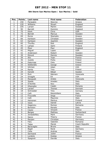### **8th Storm San Marino Open / San Marino / Gold**

| Pos.                     | <b>Points</b>   | Last name         | <b>First name</b> | Federation     |
|--------------------------|-----------------|-------------------|-------------------|----------------|
| $\mathbf{1}$             | 150             | Parasakis         | Stavros           | Greece         |
| $\overline{2}$           | 120             | Williams          | Stuart            | England        |
| $\overline{\mathbf{3}}$  | 105             | Larsen            | Martin            | Sweden         |
| $\overline{\mathcal{L}}$ | 90              | <b>Barrett</b>    | Dominic           | England        |
| $\overline{5}$           | 75              | Klerk             | Chris             | <b>USA</b>     |
| 6                        | $\overline{72}$ | Berndt            | Marcus            | Sweden         |
| $\overline{7}$           | 69              | Roros             | <b>Stamatis</b>   | Greece         |
| 8                        | 66              | Karlsson          | Christian         | Sweden         |
| 9                        | 63              | Karlsson          | Joachim           | Sweden         |
| 10                       | 60              | Thurlby           | Rob               | England        |
| 11                       | 45              | Lampo             | Sami              | Finland        |
| 12                       | 45              | Moor              | Paul              | England        |
| 13                       | 42              | Miguel            | Lopez             | <b>USA</b>     |
| 14                       | 42              | Andersson         | Robert            | Sweden         |
| 15                       | 39              | Eklund            | Dennis            | Sweden         |
| 16                       | 39              | Alix              | Yoan              | France         |
| 17                       | 36              | Jussila           | Perttu            | Finland        |
| 18                       | 36              | Palermaa          | Osku              | Finland        |
| 19                       | 33              | <b>Stefanidis</b> | George            | Greece         |
| 20                       | 33              | Ishman            | Adam              | <b>USA</b>     |
| 21                       | 24              | Ranta             | Tony              | Finland        |
| 22                       | 24              | Kanold            | Mikael            | Sweden         |
| 23                       | 24              | Ruiz              | Ildemaro          | Venezuela      |
| 24                       | 24              | Smaglik           | Ed                | <b>USA</b>     |
| 25                       | 24              | Monacelli         | Amleto            | Venezuela      |
| 26                       | 18              | Spada             | Amedeo            | Italy          |
| 27                       | 18              | D'Achille         | Nico              | Italy          |
| 28                       | 18              | Gheorghe          | Catalin           | Romania        |
| $\overline{29}$          | 18              | Larsen            | Thomas            | Denmark        |
| 30                       | 18              | Schroeder         | Timo              | Germany        |
| 31                       | 12              | Celli             | Massimiliano      | Italy          |
| $\overline{32}$          | 12              | Frouvelle         | Serge             | France         |
| $\overline{33}$          | 12              | Celli             | Maurizio          | Italy          |
| 34                       | 12              | Heinonen          | Markus            | Finland        |
| 35                       | 12              | Vezis             | Daniel            | Latvia         |
| 36                       | 9               | Gagenoiu          | Romeo             | Romania        |
| 37                       | 9               | Bortolon          | Renato            | Italy          |
| 38                       | 9               | Cayez             | Vincent           | France         |
| 39                       | 9               | <b>Berges</b>     | Mathieu           | Switzerland    |
| 40                       | 9               | Jonasdofsky       | Mark              | Germany        |
| 41                       | $\overline{6}$  | Sacco             | Thierry           | France         |
| 42                       | 6               | Racpan            | Christian         | Germany        |
| 43                       | 6               | Fatu              | Valentin          | Romania        |
| 44                       | 6               | Talpa             | Marek             | Czech Republic |
| 45                       | 6               | Baravaglio        | <b>Bruno</b>      | Italy          |
| 46                       | 3               | Bigall            | René              | Germany        |
| 47                       | $\overline{3}$  | Cella             | Andrea            | Italy          |
| 48                       | $\overline{3}$  | Sermand           | Julien            | France         |
| 49                       | $\overline{3}$  | Lyratzis          | Kostas            | Greece         |
| 50                       | $\overline{3}$  | Spagnoli          | Davide            | Italy          |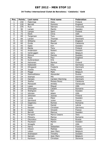#### **34 Trofeu Internacional Ciutat de Barcelona / Catalonia / Gold**

| Pos.            | <b>Points</b>   | Last name      | First name      | Federation     |
|-----------------|-----------------|----------------|-----------------|----------------|
| $\mathbf{1}$    | 150             | Palermaa       | Osku            | Finland        |
| $\overline{2}$  | 120             | <b>Barrett</b> | Dominic         | England        |
| $\overline{3}$  | 105             | Ruiz           | Ildemaro        | Venezuela      |
| 4               | 90              | Larsen         | Martin          | Sweden         |
| $\overline{5}$  | $\overline{75}$ | Lampo          | Sami            | Finland        |
| $\overline{6}$  | 72              | <b>Klerk</b>   | Chris           | <b>USA</b>     |
| $\overline{7}$  | 69              | Torgersen      | <b>Tore</b>     | Sweden         |
| $\overline{8}$  | 66              | Larsen         | Thomas          | <b>Denmark</b> |
| $\overline{9}$  | 63              | Williams       | Stuart          | England        |
| 10              | 60              | Ovide          | Marcial         | Catalonia      |
| 11              | 45              | Ojala          | Kim             | Sweden         |
| 12              | 45              | Ranta          | Tony            | Finland        |
| 13              | 42              | Andersson      | Robert          | Sweden         |
| 14              | 42              | Verbruggen     | Gery            | Belgium        |
| 15              | 39              | Eklund         | Dennis          | Sweden         |
| 16              | 39              | Moor           | Paul            | England        |
| 17              | 36              | Gulbrandson    | Erik            | <b>USA</b>     |
| 18              | 36              | Heinonen       | Markus          | Finland        |
| 19              | 33              | Kabowski       | Eike            | Germany        |
| 20              | 33              | Ohrgaard       | Frederik        | Denmark        |
| 21              | 24              | Jussila        | Perttu          | Finland        |
| 22              | 24              | Maggi          | Mats            | Belgium        |
| $\overline{23}$ | 24              | Medveditskov   | Alexander       | Russia         |
| 24              | 24              | Stampe         | Mik             | Denmark        |
| $\overline{25}$ | 24              | Hansen         | Carsten Warming | Denmark        |
| 26              | 18              | Ibañez         | Moises Perez    | Catalonia      |
| 27              | 18              | Monacelli      | Amleto          | Venezuela      |
| 28              | 18              | Lopez          | Miquel          | <b>USA</b>     |
| 29              | 18              | Gheorghe       | Catalin         | Romania        |
| $\overline{30}$ | 18              | Wahlgren       | Karl            | Sweden         |
| 31              | 12              | Ishman         | Adam            | <b>USA</b>     |
| $\overline{32}$ | 12              | Jehkinen       | Joonas          | Finland        |
| $\overline{33}$ | 12              | Ljung          | Peter           | Sweden         |
| 34              | 12              | Sermand        | Julien          | France         |
| 35              | 12              | Gagenoiu       | Romeo           | Romania        |
| 36              | 9               | Vezis          | Daniel          | Latvia         |
| 37              | 9               | Racpan         | Christian       | Germany        |
| 38              | $\overline{9}$  | Cayez          | Vincent         | France         |
| $\overline{39}$ | 9               | Berndt         | Marcus          | Sweden         |
| 40              | 9               | Parapini       | Marco Ceasre    | Italy          |
| 41              | $\overline{6}$  | Piticariu      | Marius          | Romania        |
| 42              | 6               | Okorokov       | Maxim           | Russia         |
| 43              | 6               | Paulsson       | Martin          | Sweden         |
| 44              | 6               | Smaglik        | Ed              | <b>USA</b>     |
| 45              | 6               | Henry          | Sebastien       | France         |
| 46              | $\overline{3}$  | Olsson         | Mattias         | Sweden         |
| 47              | $\overline{3}$  | Lebon          | Jean Marc       | Belgium        |
| 48              | $\overline{3}$  | Andreason      | Timothy         | Sweden         |
| 49              | $\overline{3}$  | Samain         | Jean Marc       | Belgium        |
| 50              | $\overline{3}$  | Karlsson       | Christian       | Slovenia       |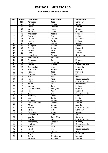### **BNC Open / Slovakia / Silver**

| Pos.            | <b>Points</b>            | Last name      | First name     | Federation     |
|-----------------|--------------------------|----------------|----------------|----------------|
| 1               | 100                      | Konieczny      | <b>Bodo</b>    | Germany        |
| $\overline{2}$  | 80                       | Eklund         | Dennis         | Swden          |
| 3               | 70                       | Gross          | Thomas         | Austria        |
| $\overline{4}$  | 60                       | Larsen         | Martin         | Sweden         |
| $\overline{5}$  | 50                       | Skobrics       | Zoltán         | Hungary        |
| 6               | 48                       | Andersson      | Robert         | Sweden         |
| $\overline{7}$  | 46                       | Palermaa       | Osku           | Finland        |
| 8               | 44                       | Larsem         | Thomas         | Denmark        |
| 9               | 42                       | Jussila        | Perttu         | Finland        |
| 10              | 40                       | Nilsson        | <b>Mattias</b> | Sweden         |
| 11              | 30                       | Wahlgren       | Joakim         | Sweden         |
| 12              | 30                       | <b>Barrett</b> | Dominic        | England        |
| 13              | 28                       | Keituri        | Petri          | Finland        |
| 14              | 28                       | Landl          | René           | Austria        |
| 15              | 26                       | Hendrickx      | Gianny         | Netherlands    |
| 16              | 26                       | Medveditskov   | Alexander      | Russia         |
| 17              | 24                       | Wahlgren       | Karl           | Sweden         |
| 18              | 24                       | Weier          | Cameron        | <b>USA</b>     |
| 19              | 22                       | Lorenc         | Jaroslav       | Czech Republic |
| 20              | 22                       | Sasnauskas     | Linas          | Lithuania      |
| 21              | 16                       | Stefanidis     | Giorgos        | Greece         |
| 22              | 16                       | Nagode         | Božo           | Slovenia       |
| 23              | 16                       | Stathatos      | Giannis        | Greece         |
| $\overline{24}$ | 16                       | Press          | Ryan           | <b>USA</b>     |
| 25              | 16                       | Talpa          | Marek          | Czech Republic |
| 26              | 12                       | Orálek         | Martin         | Czech Republic |
| 27              | 12                       | de Bel         | Erik           | Netherlands    |
| 28              | 12                       | Lampo          | Sami           | Finland        |
| 29              | 12                       | Tsorbatzoudis  | Evangelos      | Greece         |
| $\overline{30}$ | 12                       | Moor           | Paul           | England        |
| 31              | 8                        | Korab          | Jan            | Czech Republic |
| 32              | $\overline{8}$           | Andrassy       | Lukáš          | Slovakia       |
| $\overline{33}$ | $\overline{8}$           | Vezis          | Daniel         | Latvia         |
| 34              | 8                        | Kubalek        | Benjamin       | Austria        |
| 35              | $\overline{8}$           | Schwarzbauer   | Christian      | Austria        |
| 36              | 6                        | Fürbacher      | Roman          | Austria        |
| 37              | 6                        | Marval         | Michael        | Czech Republic |
| 38              | 6                        | Volkel         | <b>Dirk</b>    | Germany        |
| 39              | 6                        | Österholm      | Johan          | Sweden         |
| 40              | 6                        | Nechushtan     | Omar           | Israel         |
| 41              | 4                        | Lischka        | Klaus-Uwe      | Germany        |
| 42              | $\overline{\mathcal{L}}$ | Žváček         | Petr           | Czech Republic |
| 43              | 4                        | Kapronczay     | Gergely        | Hungary        |
| 44              | $\overline{\mathcal{L}}$ | <b>Hindrák</b> | Jiří           | Czech Republic |
| 45              | 4                        | Stenko         | Nino           | Slovenia       |
| 46              | $\overline{2}$           | Macek          | Jan            | Czech Republic |
| 47              | $\overline{2}$           | Spacey         | Tanner         | <b>USA</b>     |
| 48              | $\overline{2}$           | <b>Biigal</b>  | René           | Germany        |
| 49              | $\overline{2}$           | Sloan          | Christopher    | Ireland        |
| 50              | $\overline{2}$           | Pittesser      | Andreas        | Austria        |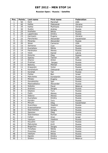### **Russian Open / Russia / Satellite**

| Pos.                     | <b>Points</b>            | Last name      | First name | Federation     |
|--------------------------|--------------------------|----------------|------------|----------------|
| $\mathbf{1}$             | 50                       | Kent           | Marshall   | <b>USA</b>     |
| $\overline{2}$           | 40                       | Kalika         | Oleksandr  | Ukraine        |
| 3                        | 35                       | Kalika         | Mykhaylo   | Ukraine        |
| $\overline{\mathcal{L}}$ | 30                       | Suslov         | Andrey     | Russia         |
| $\overline{5}$           | 25                       | Koshelev       | Nikita     | Russia         |
| $\overline{6}$           | 24                       | Lapshinsky     | Dmitry     | Russia         |
| $\overline{7}$           | 23                       | Karmazin       | Evgeny     | Ukraine        |
| 8                        | 22                       | Panchenko      | Alexander  | Kazakhstan     |
| $\overline{9}$           | 21                       | Minenko        | Alexander  | Russia         |
| 10                       | 20                       | Weier          | Cameron    | <b>USA</b>     |
| 11                       | 15                       | Semenov        | Ivan       | Russia         |
| 12                       | 15                       | Kuznetsov      | Nikita     | Russia         |
| 13                       | 14                       | Parshukov      | Alexey     | Russia         |
| 14                       | 14                       | Vezis          | Daniel     | Latvia         |
| 15                       | 13                       | Kozyrev        | Oleg       | Russia         |
| 16                       | 13                       | Spacey         | Tanner     | <b>USA</b>     |
| 17                       | 12                       | Sharov         | Anton      | Russia         |
| 18                       | 12                       | Prokhan        | Sergey     | Russia         |
| 19                       | 11                       | <b>Belenky</b> | Mikhail    | Russia         |
| 20                       | 11                       | Krasavkin      | Victor     | Russia         |
| 21                       | 8                        | Kondratyev     | Oleksandr  | Ukraine        |
| 22                       | $\overline{8}$           | Korshak        | Yan        | Russia         |
| 23                       | 8                        | Fishler        | Ben        | Israel         |
| 24                       | $\overline{8}$           | Matvienko      | Konstantin | Russia         |
| 25                       | $\overline{8}$           | Mineev         | Evgeny     | Russia         |
| 26                       | $\overline{6}$           | Gorodnichiy    | Igor       | Russia         |
| 27                       | 6                        | Medveditskov   | Alexander  | Russia         |
| 28                       | $\overline{6}$           | Sobolev        | Pavel      | <b>Belarus</b> |
| 29                       | 6                        | Andreev        | Sergey     | Russia         |
| 30                       | $\overline{6}$           | Glazkov        | Yury       | Russia         |
| $\overline{31}$          | $\overline{4}$           | Fedin          | Alexey     | Russia         |
| 32                       | 4                        | Sidorov        | Alexey     | Russia         |
| 33                       | $\overline{\mathbf{4}}$  | Kuznetsov      | Dmitry     | Russia         |
| 34                       | 4                        | Korolev        | Yury       | Russia         |
| $\overline{35}$          | $\overline{\mathcal{L}}$ | Minulin        | Oleg       | Kazakhstan     |
| 36                       | $\overline{3}$           | Sverchkov      | Vladimir   | Russia         |
| 37                       | $\overline{3}$           | Krasnoshtanov  | Anton      | Russia         |
| 38                       | $\overline{3}$           | Starchenkov    | Sergey     | Russia         |
| 39                       | $\overline{3}$           | Sazonov        | Oleg       | Russia         |
| 40                       | $\overline{3}$           | Starchenkov    | Roman      | Russia         |
| 41                       | $\overline{2}$           | Cohen          | Oron       | Israel         |
| 42                       | $\overline{2}$           | Vasilyev       | Vladimir   | Russia         |
| 43                       | $\overline{2}$           | Klyushin       | Ivan       | Russia         |
| 44                       | $\overline{2}$           | Matvienko      | Kirill     | Russia         |
| 45                       | $\overline{2}$           | Bogachev       | Sergey     | Russia         |
| 46                       | $\mathbf{1}$             | Timofeev       | Nikita     | Russia         |
| 47                       | $\mathbf 1$              | Pronchev       | Anton      | Russia         |
| 48                       | $\mathbf{1}$             | Vasilyev       | Nikita     | Russia         |
| 49                       | $\mathbf{1}$             | Danilin        | Dmitry     | Russia         |
| 50                       | $\mathbf{1}$             | Shilkin        | Dmitry     | <b>Belarus</b> |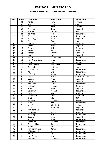### **Chandra Open 2012 / Netherlands / Satellite**

| Pos.            | <b>Points</b>           | Last name        | First name    | Federation     |
|-----------------|-------------------------|------------------|---------------|----------------|
| $\mathbf{1}$    | 50                      | Ranta            | Tony          | Finland        |
| $\overline{2}$  | 40                      | Vezis            | Daniel        | Latvia         |
| 3               | 35                      | Jussila          | Perttu        | Finland        |
| $\overline{4}$  | 30                      | Williams         | <b>Stuart</b> | England        |
| $\overline{5}$  | 25                      | Spacey           | Tanner        | <b>USA</b>     |
| $\overline{6}$  | 24                      | de Vries         | Alex          | Netherlands    |
| $\overline{7}$  | 23                      | Spil             | Johnny        | Netherlands    |
| 8               | 22                      | Verbruggen       | Gery          | Belgium        |
| 9               | 21                      | Alix             | Yoan          | France         |
| 10              | 20                      | Pescher          | Oliver        | Germany        |
| 11              | 15                      | Miller           | Matt          | England        |
| 12              | 15                      | Dreyer           | Dirk          | Germany        |
| 13              | 14                      | Fishler          | Ben           | Israel         |
| 14              | 14                      | Racpan           | Christian     | Germany        |
| 15              | 13                      | Moor             | Paul          | England        |
| 16              | 13                      | Sloan            | Christopher   | Ireland        |
| 17              | 12                      | van Kranenburg   | Arjan         | Netherlands    |
| 18              | 12                      | Hann             | Matt          | Ireland        |
| 19              | 11                      | Medveditskov     | Alexander     | Russia         |
| 20              | 11                      | Sarmadi          | Mathias       | France         |
| 21              | 8                       | Thienpondt       | <b>Nico</b>   | Netherlands    |
| 22              | $\overline{8}$          | <b>Kok</b>       | Eric          | Netherlands    |
| $\overline{23}$ | $\overline{8}$          | <b>Hilferink</b> | Ramon         | Netherlands    |
| $\overline{24}$ | 8                       | Talpa            | Marek         | Czech Republic |
| 25              | 8                       | Quarry           | Mike          | England        |
| 26              | $\overline{6}$          | Teece            | Richie        | England        |
| 27              | 6                       | van Geel         | Jeroen        | Netherlands    |
| 28              | 6                       | Holzapfel        | Michael       | Germany        |
| 29              | $\overline{6}$          | Smith            | Mark          | England        |
| $\overline{30}$ | $\overline{6}$          | Stinissen        | Michell       | Netherlands    |
| 31              | 4                       | <b>Joris</b>     | <b>Nico</b>   | Belgium        |
| $\overline{32}$ | 4                       | Schroeder        | Timo          | Germany        |
| $\overline{33}$ | $\overline{\mathbf{4}}$ | Smith            | Allan         | <b>USA</b>     |
| 34              | 4                       | Karlsson         | Christian     | Sweden         |
| $\overline{35}$ | 4                       | <b>Hulst</b>     | Phil          | Netherlands    |
| 36              | 3                       | Kivelä           | Riku-Petteri  | Finland        |
| 37              | $\overline{3}$          | Cools            | Jonathan      | Belgium        |
| 38              | $\overline{3}$          | van der Heide    | Jeroen        | Netherlands    |
| 39              | $\overline{3}$          | Petroons         | <b>Steve</b>  | Belgium        |
| 40              | $\overline{3}$          | de Bruijn        | Marco         | Netherlands    |
| 41              | $\overline{2}$          | <b>Bucens</b>    | Janis         | England        |
| 42              | $\overline{2}$          | Grove            | Jeroen        | Netherlands    |
| 43              | $\overline{2}$          | Verheijen        | Stephan       | Netherlands    |
| 44              | $\overline{2}$          | Steenbekkers     | Sven          | Netherlands    |
| 45              | $\overline{2}$          | Nolan            | Pat           | <b>USA</b>     |
| 46              | $\mathbf{1}$            | van Dommelen     | Remco         | Netherlands    |
| 47              | $\mathbf{1}$            | v/d Bogaard      | Ron           | Netherlands    |
| 48              | $\mathbf{1}$            | Plummen          | Ton           | Netherlands    |
| 49              | $\mathbf{1}$            | van Weeren       | Jord          | Netherlands    |
| 50              | $\mathbf{1}$            | Kweens           | Christian     | Netherlands    |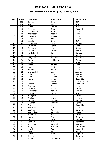### **10th Columbia 300 Vienna Open / Austria / Gold**

| Pos.                     | <b>Points</b>  | Last name     | First name   | Federation     |
|--------------------------|----------------|---------------|--------------|----------------|
| $\mathbf{1}$             | 150            | <b>Barnes</b> | Chris        | <b>USA</b>     |
| $\overline{2}$           | 120            | Rash          | Sean         | <b>USA</b>     |
| 3                        | 105            | Jones         | Tommy        | <b>USA</b>     |
| $\overline{\mathcal{L}}$ | 90             | Williams      | Stuart       | England        |
| $\overline{5}$           | 75             | Koivuniemi    | Mika         | Finland        |
| $\overline{6}$           | 72             | Andersson     | Robert       | Sweden         |
| $\overline{7}$           | 69             | Jehkinen      | Joonas       | Finland        |
| 8                        | 66             | Uotila        | Pasi         | Finland        |
| $\overline{9}$           | 63             | Castillo      | Dino         | <b>USA</b>     |
| 10                       | 60             | Torgersen     | Tore         | Norway         |
| 11                       | 45             | Fransson      | Daniel       | Sweden         |
| 12                       | 45             | Paulsson      | Martin       | Sweden         |
| 13                       | 42             | Eklund        | Dennis       | Sweden         |
| 14                       | 42             | MacLelland    | Dan          | Canada         |
| $\overline{1}5$          | 39             | Svensson      | Jesper       | Sweden         |
| 16                       | 39             | Öhrgaard      | Frederik     | Denmark        |
| 17                       | 36             | Kalika        | Mykhaylo     | Ukraine        |
| 18                       | 36             | Aviram        | 0r           | Israel         |
| 19                       | 33             | <b>Bohm</b>   | Patrick      | Sweden         |
| 20                       | 33             | Jussila       | Perttu       | Finland        |
| 21                       | 24             | Salonen       | Petteri      | Finland        |
| 22                       | 24             | Grundschober  | Leo          | Austria        |
| 23                       | 24             | Hahn          | Daniel       | Austria        |
| 24                       | 24             | Jaehi         | Joonas       | Finland        |
| 25                       | 24             | Monroy        | Jaime        | Colombia       |
| 26                       | 18             | Talpa         | Marek        | Ccech Republic |
| 27                       | 18             | Racpan        | Christian    | Germany        |
| 28                       | 18             | Pakonen       | Olli         | Finland        |
| $\overline{29}$          | 18             | Karlsson      | Joachim      | Sweden         |
| 30                       | 18             | Fürbacher     | Roman        | Austria        |
| $\overline{31}$          | 12             | Spacey        | Tanner       | <b>USA</b>     |
| 32                       | 12             | Wahlgren      | Karl         | Sweden         |
| 33                       | 12             | Ahokas        | Jarmo        | Finland        |
| 34                       | 12             | Larsen        | Thomas       | Denmark        |
| $\overline{35}$          | 12             | El Sarafi     | Mohamed      | Egypt          |
| 36                       | 9              | Gomez         | Andres       | Colombia       |
| 37                       | $\overline{9}$ | Palermaa      | Osku         | Finland        |
| 38                       | $\overline{9}$ | Günther       | Kai          | Germany        |
| 39                       | $\overline{9}$ | Medveditskov  | Alexande     | Russia         |
| 40                       | $\overline{9}$ | Andersin      | Erik         | Sweden         |
| 41                       | 6              | Morig         | Oliver       | Germany        |
| 42                       | $\overline{6}$ | Landl         | Rene         | Austria        |
| 43                       | $\overline{6}$ | Stampe        | Mik          | Denmark        |
| 44                       | 6              | Rauscher      | Alexander    | Austria        |
| 45                       | 6              | <b>Berges</b> | Mathieu      | Switzerland    |
| 46                       | $\overline{3}$ | Thurlby       | Rob          | England        |
| 47                       | $\overline{3}$ | Ojala         | Kim          | Sweden         |
| 48                       | $\overline{3}$ | Quarry        | Mike         | England        |
| 49                       | $\overline{3}$ | Grieger       | Jens         | Germany        |
| $\overline{50}$          | $\overline{3}$ | Kivelä        | Riku Petteri | Finland        |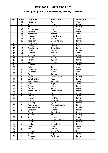### **Norwegian Open 2012 by Brunswick / Norway / Satellite**

| Pos.            | <b>Points</b>           | Last name                    | First name     | Federation |
|-----------------|-------------------------|------------------------------|----------------|------------|
| $\mathbf{1}$    | 50                      | Hellström                    | Peter          | Sweden     |
| $\overline{2}$  | 40                      | Roos                         | Mikael         | Sweden     |
| $\overline{3}$  | 35                      | Ek                           | Svein Åke      | Norway     |
| 4               | 30                      | Wilhelmsson                  | Filip          | Sweden     |
| $\overline{5}$  | 25                      | Karlsson                     | Christian      | Sweden     |
| $\overline{6}$  | 24                      | Andersson                    | Pontus         | Sweden     |
| $\overline{7}$  | 23                      | Jonsson                      | Arnar David    | Norway     |
| 8               | 22                      | Jansson                      | Raymond        | Sweden     |
| $\overline{9}$  | 21                      | Pedersen                     | Glenn Morten   | Norway     |
| 10              | 20                      | Torgersen                    | Tore           | Norway     |
| 11              | 15                      | Spacey                       | Tanner         | <b>USA</b> |
| 12              | 15                      | Rudshagen                    | Bjørn Einar    | Norway     |
| 13              | 14                      | Tjernes                      | Fredrik        | Norway     |
| 14              | 14                      | Jansson                      | Markus         | Sweden     |
| $\overline{15}$ | 13                      | Karlsson                     | Markus         | Sweden     |
| 16              | 13                      | Kanold                       | Micke          | Sweden     |
| 17              | 12                      | Harang                       | Øyvind         | Norway     |
| 18              | 12                      | Aker                         | Christer       | Norway     |
| 19              | 11                      | Karlsson                     | Kevin          | Sweden     |
| 20              | 11                      | Fisher                       | Ben            | Israel     |
| 21              | 8                       | Holmqvist                    | Anders         | Sweden     |
| $\overline{22}$ | $\overline{8}$          | Gruffman                     | James          | Sweden     |
| 23              | 8                       | Eide                         | Sigbjørn       | Norway     |
| $\overline{24}$ | $\overline{8}$          | Nygård                       | Lars-Christian | Norway     |
| 25              | $\overline{8}$          | Sandbækken                   | Mads           | Norway     |
| 26              | 6                       | Medveditskov                 | Alexander      | Russia     |
| 27              | $\overline{6}$          | Johnson                      | Magnus         | Sweden     |
| 28              | $\overline{6}$          | Olsen                        | Martin         | Norway     |
| 29              | 6                       | Östberg                      | Simon          | Sweden     |
| $\overline{30}$ | $\overline{6}$          | Østlie Solberg               | Thor Kristian  | Norway     |
| 31              | $\overline{\mathbf{4}}$ | <b>Stott</b>                 | Paul           | Ireland    |
| 32              | 4                       | Lindbäck                     | Lars           | Sweden     |
| $\overline{33}$ | 4                       | Jansen                       | Tor Inge       | Norway     |
| 34              | 4                       | Sparby                       | Jan Cato       | Norway     |
| 35              | $\overline{4}$          | Kulseng                      | Øyvin          | Norway     |
| 36              | $\overline{3}$          | Fagerstrøm                   | Thomas Fredrik | Norway     |
| 37              | $\overline{3}$          | Vestneshagen                 | Morten         | Norway     |
| 38              | $\overline{3}$          | Geliassen                    | Tor Inge       | Norway     |
| $\overline{39}$ | $\overline{3}$          | Olsen                        | Svein Roger    | Norway     |
| 40              | $\overline{3}$          | Selvnes                      | Pål            | Norway     |
| 41              | $\overline{2}$          | Biehl                        | Joakim         | Sweden     |
| 42              | $\overline{2}$          | $\overline{\mathsf{S}}$ loan | Christopher    | Ireland    |
| 43              | $\overline{2}$          | Olsen                        | Olav J.        | Norway     |
| 44              | $\overline{2}$          | Hopka                        | Julius Emil    | Norway     |
| 45              | $\overline{2}$          | Lillemo                      | Jimmy          | Sweden     |
| 46              | $\overline{1}$          | Petersen                     | Tommy          | Sweden     |
| 47              | $\mathbf{1}$            | Hansen                       | Audun Boye     | Norway     |
| 48              | $\mathbf{1}$            | Andersson                    | Jörgen         | Sweden     |
| 49              | $\mathbf{1}$            | Walstad                      | Per-Einar      | Norway     |
| 50              | $\mathbf{1}$            | Cohen                        | Oron           | Israel     |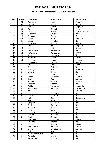### **1st Florence International / Italy / Satellite**

| Pos.                     | <b>Points</b>           | Last name       | First name      | Federation     |
|--------------------------|-------------------------|-----------------|-----------------|----------------|
| $\mathbf{1}$             | 50                      | Paulsson        | Martin          | Sweden         |
| $\overline{2}$           | 40                      | Larsen          | Jesper          | Sweden         |
| 3                        | 35                      | Vezis           | Daniel          | England        |
| $\overline{\mathcal{L}}$ | $\overline{30}$         | Tianien         | Samuli          | Finland        |
| $\overline{5}$           | 25                      | Talpa           | Marek           | Czech Republic |
| $\overline{6}$           | 24                      | Tussimei        | Saverio         | Italy          |
| $\overline{7}$           | 23                      | Parasakis       | <b>Stavros</b>  | Greece         |
| 8                        | 22                      | Quarry          | Mike            | England        |
| $\overline{9}$           | 21                      | Spada           | Amedeo          | Italy          |
| 10                       | 20                      | Wahlgren        | Joakim          | Sweden         |
| 11                       | 15                      | Moor            | Paul            | England        |
| 12                       | 15                      | Nilsson         | <b>Mattias</b>  | Sweden         |
| 13                       | 14                      | Delcarmine      | Alessandro      | Italy          |
| 14                       | 14                      | Matvienko       | Konstantin      | Russia         |
| 15                       | 13                      | Radi            | Tommaso         | Italy          |
| 16                       | 13                      | Fransson        | Daniel          | Sweden         |
| 17                       | 12                      | Hirvonen        | Mikko           | Finland        |
| 18                       | 12                      | Andreason       | Timothy         | Sweden         |
| 19                       | 11                      | Lind            | Tomas           | Sweden         |
| 20                       | 11                      | Rossi           | Federico        | Italy          |
| 21                       | 8                       | Grabrijan       | Anze            | Slovenia       |
| 22                       | $\overline{8}$          | Biolghini       | Diego           | Italy          |
| 23                       | $\overline{8}$          | Celli           | Maurizio        | Italy          |
| $\overline{24}$          | 8                       | Roros           | <b>Stamatis</b> | Greece         |
| 25                       | $\overline{8}$          | Stott           | Paul            | Ireland        |
| 26                       | $\overline{6}$          | Kriznis         | Vagelis         | Greece         |
| 27                       | $\overline{6}$          | Pachera         | Graziano        | Italy          |
| 28                       | 6                       | Gykis           | Vytautas        | Lithuania      |
| 29                       | 6                       | Panchenko       | Alexandr        | Kazakhstan     |
| 30                       | 6                       | Kallio          | <b>Jesse</b>    | Finland        |
| $\overline{31}$          | $\overline{4}$          | Tonno           | Giuseppe        | Italy          |
| 32                       | $\overline{\mathbf{4}}$ | Varchetta       | Gennaro         | Italy          |
| $\overline{33}$          | $\overline{\mathbf{4}}$ | Mol             | Roel            | Netherlands    |
| 34                       | 4                       | Magni           | Giorgio         | Italy          |
| $\overline{35}$          | $\overline{\mathbf{4}}$ | Coppola         | Gianpiero       | Italy          |
| 36                       | $\overline{3}$          | Ranieri         | Simone          | Italy          |
| 37                       | $\overline{3}$          | Bortolon        | Renato          | Italy          |
| 38                       | $\overline{3}$          | Ieva            | Carlo           | Italy          |
| 39                       | $\overline{3}$          | Frascati        | Giuseppe        | Italy          |
| 40                       | $\overline{3}$          | Dell'amico      | Massimo         | Italy          |
| 41                       | $\overline{2}$          | Oddi            | Stefano         | Italy          |
| 42                       | $\overline{2}$          | Olesinski       | Krzysztof       | Poland         |
| 43                       | $\overline{2}$          | Palestre        | Alfonso         | Italy          |
| 44                       | $\overline{2}$          | Suslov          | Andrey          | Russia         |
| 45                       | $\overline{2}$          | Medveditskov    | Alexander       | Russia         |
| 46                       | $\mathbf{1}$            | Sloan           | Christopher     | Ireland        |
| 47                       | $\mathbf{1}$            | Galeone         | Nicola          | Italy          |
| 48                       | $\mathbf{1}$            | Warnakulasuriya | Raje            | Italy          |
| 49                       | $\mathbf{1}$            | Pongolini       | Nicola          | Italy          |
| 50                       | $\mathbf{1}$            | Santangelo      | Franco          | Italy          |